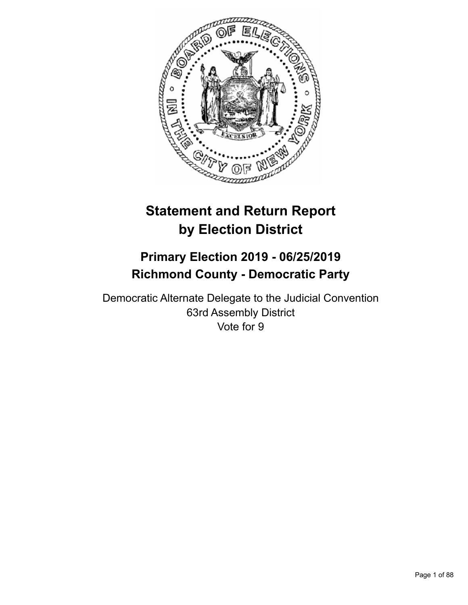

# **Statement and Return Report by Election District**

# **Primary Election 2019 - 06/25/2019 Richmond County - Democratic Party**

Democratic Alternate Delegate to the Judicial Convention 63rd Assembly District Vote for 9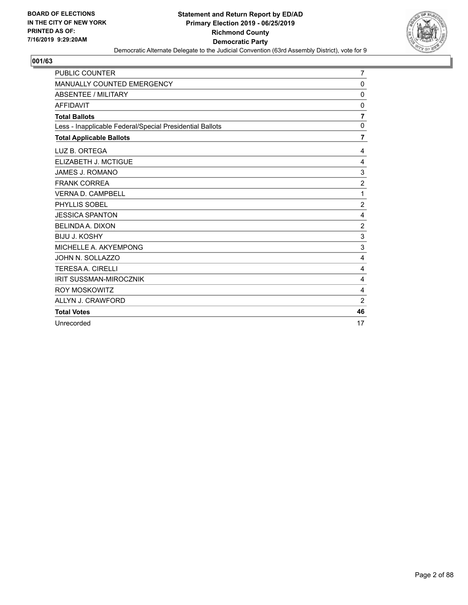

| <b>PUBLIC COUNTER</b>                                    | 7              |
|----------------------------------------------------------|----------------|
| MANUALLY COUNTED EMERGENCY                               | 0              |
| ABSENTEE / MILITARY                                      | 0              |
| <b>AFFIDAVIT</b>                                         | 0              |
| <b>Total Ballots</b>                                     | $\overline{7}$ |
| Less - Inapplicable Federal/Special Presidential Ballots | $\mathbf 0$    |
| <b>Total Applicable Ballots</b>                          | 7              |
| LUZ B. ORTEGA                                            | 4              |
| ELIZABETH J. MCTIGUE                                     | 4              |
| JAMES J. ROMANO                                          | 3              |
| <b>FRANK CORREA</b>                                      | $\overline{2}$ |
| <b>VERNA D. CAMPBELL</b>                                 | 1              |
| PHYLLIS SOBEL                                            | $\overline{c}$ |
| <b>JESSICA SPANTON</b>                                   | 4              |
| <b>BELINDA A. DIXON</b>                                  | $\overline{2}$ |
| <b>BIJU J. KOSHY</b>                                     | 3              |
| MICHELLE A. AKYEMPONG                                    | 3              |
| JOHN N. SOLLAZZO                                         | 4              |
| <b>TERESAA. CIRELLI</b>                                  | 4              |
| <b>IRIT SUSSMAN-MIROCZNIK</b>                            | 4              |
| <b>ROY MOSKOWITZ</b>                                     | $\overline{4}$ |
| ALLYN J. CRAWFORD                                        | $\overline{2}$ |
| <b>Total Votes</b>                                       | 46             |
| Unrecorded                                               | 17             |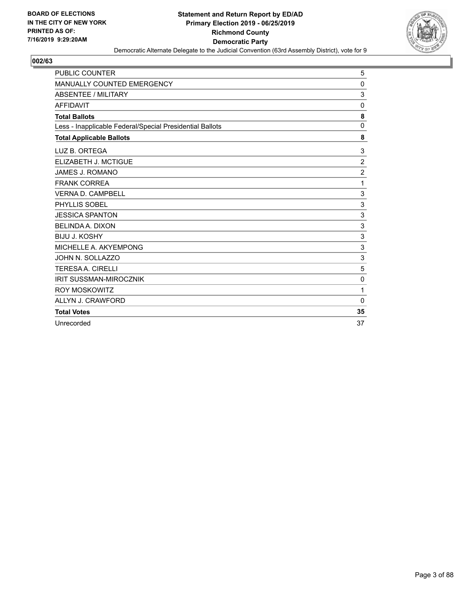

| PUBLIC COUNTER                                           | 5              |
|----------------------------------------------------------|----------------|
| <b>MANUALLY COUNTED EMERGENCY</b>                        | 0              |
| ABSENTEE / MILITARY                                      | 3              |
| <b>AFFIDAVIT</b>                                         | 0              |
| <b>Total Ballots</b>                                     | 8              |
| Less - Inapplicable Federal/Special Presidential Ballots | $\Omega$       |
| <b>Total Applicable Ballots</b>                          | 8              |
| LUZ B. ORTEGA                                            | 3              |
| ELIZABETH J. MCTIGUE                                     | $\overline{c}$ |
| JAMES J. ROMANO                                          | $\overline{2}$ |
| <b>FRANK CORREA</b>                                      | 1              |
| <b>VERNA D. CAMPBELL</b>                                 | 3              |
| PHYLLIS SOBEL                                            | $\mathbf{3}$   |
| <b>JESSICA SPANTON</b>                                   | $\mathbf{3}$   |
| <b>BELINDA A. DIXON</b>                                  | 3              |
| <b>BIJU J. KOSHY</b>                                     | 3              |
| MICHELLE A. AKYEMPONG                                    | 3              |
| JOHN N. SOLLAZZO                                         | 3              |
| <b>TERESAA. CIRELLI</b>                                  | 5              |
| <b>IRIT SUSSMAN-MIROCZNIK</b>                            | $\mathbf 0$    |
| <b>ROY MOSKOWITZ</b>                                     | 1              |
| ALLYN J. CRAWFORD                                        | $\Omega$       |
| <b>Total Votes</b>                                       | 35             |
| Unrecorded                                               | 37             |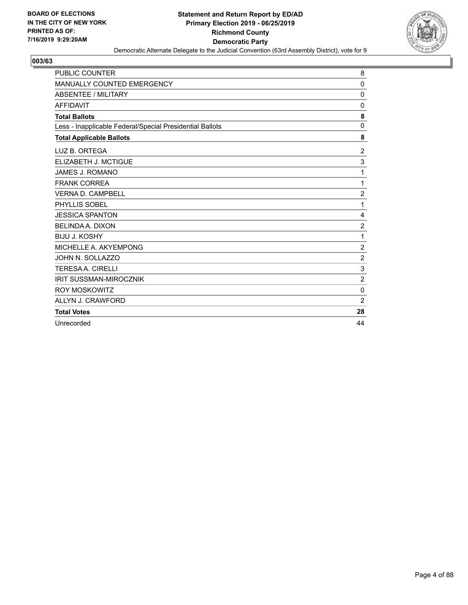

| PUBLIC COUNTER                                           | 8                |
|----------------------------------------------------------|------------------|
| <b>MANUALLY COUNTED EMERGENCY</b>                        | $\Omega$         |
| ABSENTEE / MILITARY                                      | 0                |
| <b>AFFIDAVIT</b>                                         | 0                |
| <b>Total Ballots</b>                                     | 8                |
| Less - Inapplicable Federal/Special Presidential Ballots | $\mathbf 0$      |
| <b>Total Applicable Ballots</b>                          | 8                |
| LUZ B. ORTEGA                                            | $\boldsymbol{2}$ |
| ELIZABETH J. MCTIGUE                                     | 3                |
| JAMES J. ROMANO                                          | 1                |
| <b>FRANK CORREA</b>                                      | 1                |
| <b>VERNA D. CAMPBELL</b>                                 | $\overline{2}$   |
| PHYLLIS SOBEL                                            | 1                |
| <b>JESSICA SPANTON</b>                                   | 4                |
| <b>BELINDA A. DIXON</b>                                  | $\overline{c}$   |
| <b>BIJU J. KOSHY</b>                                     | 1                |
| MICHELLE A. AKYEMPONG                                    | $\sqrt{2}$       |
| JOHN N. SOLLAZZO                                         | $\overline{c}$   |
| <b>TERESAA. CIRELLI</b>                                  | 3                |
| <b>IRIT SUSSMAN-MIROCZNIK</b>                            | $\overline{2}$   |
| <b>ROY MOSKOWITZ</b>                                     | $\mathbf 0$      |
| ALLYN J. CRAWFORD                                        | $\overline{2}$   |
| <b>Total Votes</b>                                       | 28               |
| Unrecorded                                               | 44               |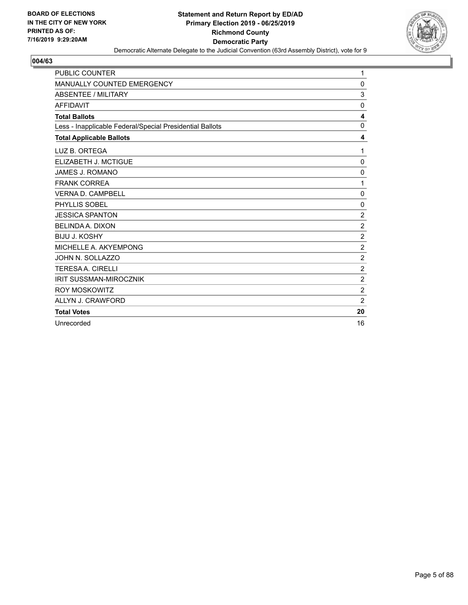

| <b>PUBLIC COUNTER</b>                                    | 1              |
|----------------------------------------------------------|----------------|
| MANUALLY COUNTED EMERGENCY                               | 0              |
| ABSENTEE / MILITARY                                      | 3              |
| <b>AFFIDAVIT</b>                                         | 0              |
| <b>Total Ballots</b>                                     | 4              |
| Less - Inapplicable Federal/Special Presidential Ballots | $\mathbf 0$    |
| <b>Total Applicable Ballots</b>                          | 4              |
| LUZ B. ORTEGA                                            | 1              |
| ELIZABETH J. MCTIGUE                                     | $\mathbf 0$    |
| <b>JAMES J. ROMANO</b>                                   | $\mathbf 0$    |
| <b>FRANK CORREA</b>                                      | 1              |
| <b>VERNA D. CAMPBELL</b>                                 | 0              |
| PHYLLIS SOBEL                                            | 0              |
| <b>JESSICA SPANTON</b>                                   | $\overline{c}$ |
| <b>BELINDA A. DIXON</b>                                  | $\overline{c}$ |
| <b>BIJU J. KOSHY</b>                                     | $\overline{c}$ |
| MICHELLE A. AKYEMPONG                                    | $\sqrt{2}$     |
| JOHN N. SOLLAZZO                                         | $\overline{c}$ |
| <b>TERESAA. CIRELLI</b>                                  | $\overline{c}$ |
| <b>IRIT SUSSMAN-MIROCZNIK</b>                            | $\overline{2}$ |
| <b>ROY MOSKOWITZ</b>                                     | $\overline{2}$ |
| ALLYN J. CRAWFORD                                        | $\overline{2}$ |
| <b>Total Votes</b>                                       | 20             |
| Unrecorded                                               | 16             |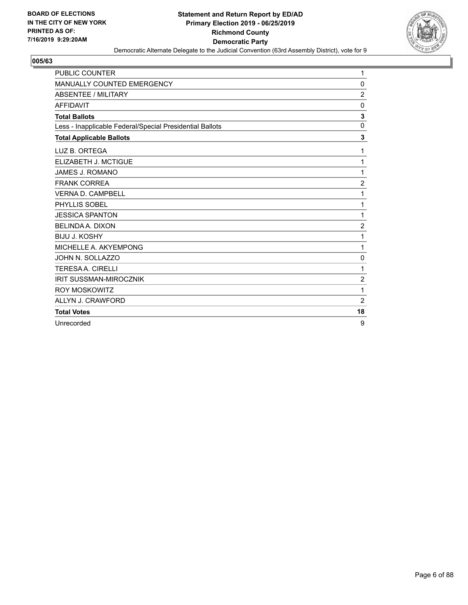

| <b>PUBLIC COUNTER</b>                                    | 1              |
|----------------------------------------------------------|----------------|
| MANUALLY COUNTED EMERGENCY                               | 0              |
| ABSENTEE / MILITARY                                      | $\overline{c}$ |
| <b>AFFIDAVIT</b>                                         | 0              |
| <b>Total Ballots</b>                                     | 3              |
| Less - Inapplicable Federal/Special Presidential Ballots | $\Omega$       |
| <b>Total Applicable Ballots</b>                          | 3              |
| LUZ B. ORTEGA                                            | 1              |
| ELIZABETH J. MCTIGUE                                     | 1              |
| <b>JAMES J. ROMANO</b>                                   | 1              |
| <b>FRANK CORREA</b>                                      | $\overline{c}$ |
| <b>VERNA D. CAMPBELL</b>                                 | 1              |
| PHYLLIS SOBEL                                            | 1              |
| <b>JESSICA SPANTON</b>                                   | 1              |
| <b>BELINDA A. DIXON</b>                                  | $\overline{c}$ |
| <b>BIJU J. KOSHY</b>                                     | 1              |
| MICHELLE A. AKYEMPONG                                    | 1              |
| JOHN N. SOLLAZZO                                         | 0              |
| <b>TERESA A. CIRELLI</b>                                 | 1              |
| <b>IRIT SUSSMAN-MIROCZNIK</b>                            | $\overline{2}$ |
| <b>ROY MOSKOWITZ</b>                                     | 1              |
| ALLYN J. CRAWFORD                                        | $\overline{2}$ |
| <b>Total Votes</b>                                       | 18             |
| Unrecorded                                               | 9              |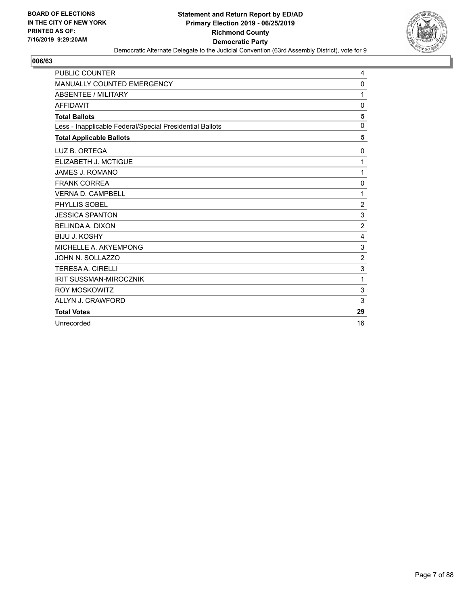

| <b>PUBLIC COUNTER</b>                                    | 4              |
|----------------------------------------------------------|----------------|
| <b>MANUALLY COUNTED EMERGENCY</b>                        | 0              |
| ABSENTEE / MILITARY                                      | 1              |
| <b>AFFIDAVIT</b>                                         | 0              |
| <b>Total Ballots</b>                                     | 5              |
| Less - Inapplicable Federal/Special Presidential Ballots | $\mathbf 0$    |
| <b>Total Applicable Ballots</b>                          | 5              |
| LUZ B. ORTEGA                                            | 0              |
| ELIZABETH J. MCTIGUE                                     | 1              |
| JAMES J. ROMANO                                          | 1              |
| <b>FRANK CORREA</b>                                      | 0              |
| <b>VERNA D. CAMPBELL</b>                                 | 1              |
| PHYLLIS SOBEL                                            | $\overline{c}$ |
| <b>JESSICA SPANTON</b>                                   | $\mathbf{3}$   |
| <b>BELINDA A. DIXON</b>                                  | $\overline{2}$ |
| <b>BIJU J. KOSHY</b>                                     | 4              |
| MICHELLE A. AKYEMPONG                                    | 3              |
| JOHN N. SOLLAZZO                                         | $\overline{c}$ |
| <b>TERESAA. CIRELLI</b>                                  | 3              |
| <b>IRIT SUSSMAN-MIROCZNIK</b>                            | 1              |
| <b>ROY MOSKOWITZ</b>                                     | $\mathbf{3}$   |
| ALLYN J. CRAWFORD                                        | 3              |
| <b>Total Votes</b>                                       | 29             |
| Unrecorded                                               | 16             |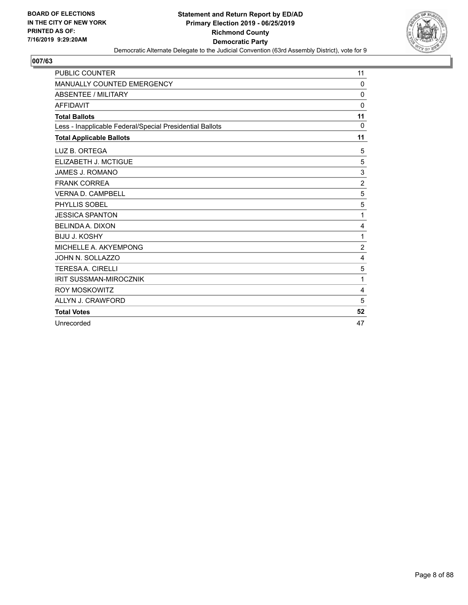

| <b>PUBLIC COUNTER</b>                                    | 11             |
|----------------------------------------------------------|----------------|
| MANUALLY COUNTED EMERGENCY                               | $\Omega$       |
| ABSENTEE / MILITARY                                      | $\mathbf 0$    |
| <b>AFFIDAVIT</b>                                         | 0              |
| <b>Total Ballots</b>                                     | 11             |
| Less - Inapplicable Federal/Special Presidential Ballots | $\Omega$       |
| <b>Total Applicable Ballots</b>                          | 11             |
| LUZ B. ORTEGA                                            | 5              |
| ELIZABETH J. MCTIGUE                                     | 5              |
| <b>JAMES J. ROMANO</b>                                   | 3              |
| <b>FRANK CORREA</b>                                      | $\overline{2}$ |
| <b>VERNA D. CAMPBELL</b>                                 | 5              |
| PHYLLIS SOBEL                                            | 5              |
| <b>JESSICA SPANTON</b>                                   | 1              |
| <b>BELINDA A. DIXON</b>                                  | 4              |
| <b>BIJU J. KOSHY</b>                                     | 1              |
| MICHELLE A. AKYEMPONG                                    | $\overline{2}$ |
| JOHN N. SOLLAZZO                                         | 4              |
| <b>TERESA A. CIRELLI</b>                                 | 5              |
| <b>IRIT SUSSMAN-MIROCZNIK</b>                            | 1              |
| <b>ROY MOSKOWITZ</b>                                     | $\overline{4}$ |
| ALLYN J. CRAWFORD                                        | 5              |
| <b>Total Votes</b>                                       | 52             |
| Unrecorded                                               | 47             |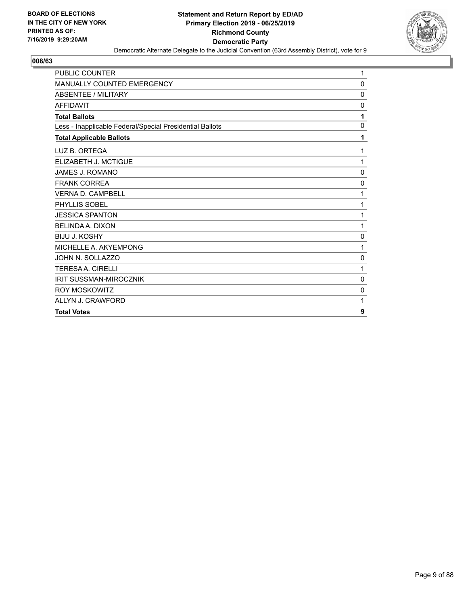

| <b>PUBLIC COUNTER</b>                                    | 1            |
|----------------------------------------------------------|--------------|
| MANUALLY COUNTED EMERGENCY                               | $\mathbf 0$  |
| <b>ABSENTEE / MILITARY</b>                               | 0            |
| <b>AFFIDAVIT</b>                                         | $\mathbf{0}$ |
| <b>Total Ballots</b>                                     | 1            |
| Less - Inapplicable Federal/Special Presidential Ballots | 0            |
| <b>Total Applicable Ballots</b>                          | 1            |
| LUZ B. ORTEGA                                            | 1            |
| ELIZABETH J. MCTIGUE                                     | 1            |
| JAMES J. ROMANO                                          | $\mathbf{0}$ |
| <b>FRANK CORREA</b>                                      | 0            |
| <b>VERNA D. CAMPBELL</b>                                 | 1            |
| PHYLLIS SOBEL                                            | 1            |
| <b>JESSICA SPANTON</b>                                   | 1            |
| <b>BELINDA A. DIXON</b>                                  | 1            |
| <b>BIJU J. KOSHY</b>                                     | 0            |
| MICHELLE A. AKYEMPONG                                    | 1            |
| JOHN N. SOLLAZZO                                         | 0            |
| <b>TERESAA, CIRELLI</b>                                  | 1            |
| <b>IRIT SUSSMAN-MIROCZNIK</b>                            | $\mathbf 0$  |
| <b>ROY MOSKOWITZ</b>                                     | 0            |
| ALLYN J. CRAWFORD                                        | 1            |
| <b>Total Votes</b>                                       | 9            |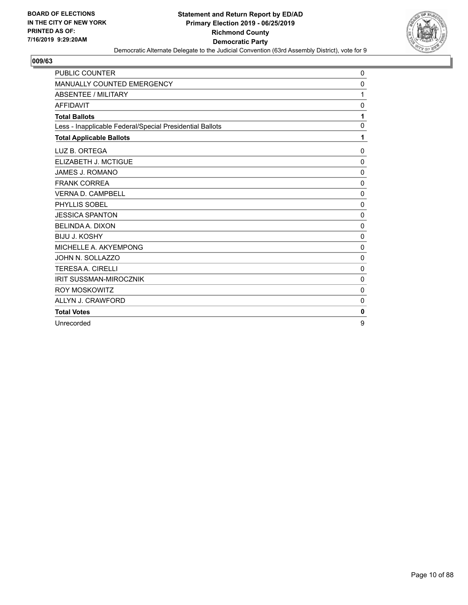

| <b>PUBLIC COUNTER</b>                                    | 0            |
|----------------------------------------------------------|--------------|
| MANUALLY COUNTED EMERGENCY                               | 0            |
| <b>ABSENTEE / MILITARY</b>                               | 1            |
| <b>AFFIDAVIT</b>                                         | 0            |
| <b>Total Ballots</b>                                     | 1            |
| Less - Inapplicable Federal/Special Presidential Ballots | $\mathbf 0$  |
| <b>Total Applicable Ballots</b>                          | 1            |
| LUZ B. ORTEGA                                            | 0            |
| ELIZABETH J. MCTIGUE                                     | $\mathbf 0$  |
| JAMES J. ROMANO                                          | 0            |
| <b>FRANK CORREA</b>                                      | 0            |
| <b>VERNA D. CAMPBELL</b>                                 | 0            |
| PHYLLIS SOBEL                                            | 0            |
| <b>JESSICA SPANTON</b>                                   | 0            |
| <b>BELINDA A. DIXON</b>                                  | $\mathbf 0$  |
| <b>BIJU J. KOSHY</b>                                     | 0            |
| MICHELLE A. AKYEMPONG                                    | $\mathbf 0$  |
| JOHN N. SOLLAZZO                                         | $\mathbf{0}$ |
| <b>TERESAA. CIRELLI</b>                                  | $\mathbf 0$  |
| <b>IRIT SUSSMAN-MIROCZNIK</b>                            | $\mathbf 0$  |
| <b>ROY MOSKOWITZ</b>                                     | $\mathbf 0$  |
| ALLYN J. CRAWFORD                                        | $\mathbf 0$  |
| <b>Total Votes</b>                                       | 0            |
| Unrecorded                                               | 9            |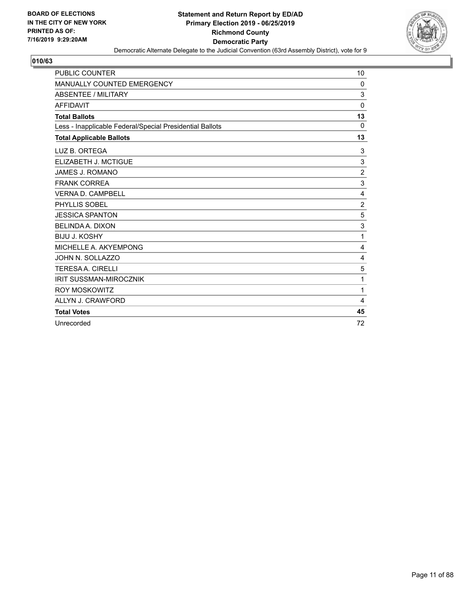

| <b>PUBLIC COUNTER</b>                                    | 10             |
|----------------------------------------------------------|----------------|
| MANUALLY COUNTED EMERGENCY                               | 0              |
| ABSENTEE / MILITARY                                      | 3              |
| <b>AFFIDAVIT</b>                                         | $\mathbf 0$    |
| <b>Total Ballots</b>                                     | 13             |
| Less - Inapplicable Federal/Special Presidential Ballots | 0              |
| <b>Total Applicable Ballots</b>                          | 13             |
| LUZ B. ORTEGA                                            | 3              |
| ELIZABETH J. MCTIGUE                                     | 3              |
| JAMES J. ROMANO                                          | $\overline{c}$ |
| <b>FRANK CORREA</b>                                      | 3              |
| <b>VERNA D. CAMPBELL</b>                                 | 4              |
| PHYLLIS SOBEL                                            | $\overline{c}$ |
| <b>JESSICA SPANTON</b>                                   | 5              |
| <b>BELINDA A. DIXON</b>                                  | 3              |
| <b>BIJU J. KOSHY</b>                                     | 1              |
| MICHELLE A. AKYEMPONG                                    | 4              |
| JOHN N. SOLLAZZO                                         | 4              |
| <b>TERESAA. CIRELLI</b>                                  | 5              |
| <b>IRIT SUSSMAN-MIROCZNIK</b>                            | 1              |
| <b>ROY MOSKOWITZ</b>                                     | 1              |
| ALLYN J. CRAWFORD                                        | 4              |
| <b>Total Votes</b>                                       | 45             |
| Unrecorded                                               | 72             |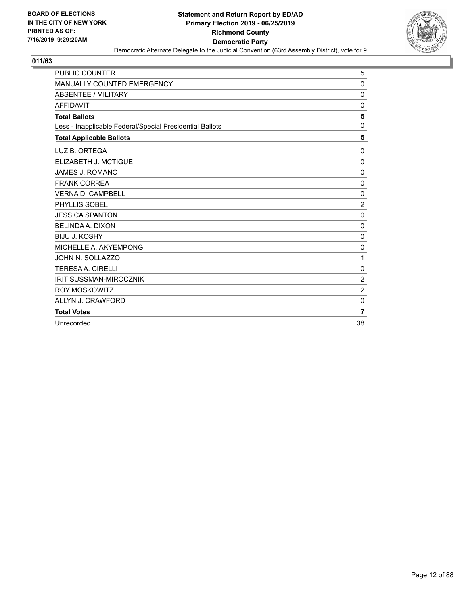

| <b>PUBLIC COUNTER</b>                                    | 5              |
|----------------------------------------------------------|----------------|
| <b>MANUALLY COUNTED EMERGENCY</b>                        | $\mathbf 0$    |
| <b>ABSENTEE / MILITARY</b>                               | $\mathbf 0$    |
| <b>AFFIDAVIT</b>                                         | 0              |
| <b>Total Ballots</b>                                     | 5              |
| Less - Inapplicable Federal/Special Presidential Ballots | $\mathbf 0$    |
| <b>Total Applicable Ballots</b>                          | 5              |
| LUZ B. ORTEGA                                            | $\mathbf 0$    |
| ELIZABETH J. MCTIGUE                                     | $\mathbf 0$    |
| JAMES J. ROMANO                                          | $\mathbf 0$    |
| <b>FRANK CORREA</b>                                      | 0              |
| <b>VERNA D. CAMPBELL</b>                                 | $\mathbf 0$    |
| PHYLLIS SOBEL                                            | $\overline{c}$ |
| <b>JESSICA SPANTON</b>                                   | $\mathbf 0$    |
| <b>BELINDA A. DIXON</b>                                  | 0              |
| <b>BIJU J. KOSHY</b>                                     | 0              |
| MICHELLE A. AKYEMPONG                                    | 0              |
| JOHN N. SOLLAZZO                                         | 1              |
| <b>TERESAA, CIRELLI</b>                                  | $\mathbf 0$    |
| <b>IRIT SUSSMAN-MIROCZNIK</b>                            | $\overline{c}$ |
| <b>ROY MOSKOWITZ</b>                                     | $\overline{c}$ |
| ALLYN J. CRAWFORD                                        | $\mathbf 0$    |
| <b>Total Votes</b>                                       | $\overline{7}$ |
| Unrecorded                                               | 38             |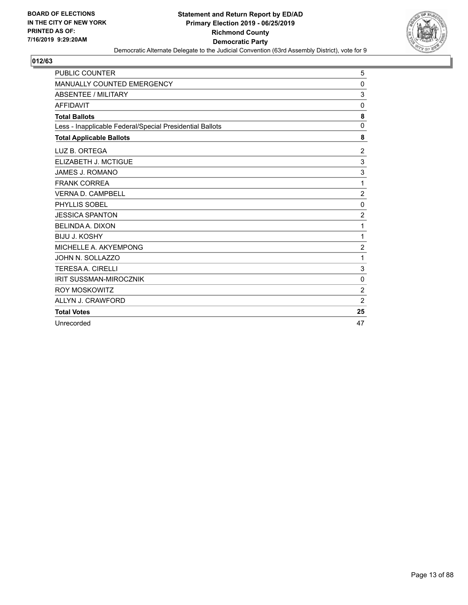

| <b>PUBLIC COUNTER</b>                                    | 5              |
|----------------------------------------------------------|----------------|
| MANUALLY COUNTED EMERGENCY                               | 0              |
| ABSENTEE / MILITARY                                      | 3              |
| <b>AFFIDAVIT</b>                                         | 0              |
| <b>Total Ballots</b>                                     | 8              |
| Less - Inapplicable Federal/Special Presidential Ballots | $\Omega$       |
| <b>Total Applicable Ballots</b>                          | 8              |
| LUZ B. ORTEGA                                            | 2              |
| ELIZABETH J. MCTIGUE                                     | 3              |
| <b>JAMES J. ROMANO</b>                                   | 3              |
| <b>FRANK CORREA</b>                                      | 1              |
| <b>VERNA D. CAMPBELL</b>                                 | $\overline{2}$ |
| PHYLLIS SOBEL                                            | $\mathbf 0$    |
| <b>JESSICA SPANTON</b>                                   | $\overline{2}$ |
| <b>BELINDA A. DIXON</b>                                  | 1              |
| <b>BIJU J. KOSHY</b>                                     | 1              |
| MICHELLE A. AKYEMPONG                                    | $\overline{2}$ |
| JOHN N. SOLLAZZO                                         | 1              |
| <b>TERESAA, CIRELLI</b>                                  | $\mathbf{3}$   |
| <b>IRIT SUSSMAN-MIROCZNIK</b>                            | $\mathbf 0$    |
| <b>ROY MOSKOWITZ</b>                                     | $\overline{2}$ |
| ALLYN J. CRAWFORD                                        | $\overline{2}$ |
| <b>Total Votes</b>                                       | 25             |
| Unrecorded                                               | 47             |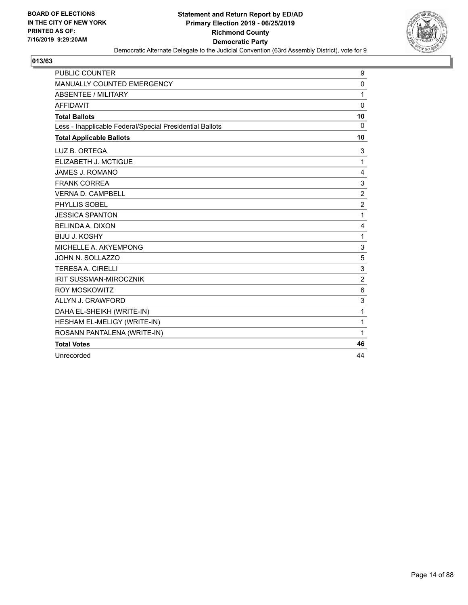

| <b>PUBLIC COUNTER</b>                                    | 9              |
|----------------------------------------------------------|----------------|
| MANUALLY COUNTED EMERGENCY                               | 0              |
| <b>ABSENTEE / MILITARY</b>                               | 1              |
| <b>AFFIDAVIT</b>                                         | $\mathbf{0}$   |
| <b>Total Ballots</b>                                     | 10             |
| Less - Inapplicable Federal/Special Presidential Ballots | $\Omega$       |
| <b>Total Applicable Ballots</b>                          | 10             |
| LUZ B. ORTEGA                                            | 3              |
| ELIZABETH J. MCTIGUE                                     | $\mathbf{1}$   |
| <b>JAMES J. ROMANO</b>                                   | 4              |
| <b>FRANK CORREA</b>                                      | 3              |
| <b>VERNA D. CAMPBELL</b>                                 | $\overline{2}$ |
| PHYLLIS SOBEL                                            | $\overline{c}$ |
| <b>JESSICA SPANTON</b>                                   | 1              |
| <b>BELINDA A. DIXON</b>                                  | 4              |
| <b>BIJU J. KOSHY</b>                                     | 1              |
| MICHELLE A. AKYEMPONG                                    | 3              |
| JOHN N. SOLLAZZO                                         | 5              |
| <b>TERESAA, CIRELLI</b>                                  | 3              |
| <b>IRIT SUSSMAN-MIROCZNIK</b>                            | $\overline{2}$ |
| <b>ROY MOSKOWITZ</b>                                     | 6              |
| ALLYN J. CRAWFORD                                        | 3              |
| DAHA EL-SHEIKH (WRITE-IN)                                | 1              |
| HESHAM EL-MELIGY (WRITE-IN)                              | 1              |
| ROSANN PANTALENA (WRITE-IN)                              | 1              |
| <b>Total Votes</b>                                       | 46             |
| Unrecorded                                               | 44             |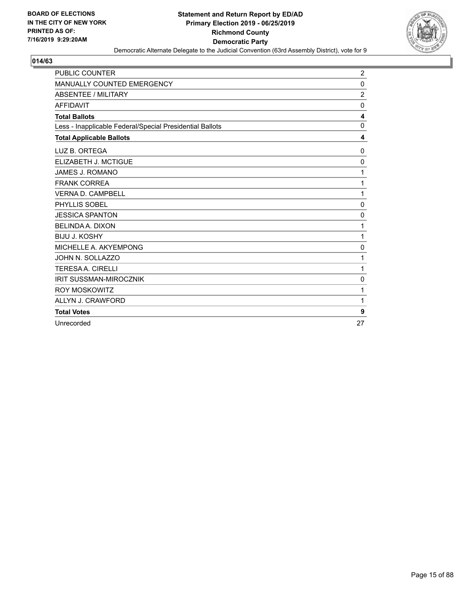

| <b>PUBLIC COUNTER</b>                                    | $\overline{2}$ |
|----------------------------------------------------------|----------------|
| <b>MANUALLY COUNTED EMERGENCY</b>                        | 0              |
| ABSENTEE / MILITARY                                      | $\overline{c}$ |
| <b>AFFIDAVIT</b>                                         | 0              |
| <b>Total Ballots</b>                                     | 4              |
| Less - Inapplicable Federal/Special Presidential Ballots | $\mathbf 0$    |
| <b>Total Applicable Ballots</b>                          | 4              |
| LUZ B. ORTEGA                                            | 0              |
| ELIZABETH J. MCTIGUE                                     | $\mathbf 0$    |
| JAMES J. ROMANO                                          | 1              |
| <b>FRANK CORREA</b>                                      | 1              |
| <b>VERNA D. CAMPBELL</b>                                 | 1              |
| PHYLLIS SOBEL                                            | 0              |
| <b>JESSICA SPANTON</b>                                   | 0              |
| <b>BELINDA A. DIXON</b>                                  | 1              |
| <b>BIJU J. KOSHY</b>                                     | 1              |
| MICHELLE A. AKYEMPONG                                    | $\mathbf 0$    |
| JOHN N. SOLLAZZO                                         | 1              |
| <b>TERESAA. CIRELLI</b>                                  | 1              |
| <b>IRIT SUSSMAN-MIROCZNIK</b>                            | 0              |
| <b>ROY MOSKOWITZ</b>                                     | 1              |
| ALLYN J. CRAWFORD                                        | 1              |
| <b>Total Votes</b>                                       | 9              |
| Unrecorded                                               | 27             |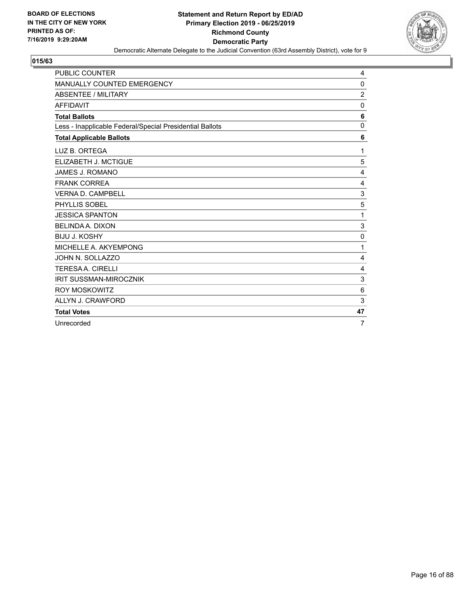

| <b>PUBLIC COUNTER</b>                                    | 4               |
|----------------------------------------------------------|-----------------|
| MANUALLY COUNTED EMERGENCY                               | 0               |
| ABSENTEE / MILITARY                                      | $\overline{2}$  |
| <b>AFFIDAVIT</b>                                         | 0               |
| <b>Total Ballots</b>                                     | 6               |
| Less - Inapplicable Federal/Special Presidential Ballots | 0               |
| <b>Total Applicable Ballots</b>                          | 6               |
| LUZ B. ORTEGA                                            | 1               |
| ELIZABETH J. MCTIGUE                                     | 5               |
| <b>JAMES J. ROMANO</b>                                   | 4               |
| <b>FRANK CORREA</b>                                      | 4               |
| <b>VERNA D. CAMPBELL</b>                                 | 3               |
| PHYLLIS SOBEL                                            | 5               |
| <b>JESSICA SPANTON</b>                                   | 1               |
| <b>BELINDA A. DIXON</b>                                  | 3               |
| <b>BIJU J. KOSHY</b>                                     | 0               |
| MICHELLE A. AKYEMPONG                                    | 1               |
| JOHN N. SOLLAZZO                                         | 4               |
| <b>TERESAA, CIRELLI</b>                                  | 4               |
| <b>IRIT SUSSMAN-MIROCZNIK</b>                            | 3               |
| <b>ROY MOSKOWITZ</b>                                     | $6\phantom{1}6$ |
| ALLYN J. CRAWFORD                                        | 3               |
| <b>Total Votes</b>                                       | 47              |
| Unrecorded                                               | 7               |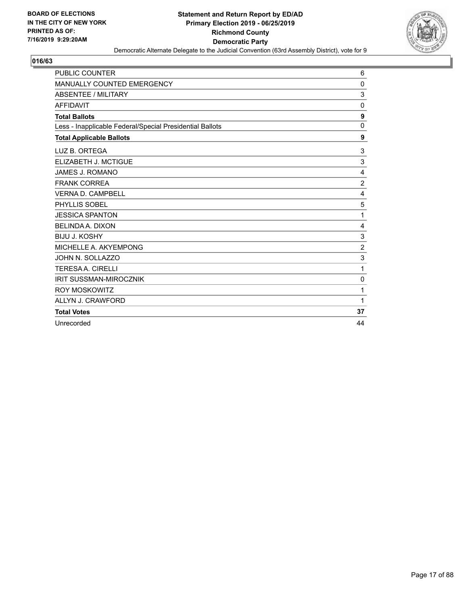

| <b>PUBLIC COUNTER</b>                                    | 6              |
|----------------------------------------------------------|----------------|
| MANUALLY COUNTED EMERGENCY                               | $\Omega$       |
| ABSENTEE / MILITARY                                      | 3              |
| <b>AFFIDAVIT</b>                                         | $\Omega$       |
| <b>Total Ballots</b>                                     | 9              |
| Less - Inapplicable Federal/Special Presidential Ballots | $\Omega$       |
| <b>Total Applicable Ballots</b>                          | 9              |
| LUZ B. ORTEGA                                            | 3              |
| ELIZABETH J. MCTIGUE                                     | 3              |
| <b>JAMES J. ROMANO</b>                                   | 4              |
| <b>FRANK CORREA</b>                                      | $\overline{2}$ |
| <b>VERNA D. CAMPBELL</b>                                 | 4              |
| PHYLLIS SOBEL                                            | 5              |
| <b>JESSICA SPANTON</b>                                   | 1              |
| <b>BELINDA A. DIXON</b>                                  | 4              |
| <b>BIJU J. KOSHY</b>                                     | 3              |
| MICHELLE A. AKYEMPONG                                    | $\overline{2}$ |
| JOHN N. SOLLAZZO                                         | 3              |
| <b>TERESAA, CIRELLI</b>                                  | 1              |
| <b>IRIT SUSSMAN-MIROCZNIK</b>                            | $\mathbf 0$    |
| <b>ROY MOSKOWITZ</b>                                     | 1              |
| ALLYN J. CRAWFORD                                        | 1              |
| <b>Total Votes</b>                                       | 37             |
| Unrecorded                                               | 44             |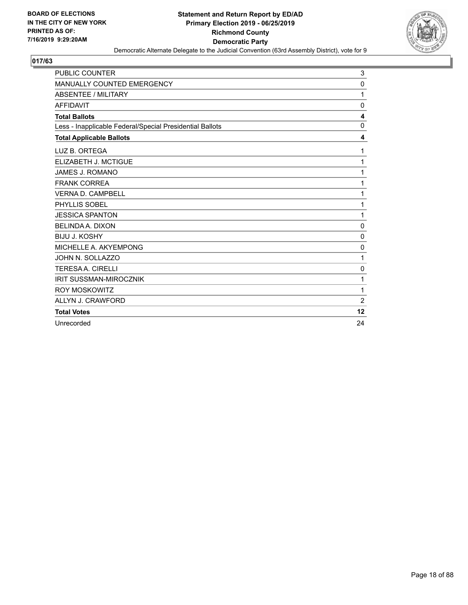

| PUBLIC COUNTER                                           | 3              |
|----------------------------------------------------------|----------------|
| <b>MANUALLY COUNTED EMERGENCY</b>                        | 0              |
| ABSENTEE / MILITARY                                      | 1              |
| <b>AFFIDAVIT</b>                                         | 0              |
| <b>Total Ballots</b>                                     | 4              |
| Less - Inapplicable Federal/Special Presidential Ballots | $\mathbf 0$    |
| <b>Total Applicable Ballots</b>                          | 4              |
| LUZ B. ORTEGA                                            | 1              |
| ELIZABETH J. MCTIGUE                                     | 1              |
| <b>JAMES J. ROMANO</b>                                   | 1              |
| <b>FRANK CORREA</b>                                      | 1              |
| <b>VERNA D. CAMPBELL</b>                                 | 1              |
| PHYLLIS SOBEL                                            | 1              |
| <b>JESSICA SPANTON</b>                                   | 1              |
| <b>BELINDA A. DIXON</b>                                  | 0              |
| <b>BIJU J. KOSHY</b>                                     | 0              |
| MICHELLE A. AKYEMPONG                                    | 0              |
| JOHN N. SOLLAZZO                                         | 1              |
| <b>TERESAA. CIRELLI</b>                                  | $\mathbf 0$    |
| <b>IRIT SUSSMAN-MIROCZNIK</b>                            | 1              |
| <b>ROY MOSKOWITZ</b>                                     | 1              |
| ALLYN J. CRAWFORD                                        | $\overline{2}$ |
| <b>Total Votes</b>                                       | 12             |
| Unrecorded                                               | 24             |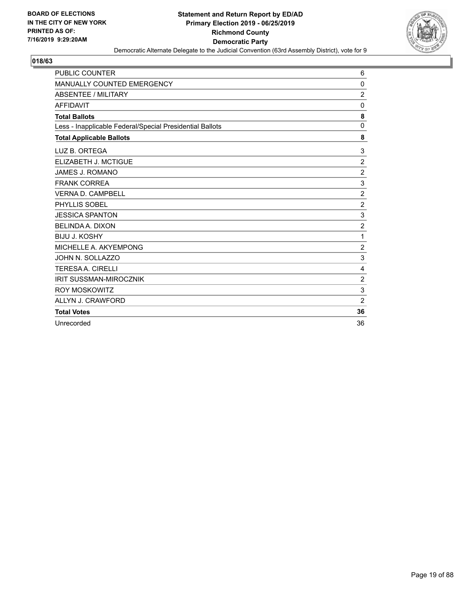

| <b>PUBLIC COUNTER</b>                                    | 6              |
|----------------------------------------------------------|----------------|
| MANUALLY COUNTED EMERGENCY                               | 0              |
| ABSENTEE / MILITARY                                      | $\overline{c}$ |
| <b>AFFIDAVIT</b>                                         | 0              |
| <b>Total Ballots</b>                                     | 8              |
| Less - Inapplicable Federal/Special Presidential Ballots | 0              |
| <b>Total Applicable Ballots</b>                          | 8              |
| LUZ B. ORTEGA                                            | 3              |
| ELIZABETH J. MCTIGUE                                     | $\overline{c}$ |
| <b>JAMES J. ROMANO</b>                                   | $\overline{2}$ |
| <b>FRANK CORREA</b>                                      | 3              |
| <b>VERNA D. CAMPBELL</b>                                 | $\overline{2}$ |
| PHYLLIS SOBEL                                            | $\overline{2}$ |
| <b>JESSICA SPANTON</b>                                   | $\mathbf{3}$   |
| <b>BELINDA A. DIXON</b>                                  | $\overline{c}$ |
| <b>BIJU J. KOSHY</b>                                     | 1              |
| MICHELLE A. AKYEMPONG                                    | 2              |
| JOHN N. SOLLAZZO                                         | 3              |
| <b>TERESAA. CIRELLI</b>                                  | 4              |
| <b>IRIT SUSSMAN-MIROCZNIK</b>                            | $\overline{2}$ |
| <b>ROY MOSKOWITZ</b>                                     | $\mathbf{3}$   |
| ALLYN J. CRAWFORD                                        | $\overline{2}$ |
| <b>Total Votes</b>                                       | 36             |
| Unrecorded                                               | 36             |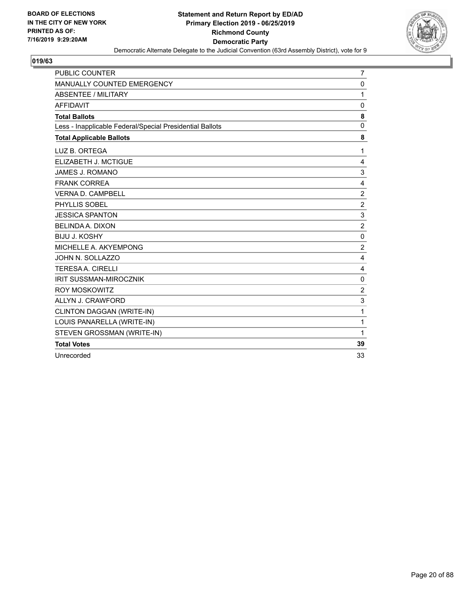

| <b>PUBLIC COUNTER</b>                                    | $\overline{7}$          |
|----------------------------------------------------------|-------------------------|
| <b>MANUALLY COUNTED EMERGENCY</b>                        | $\mathbf{0}$            |
| <b>ABSENTEE / MILITARY</b>                               | 1                       |
| <b>AFFIDAVIT</b>                                         | $\mathbf{0}$            |
| <b>Total Ballots</b>                                     | 8                       |
| Less - Inapplicable Federal/Special Presidential Ballots | $\Omega$                |
| <b>Total Applicable Ballots</b>                          | 8                       |
| LUZ B. ORTEGA                                            | 1                       |
| ELIZABETH J. MCTIGUE                                     | 4                       |
| JAMES J. ROMANO                                          | 3                       |
| <b>FRANK CORREA</b>                                      | $\overline{4}$          |
| <b>VERNA D. CAMPBELL</b>                                 | $\overline{2}$          |
| PHYLLIS SOBEL                                            | $\overline{c}$          |
| <b>JESSICA SPANTON</b>                                   | 3                       |
| <b>BELINDA A. DIXON</b>                                  | $\overline{c}$          |
| <b>BIJU J. KOSHY</b>                                     | $\mathbf 0$             |
| MICHELLE A. AKYEMPONG                                    | $\overline{c}$          |
| JOHN N. SOLLAZZO                                         | 4                       |
| <b>TERESAA. CIRELLI</b>                                  | 4                       |
| <b>IRIT SUSSMAN-MIROCZNIK</b>                            | 0                       |
| <b>ROY MOSKOWITZ</b>                                     | $\overline{\mathbf{c}}$ |
| ALLYN J. CRAWFORD                                        | 3                       |
| CLINTON DAGGAN (WRITE-IN)                                | 1                       |
| LOUIS PANARELLA (WRITE-IN)                               | 1                       |
| STEVEN GROSSMAN (WRITE-IN)                               | 1                       |
| <b>Total Votes</b>                                       | 39                      |
| Unrecorded                                               | 33                      |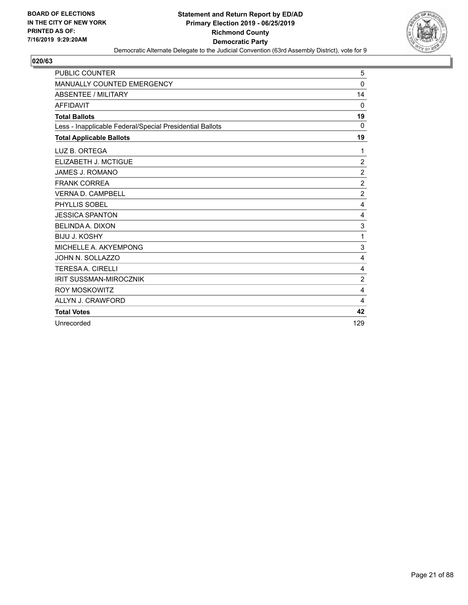

| <b>PUBLIC COUNTER</b>                                    | 5              |
|----------------------------------------------------------|----------------|
| <b>MANUALLY COUNTED EMERGENCY</b>                        | $\mathbf 0$    |
| ABSENTEE / MILITARY                                      | 14             |
| <b>AFFIDAVIT</b>                                         | 0              |
| <b>Total Ballots</b>                                     | 19             |
| Less - Inapplicable Federal/Special Presidential Ballots | 0              |
| <b>Total Applicable Ballots</b>                          | 19             |
| LUZ B. ORTEGA                                            | 1              |
| ELIZABETH J. MCTIGUE                                     | $\overline{2}$ |
| <b>JAMES J. ROMANO</b>                                   | $\overline{2}$ |
| <b>FRANK CORREA</b>                                      | $\overline{c}$ |
| <b>VERNA D. CAMPBELL</b>                                 | $\overline{2}$ |
| PHYLLIS SOBEL                                            | 4              |
| <b>JESSICA SPANTON</b>                                   | 4              |
| <b>BELINDA A. DIXON</b>                                  | 3              |
| <b>BIJU J. KOSHY</b>                                     | 1              |
| MICHELLE A. AKYEMPONG                                    | 3              |
| JOHN N. SOLLAZZO                                         | 4              |
| <b>TERESAA, CIRELLI</b>                                  | 4              |
| <b>IRIT SUSSMAN-MIROCZNIK</b>                            | $\overline{c}$ |
| <b>ROY MOSKOWITZ</b>                                     | $\overline{4}$ |
| ALLYN J. CRAWFORD                                        | 4              |
| <b>Total Votes</b>                                       | 42             |
| Unrecorded                                               | 129            |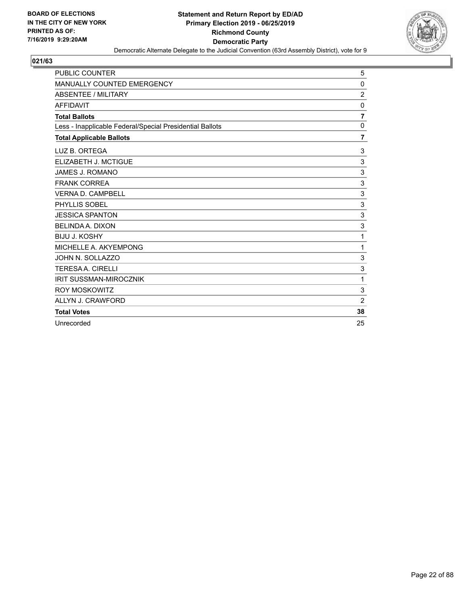

| PUBLIC COUNTER                                           | 5              |
|----------------------------------------------------------|----------------|
| <b>MANUALLY COUNTED EMERGENCY</b>                        | 0              |
| ABSENTEE / MILITARY                                      | $\overline{c}$ |
| <b>AFFIDAVIT</b>                                         | 0              |
| <b>Total Ballots</b>                                     | $\overline{7}$ |
| Less - Inapplicable Federal/Special Presidential Ballots | $\mathbf 0$    |
| <b>Total Applicable Ballots</b>                          | 7              |
| LUZ B. ORTEGA                                            | 3              |
| ELIZABETH J. MCTIGUE                                     | 3              |
| <b>JAMES J. ROMANO</b>                                   | 3              |
| <b>FRANK CORREA</b>                                      | 3              |
| <b>VERNA D. CAMPBELL</b>                                 | 3              |
| PHYLLIS SOBEL                                            | 3              |
| <b>JESSICA SPANTON</b>                                   | $\sqrt{3}$     |
| <b>BELINDA A. DIXON</b>                                  | $\mathbf{3}$   |
| <b>BIJU J. KOSHY</b>                                     | 1              |
| MICHELLE A. AKYEMPONG                                    | 1              |
| JOHN N. SOLLAZZO                                         | 3              |
| <b>TERESAA. CIRELLI</b>                                  | 3              |
| <b>IRIT SUSSMAN-MIROCZNIK</b>                            | 1              |
| <b>ROY MOSKOWITZ</b>                                     | $\mathbf{3}$   |
| ALLYN J. CRAWFORD                                        | $\overline{2}$ |
| <b>Total Votes</b>                                       | 38             |
| Unrecorded                                               | 25             |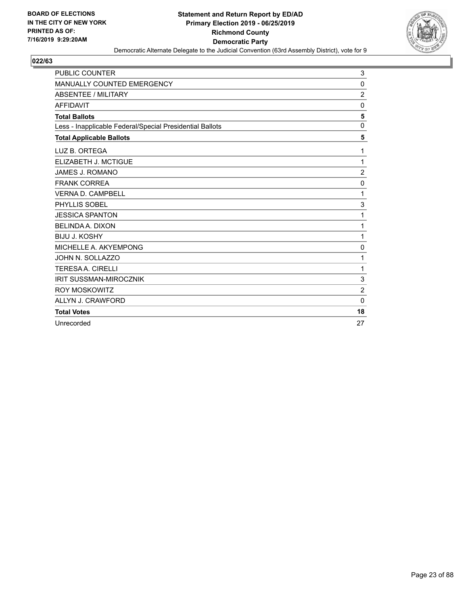

| <b>PUBLIC COUNTER</b>                                    | 3              |
|----------------------------------------------------------|----------------|
| <b>MANUALLY COUNTED EMERGENCY</b>                        | 0              |
| <b>ABSENTEE / MILITARY</b>                               | $\overline{c}$ |
| <b>AFFIDAVIT</b>                                         | 0              |
| <b>Total Ballots</b>                                     | 5              |
| Less - Inapplicable Federal/Special Presidential Ballots | $\mathbf 0$    |
| <b>Total Applicable Ballots</b>                          | 5              |
| LUZ B. ORTEGA                                            | 1              |
| ELIZABETH J. MCTIGUE                                     | 1              |
| <b>JAMES J. ROMANO</b>                                   | $\overline{c}$ |
| <b>FRANK CORREA</b>                                      | $\mathbf 0$    |
| <b>VERNA D. CAMPBELL</b>                                 | 1              |
| PHYLLIS SOBEL                                            | 3              |
| <b>JESSICA SPANTON</b>                                   | 1              |
| <b>BELINDA A. DIXON</b>                                  | 1              |
| <b>BIJU J. KOSHY</b>                                     | 1              |
| MICHELLE A. AKYEMPONG                                    | $\mathbf 0$    |
| JOHN N. SOLLAZZO                                         | 1              |
| <b>TERESAA. CIRELLI</b>                                  | 1              |
| <b>IRIT SUSSMAN-MIROCZNIK</b>                            | 3              |
| <b>ROY MOSKOWITZ</b>                                     | $\overline{2}$ |
| ALLYN J. CRAWFORD                                        | $\mathbf{0}$   |
| <b>Total Votes</b>                                       | 18             |
| Unrecorded                                               | 27             |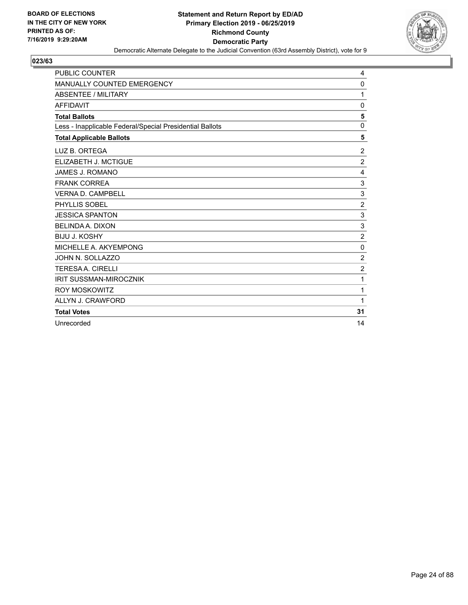

| <b>PUBLIC COUNTER</b>                                    | 4              |
|----------------------------------------------------------|----------------|
| MANUALLY COUNTED EMERGENCY                               | $\Omega$       |
| ABSENTEE / MILITARY                                      | 1              |
| <b>AFFIDAVIT</b>                                         | $\Omega$       |
| <b>Total Ballots</b>                                     | 5              |
| Less - Inapplicable Federal/Special Presidential Ballots | $\mathbf 0$    |
| <b>Total Applicable Ballots</b>                          | 5              |
| LUZ B. ORTEGA                                            | $\overline{c}$ |
| ELIZABETH J. MCTIGUE                                     | $\overline{2}$ |
| <b>JAMES J. ROMANO</b>                                   | 4              |
| <b>FRANK CORREA</b>                                      | 3              |
| <b>VERNA D. CAMPBELL</b>                                 | 3              |
| PHYLLIS SOBEL                                            | $\overline{2}$ |
| <b>JESSICA SPANTON</b>                                   | $\sqrt{3}$     |
| BELINDA A. DIXON                                         | 3              |
| <b>BIJU J. KOSHY</b>                                     | $\overline{c}$ |
| MICHELLE A. AKYEMPONG                                    | $\mathbf 0$    |
| JOHN N. SOLLAZZO                                         | $\overline{2}$ |
| <b>TERESAA, CIRELLI</b>                                  | $\overline{2}$ |
| <b>IRIT SUSSMAN-MIROCZNIK</b>                            | 1              |
| <b>ROY MOSKOWITZ</b>                                     | 1              |
| ALLYN J. CRAWFORD                                        | 1              |
| <b>Total Votes</b>                                       | 31             |
| Unrecorded                                               | 14             |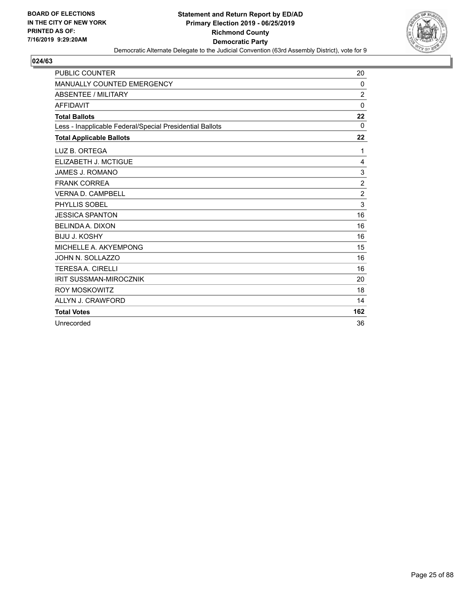

| <b>PUBLIC COUNTER</b>                                    | 20             |
|----------------------------------------------------------|----------------|
| MANUALLY COUNTED EMERGENCY                               | 0              |
| ABSENTEE / MILITARY                                      | $\overline{2}$ |
| <b>AFFIDAVIT</b>                                         | $\mathbf 0$    |
| <b>Total Ballots</b>                                     | 22             |
| Less - Inapplicable Federal/Special Presidential Ballots | $\Omega$       |
| <b>Total Applicable Ballots</b>                          | 22             |
| LUZ B. ORTEGA                                            | 1              |
| ELIZABETH J. MCTIGUE                                     | 4              |
| <b>JAMES J. ROMANO</b>                                   | 3              |
| <b>FRANK CORREA</b>                                      | $\overline{2}$ |
| <b>VERNA D. CAMPBELL</b>                                 | $\overline{2}$ |
| PHYLLIS SOBEL                                            | 3              |
| <b>JESSICA SPANTON</b>                                   | 16             |
| <b>BELINDA A. DIXON</b>                                  | 16             |
| <b>BIJU J. KOSHY</b>                                     | 16             |
| MICHELLE A. AKYEMPONG                                    | 15             |
| JOHN N. SOLLAZZO                                         | 16             |
| <b>TERESAA, CIRELLI</b>                                  | 16             |
| <b>IRIT SUSSMAN-MIROCZNIK</b>                            | 20             |
| <b>ROY MOSKOWITZ</b>                                     | 18             |
| ALLYN J. CRAWFORD                                        | 14             |
| <b>Total Votes</b>                                       | 162            |
| Unrecorded                                               | 36             |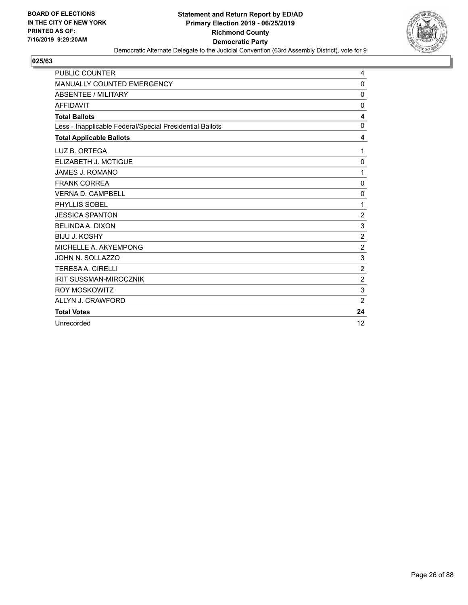

| PUBLIC COUNTER                                           | 4              |
|----------------------------------------------------------|----------------|
| <b>MANUALLY COUNTED EMERGENCY</b>                        | 0              |
| ABSENTEE / MILITARY                                      | 0              |
| <b>AFFIDAVIT</b>                                         | 0              |
| <b>Total Ballots</b>                                     | 4              |
| Less - Inapplicable Federal/Special Presidential Ballots | $\mathbf 0$    |
| <b>Total Applicable Ballots</b>                          | 4              |
| LUZ B. ORTEGA                                            | 1              |
| ELIZABETH J. MCTIGUE                                     | $\mathbf 0$    |
| <b>JAMES J. ROMANO</b>                                   | 1              |
| <b>FRANK CORREA</b>                                      | 0              |
| <b>VERNA D. CAMPBELL</b>                                 | 0              |
| PHYLLIS SOBEL                                            | 1              |
| <b>JESSICA SPANTON</b>                                   | $\overline{c}$ |
| <b>BELINDA A. DIXON</b>                                  | $\mathbf{3}$   |
| <b>BIJU J. KOSHY</b>                                     | $\overline{c}$ |
| MICHELLE A. AKYEMPONG                                    | $\sqrt{2}$     |
| JOHN N. SOLLAZZO                                         | 3              |
| <b>TERESAA. CIRELLI</b>                                  | $\overline{c}$ |
| <b>IRIT SUSSMAN-MIROCZNIK</b>                            | $\overline{2}$ |
| <b>ROY MOSKOWITZ</b>                                     | 3              |
| ALLYN J. CRAWFORD                                        | $\overline{2}$ |
| <b>Total Votes</b>                                       | 24             |
| Unrecorded                                               | 12             |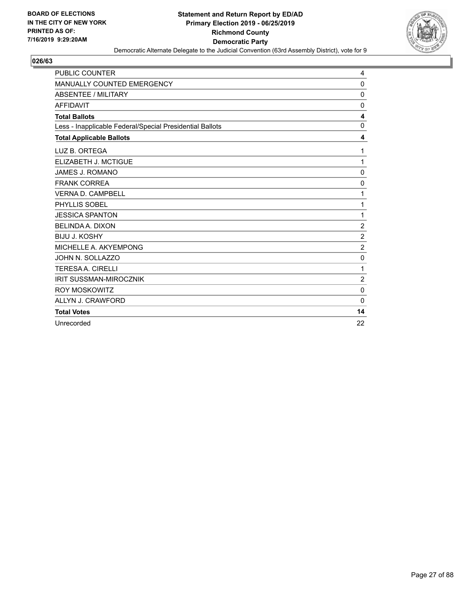

| <b>PUBLIC COUNTER</b>                                    | 4              |
|----------------------------------------------------------|----------------|
| MANUALLY COUNTED EMERGENCY                               | $\Omega$       |
| ABSENTEE / MILITARY                                      | 0              |
| <b>AFFIDAVIT</b>                                         | $\Omega$       |
| <b>Total Ballots</b>                                     | 4              |
| Less - Inapplicable Federal/Special Presidential Ballots | $\Omega$       |
| <b>Total Applicable Ballots</b>                          | 4              |
| LUZ B. ORTEGA                                            | 1              |
| ELIZABETH J. MCTIGUE                                     | 1              |
| JAMES J. ROMANO                                          | $\mathbf 0$    |
| <b>FRANK CORREA</b>                                      | 0              |
| <b>VERNA D. CAMPBELL</b>                                 | 1              |
| PHYLLIS SOBEL                                            | 1              |
| <b>JESSICA SPANTON</b>                                   | 1              |
| <b>BELINDA A. DIXON</b>                                  | 2              |
| <b>BIJU J. KOSHY</b>                                     | 2              |
| MICHELLE A. AKYEMPONG                                    | $\overline{2}$ |
| JOHN N. SOLLAZZO                                         | 0              |
| <b>TERESAA, CIRELLI</b>                                  | 1              |
| <b>IRIT SUSSMAN-MIROCZNIK</b>                            | $\overline{2}$ |
| <b>ROY MOSKOWITZ</b>                                     | $\mathbf 0$    |
| ALLYN J. CRAWFORD                                        | $\Omega$       |
| <b>Total Votes</b>                                       | 14             |
| Unrecorded                                               | 22             |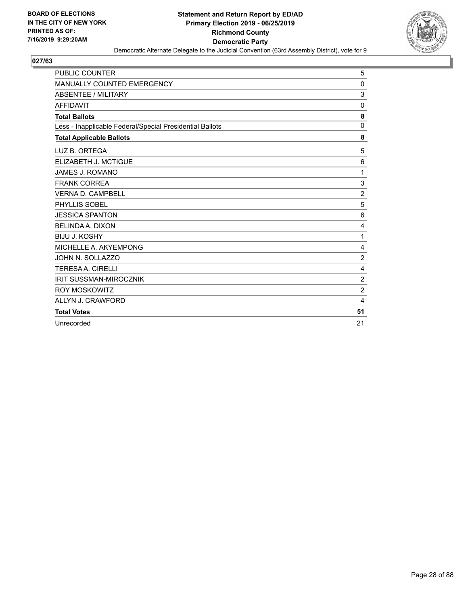

| <b>PUBLIC COUNTER</b>                                    | 5              |
|----------------------------------------------------------|----------------|
| MANUALLY COUNTED EMERGENCY                               | 0              |
| ABSENTEE / MILITARY                                      | 3              |
| <b>AFFIDAVIT</b>                                         | $\Omega$       |
| <b>Total Ballots</b>                                     | 8              |
| Less - Inapplicable Federal/Special Presidential Ballots | $\Omega$       |
| <b>Total Applicable Ballots</b>                          | 8              |
| LUZ B. ORTEGA                                            | 5              |
| ELIZABETH J. MCTIGUE                                     | 6              |
| JAMES J. ROMANO                                          | 1              |
| <b>FRANK CORREA</b>                                      | 3              |
| <b>VERNA D. CAMPBELL</b>                                 | $\overline{2}$ |
| PHYLLIS SOBEL                                            | 5              |
| <b>JESSICA SPANTON</b>                                   | 6              |
| <b>BELINDA A. DIXON</b>                                  | 4              |
| <b>BIJU J. KOSHY</b>                                     | 1              |
| MICHELLE A. AKYEMPONG                                    | $\overline{4}$ |
| JOHN N. SOLLAZZO                                         | $\overline{2}$ |
| <b>TERESAA, CIRELLI</b>                                  | $\overline{4}$ |
| <b>IRIT SUSSMAN-MIROCZNIK</b>                            | $\overline{2}$ |
| <b>ROY MOSKOWITZ</b>                                     | $\overline{2}$ |
| ALLYN J. CRAWFORD                                        | 4              |
| <b>Total Votes</b>                                       | 51             |
| Unrecorded                                               | 21             |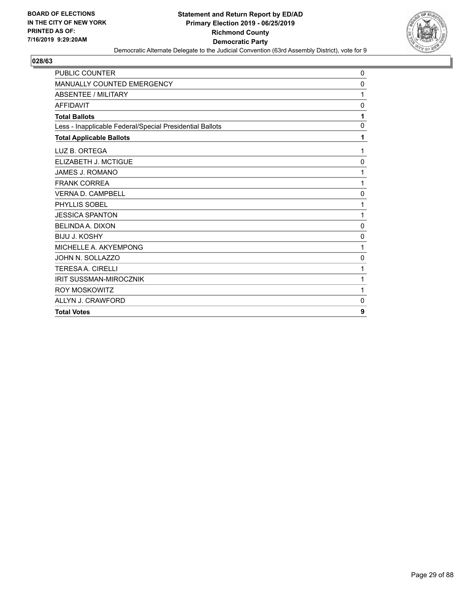

| <b>PUBLIC COUNTER</b>                                    | 0            |
|----------------------------------------------------------|--------------|
| <b>MANUALLY COUNTED EMERGENCY</b>                        | 0            |
| <b>ABSENTEE / MILITARY</b>                               | 1            |
| <b>AFFIDAVIT</b>                                         | $\mathbf{0}$ |
| <b>Total Ballots</b>                                     | 1            |
| Less - Inapplicable Federal/Special Presidential Ballots | 0            |
| <b>Total Applicable Ballots</b>                          | 1            |
| LUZ B. ORTEGA                                            | 1            |
| ELIZABETH J. MCTIGUE                                     | 0            |
| <b>JAMES J. ROMANO</b>                                   | 1            |
| <b>FRANK CORREA</b>                                      | 1            |
| <b>VERNA D. CAMPBELL</b>                                 | $\mathbf 0$  |
| PHYLLIS SOBEL                                            | 1            |
| <b>JESSICA SPANTON</b>                                   | 1            |
| <b>BELINDA A. DIXON</b>                                  | 0            |
| <b>BIJU J. KOSHY</b>                                     | 0            |
| MICHELLE A. AKYEMPONG                                    | 1            |
| JOHN N. SOLLAZZO                                         | 0            |
| <b>TERESAA, CIRELLI</b>                                  | 1            |
| <b>IRIT SUSSMAN-MIROCZNIK</b>                            | 1            |
| <b>ROY MOSKOWITZ</b>                                     | 1            |
| ALLYN J. CRAWFORD                                        | 0            |
| <b>Total Votes</b>                                       | 9            |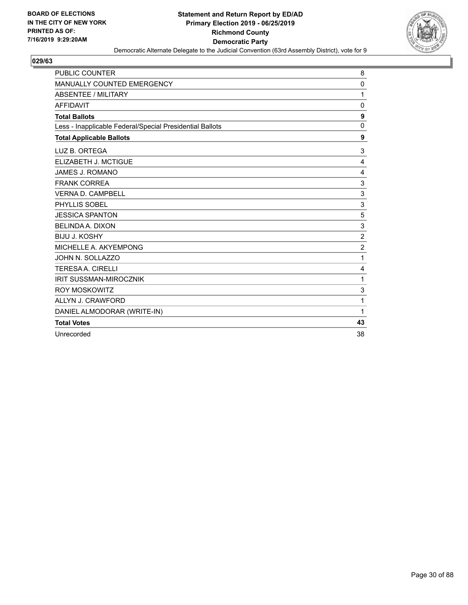

| <b>PUBLIC COUNTER</b>                                    | 8                |
|----------------------------------------------------------|------------------|
| MANUALLY COUNTED EMERGENCY                               | $\mathbf{0}$     |
| <b>ABSENTEE / MILITARY</b>                               | 1                |
| <b>AFFIDAVIT</b>                                         | 0                |
| <b>Total Ballots</b>                                     | 9                |
| Less - Inapplicable Federal/Special Presidential Ballots | $\mathbf 0$      |
| <b>Total Applicable Ballots</b>                          | 9                |
| LUZ B. ORTEGA                                            | 3                |
| ELIZABETH J. MCTIGUE                                     | 4                |
| <b>JAMES J. ROMANO</b>                                   | 4                |
| <b>FRANK CORREA</b>                                      | 3                |
| <b>VERNA D. CAMPBELL</b>                                 | 3                |
| PHYLLIS SOBEL                                            | 3                |
| <b>JESSICA SPANTON</b>                                   | 5                |
| <b>BELINDA A. DIXON</b>                                  | 3                |
| <b>BIJU J. KOSHY</b>                                     | $\boldsymbol{2}$ |
| MICHELLE A. AKYEMPONG                                    | $\overline{2}$   |
| JOHN N. SOLLAZZO                                         | 1                |
| <b>TERESAA. CIRELLI</b>                                  | 4                |
| <b>IRIT SUSSMAN-MIROCZNIK</b>                            | 1                |
| <b>ROY MOSKOWITZ</b>                                     | 3                |
| ALLYN J. CRAWFORD                                        | 1                |
| DANIEL ALMODORAR (WRITE-IN)                              | 1                |
| <b>Total Votes</b>                                       | 43               |
| Unrecorded                                               | 38               |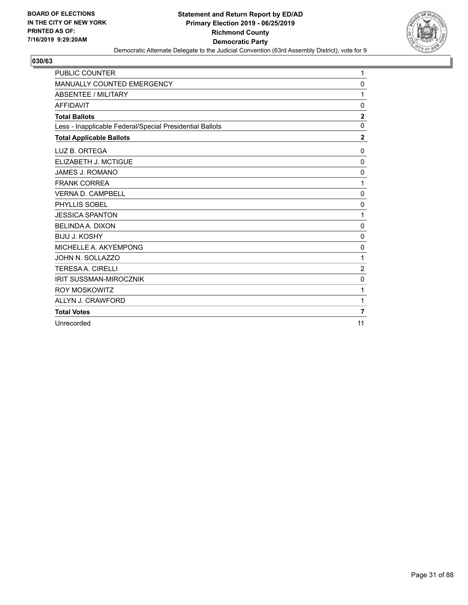

| <b>PUBLIC COUNTER</b>                                    | 1                       |
|----------------------------------------------------------|-------------------------|
| <b>MANUALLY COUNTED EMERGENCY</b>                        | 0                       |
| ABSENTEE / MILITARY                                      | 1                       |
| <b>AFFIDAVIT</b>                                         | 0                       |
| <b>Total Ballots</b>                                     | $\overline{\mathbf{2}}$ |
| Less - Inapplicable Federal/Special Presidential Ballots | $\Omega$                |
| <b>Total Applicable Ballots</b>                          | $\overline{2}$          |
| LUZ B. ORTEGA                                            | 0                       |
| ELIZABETH J. MCTIGUE                                     | 0                       |
| <b>JAMES J. ROMANO</b>                                   | 0                       |
| <b>FRANK CORREA</b>                                      | 1                       |
| <b>VERNA D. CAMPBELL</b>                                 | $\Omega$                |
| PHYLLIS SOBEL                                            | 0                       |
| <b>JESSICA SPANTON</b>                                   | 1                       |
| BELINDA A. DIXON                                         | $\mathbf 0$             |
| <b>BIJU J. KOSHY</b>                                     | 0                       |
| MICHELLE A. AKYEMPONG                                    | 0                       |
| JOHN N. SOLLAZZO                                         | 1                       |
| <b>TERESAA. CIRELLI</b>                                  | $\overline{c}$          |
| <b>IRIT SUSSMAN-MIROCZNIK</b>                            | $\mathbf 0$             |
| <b>ROY MOSKOWITZ</b>                                     | 1                       |
| ALLYN J. CRAWFORD                                        | 1                       |
| <b>Total Votes</b>                                       | 7                       |
| Unrecorded                                               | 11                      |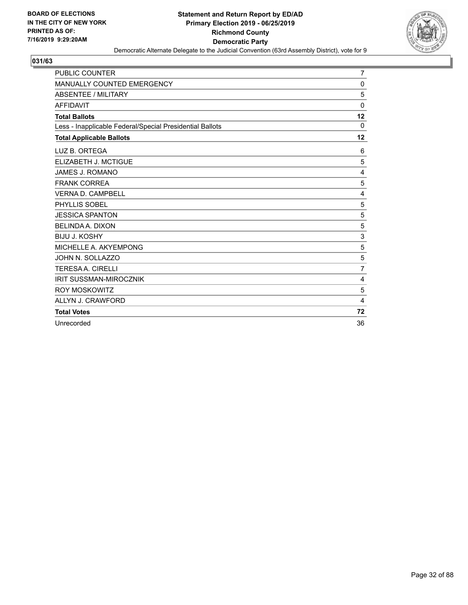

| <b>PUBLIC COUNTER</b>                                    | $\overline{7}$ |
|----------------------------------------------------------|----------------|
| <b>MANUALLY COUNTED EMERGENCY</b>                        | 0              |
| <b>ABSENTEE / MILITARY</b>                               | 5              |
| <b>AFFIDAVIT</b>                                         | 0              |
| <b>Total Ballots</b>                                     | 12             |
| Less - Inapplicable Federal/Special Presidential Ballots | 0              |
| <b>Total Applicable Ballots</b>                          | 12             |
| LUZ B. ORTEGA                                            | 6              |
| ELIZABETH J. MCTIGUE                                     | 5              |
| <b>JAMES J. ROMANO</b>                                   | $\overline{4}$ |
| <b>FRANK CORREA</b>                                      | 5              |
| <b>VERNA D. CAMPBELL</b>                                 | 4              |
| PHYLLIS SOBEL                                            | 5              |
| <b>JESSICA SPANTON</b>                                   | 5              |
| BELINDA A. DIXON                                         | 5              |
| <b>BIJU J. KOSHY</b>                                     | $\mathsf 3$    |
| MICHELLE A. AKYEMPONG                                    | $\mathbf 5$    |
| JOHN N. SOLLAZZO                                         | 5              |
| <b>TERESAA, CIRELLI</b>                                  | $\overline{7}$ |
| <b>IRIT SUSSMAN-MIROCZNIK</b>                            | 4              |
| <b>ROY MOSKOWITZ</b>                                     | 5              |
| ALLYN J. CRAWFORD                                        | 4              |
| <b>Total Votes</b>                                       | 72             |
| Unrecorded                                               | 36             |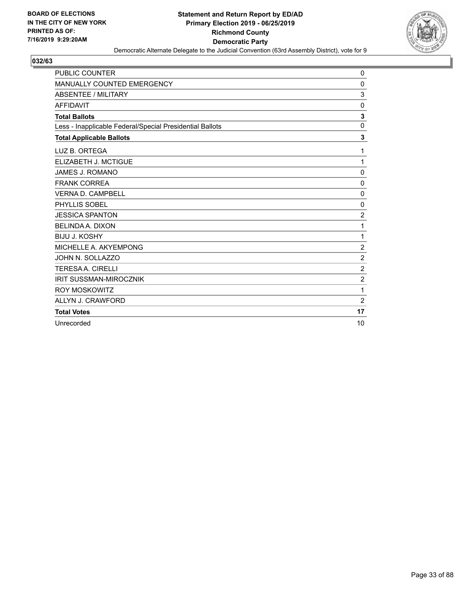

| <b>PUBLIC COUNTER</b>                                    | 0              |
|----------------------------------------------------------|----------------|
| MANUALLY COUNTED EMERGENCY                               | $\Omega$       |
| ABSENTEE / MILITARY                                      | 3              |
| <b>AFFIDAVIT</b>                                         | $\Omega$       |
| <b>Total Ballots</b>                                     | 3              |
| Less - Inapplicable Federal/Special Presidential Ballots | $\Omega$       |
| <b>Total Applicable Ballots</b>                          | 3              |
| LUZ B. ORTEGA                                            | 1              |
| ELIZABETH J. MCTIGUE                                     | 1              |
| JAMES J. ROMANO                                          | $\mathbf 0$    |
| <b>FRANK CORREA</b>                                      | 0              |
| <b>VERNA D. CAMPBELL</b>                                 | 0              |
| PHYLLIS SOBEL                                            | 0              |
| <b>JESSICA SPANTON</b>                                   | $\overline{2}$ |
| <b>BELINDA A. DIXON</b>                                  | 1              |
| <b>BIJU J. KOSHY</b>                                     | 1              |
| MICHELLE A. AKYEMPONG                                    | 2              |
| JOHN N. SOLLAZZO                                         | $\overline{2}$ |
| <b>TERESAA, CIRELLI</b>                                  | $\overline{2}$ |
| <b>IRIT SUSSMAN-MIROCZNIK</b>                            | $\overline{2}$ |
| <b>ROY MOSKOWITZ</b>                                     | 1              |
| ALLYN J. CRAWFORD                                        | 2              |
| <b>Total Votes</b>                                       | 17             |
| Unrecorded                                               | 10             |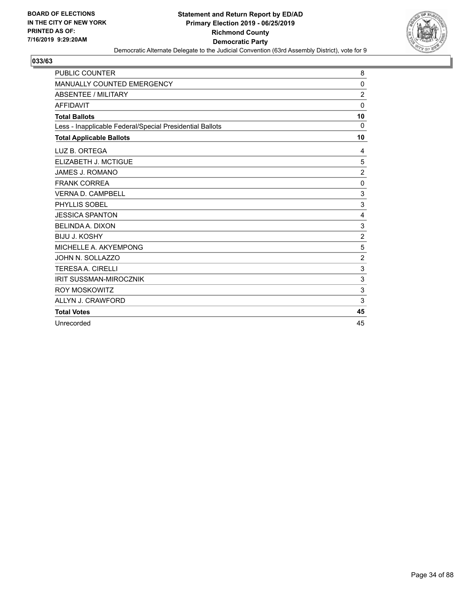

| <b>PUBLIC COUNTER</b>                                    | 8                         |
|----------------------------------------------------------|---------------------------|
| <b>MANUALLY COUNTED EMERGENCY</b>                        | 0                         |
| ABSENTEE / MILITARY                                      | $\overline{c}$            |
| <b>AFFIDAVIT</b>                                         | $\Omega$                  |
| <b>Total Ballots</b>                                     | 10                        |
| Less - Inapplicable Federal/Special Presidential Ballots | 0                         |
| <b>Total Applicable Ballots</b>                          | 10                        |
| LUZ B. ORTEGA                                            | 4                         |
| ELIZABETH J. MCTIGUE                                     | 5                         |
| JAMES J. ROMANO                                          | $\overline{c}$            |
| <b>FRANK CORREA</b>                                      | 0                         |
| <b>VERNA D. CAMPBELL</b>                                 | 3                         |
| PHYLLIS SOBEL                                            | $\mathbf{3}$              |
| <b>JESSICA SPANTON</b>                                   | 4                         |
| <b>BELINDA A. DIXON</b>                                  | 3                         |
| <b>BIJU J. KOSHY</b>                                     | $\overline{2}$            |
| MICHELLE A. AKYEMPONG                                    | 5                         |
| JOHN N. SOLLAZZO                                         | $\overline{c}$            |
| <b>TERESAA. CIRELLI</b>                                  | $\mathbf{3}$              |
| <b>IRIT SUSSMAN-MIROCZNIK</b>                            | $\ensuremath{\mathsf{3}}$ |
| <b>ROY MOSKOWITZ</b>                                     | $\mathbf{3}$              |
| ALLYN J. CRAWFORD                                        | 3                         |
| <b>Total Votes</b>                                       | 45                        |
| Unrecorded                                               | 45                        |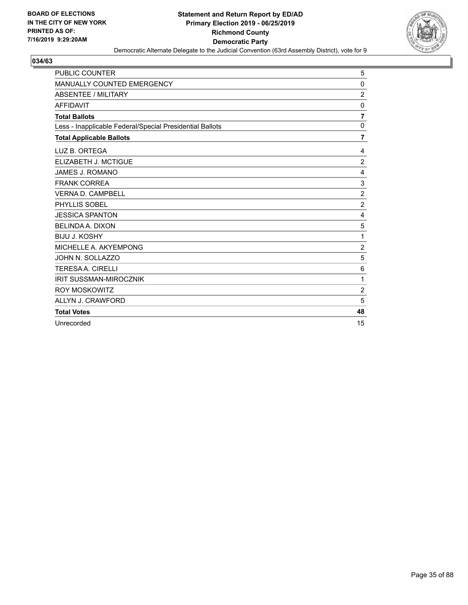

| PUBLIC COUNTER                                           | 5              |
|----------------------------------------------------------|----------------|
| <b>MANUALLY COUNTED EMERGENCY</b>                        | 0              |
| ABSENTEE / MILITARY                                      | $\overline{c}$ |
| <b>AFFIDAVIT</b>                                         | 0              |
| <b>Total Ballots</b>                                     | $\overline{7}$ |
| Less - Inapplicable Federal/Special Presidential Ballots | $\mathbf 0$    |
| <b>Total Applicable Ballots</b>                          | 7              |
| LUZ B. ORTEGA                                            | 4              |
| ELIZABETH J. MCTIGUE                                     | $\overline{2}$ |
| JAMES J. ROMANO                                          | 4              |
| <b>FRANK CORREA</b>                                      | 3              |
| <b>VERNA D. CAMPBELL</b>                                 | $\overline{2}$ |
| PHYLLIS SOBEL                                            | $\overline{2}$ |
| <b>JESSICA SPANTON</b>                                   | 4              |
| <b>BELINDA A. DIXON</b>                                  | 5              |
| <b>BIJU J. KOSHY</b>                                     | 1              |
| MICHELLE A. AKYEMPONG                                    | $\sqrt{2}$     |
| JOHN N. SOLLAZZO                                         | 5              |
| <b>TERESAA. CIRELLI</b>                                  | 6              |
| <b>IRIT SUSSMAN-MIROCZNIK</b>                            | 1              |
| <b>ROY MOSKOWITZ</b>                                     | $\overline{2}$ |
| ALLYN J. CRAWFORD                                        | 5              |
| <b>Total Votes</b>                                       | 48             |
| Unrecorded                                               | 15             |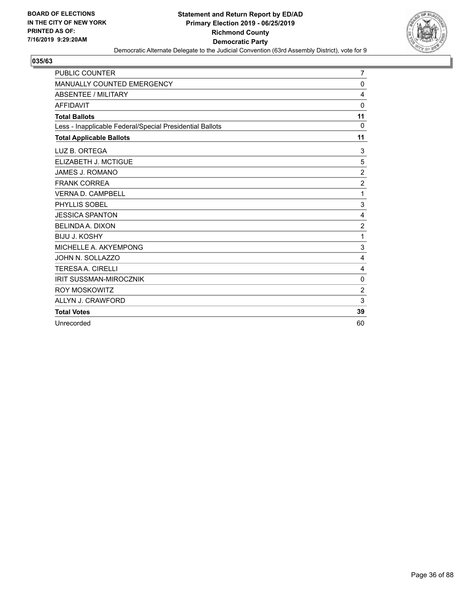

| <b>PUBLIC COUNTER</b>                                    | 7                |
|----------------------------------------------------------|------------------|
| MANUALLY COUNTED EMERGENCY                               | 0                |
| ABSENTEE / MILITARY                                      | 4                |
| <b>AFFIDAVIT</b>                                         | 0                |
| <b>Total Ballots</b>                                     | 11               |
| Less - Inapplicable Federal/Special Presidential Ballots | $\Omega$         |
| <b>Total Applicable Ballots</b>                          | 11               |
| LUZ B. ORTEGA                                            | 3                |
| ELIZABETH J. MCTIGUE                                     | 5                |
| <b>JAMES J. ROMANO</b>                                   | $\boldsymbol{2}$ |
| <b>FRANK CORREA</b>                                      | $\overline{2}$   |
| <b>VERNA D. CAMPBELL</b>                                 | 1                |
| PHYLLIS SOBEL                                            | 3                |
| <b>JESSICA SPANTON</b>                                   | 4                |
| <b>BELINDA A. DIXON</b>                                  | $\overline{c}$   |
| <b>BIJU J. KOSHY</b>                                     | 1                |
| MICHELLE A. AKYEMPONG                                    | 3                |
| JOHN N. SOLLAZZO                                         | 4                |
| <b>TERESAA, CIRELLI</b>                                  | 4                |
| <b>IRIT SUSSMAN-MIROCZNIK</b>                            | $\mathbf 0$      |
| <b>ROY MOSKOWITZ</b>                                     | $\overline{2}$   |
| ALLYN J. CRAWFORD                                        | 3                |
| <b>Total Votes</b>                                       | 39               |
| Unrecorded                                               | 60               |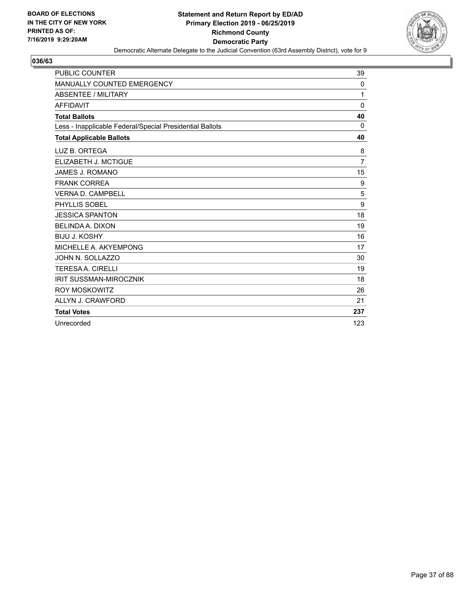

| <b>PUBLIC COUNTER</b>                                    | 39             |
|----------------------------------------------------------|----------------|
| MANUALLY COUNTED EMERGENCY                               | 0              |
| <b>ABSENTEE / MILITARY</b>                               | 1              |
| <b>AFFIDAVIT</b>                                         | $\mathbf{0}$   |
| <b>Total Ballots</b>                                     | 40             |
| Less - Inapplicable Federal/Special Presidential Ballots | $\Omega$       |
| <b>Total Applicable Ballots</b>                          | 40             |
| LUZ B. ORTEGA                                            | 8              |
| ELIZABETH J. MCTIGUE                                     | $\overline{7}$ |
| JAMES J. ROMANO                                          | 15             |
| <b>FRANK CORREA</b>                                      | 9              |
| VERNA D. CAMPBELL                                        | 5              |
| <b>PHYLLIS SOBEL</b>                                     | 9              |
| <b>JESSICA SPANTON</b>                                   | 18             |
| BELINDA A. DIXON                                         | 19             |
| <b>BIJU J. KOSHY</b>                                     | 16             |
| MICHELLE A. AKYEMPONG                                    | 17             |
| JOHN N. SOLLAZZO                                         | 30             |
| <b>TERESA A. CIRELLI</b>                                 | 19             |
| <b>IRIT SUSSMAN-MIROCZNIK</b>                            | 18             |
| ROY MOSKOWITZ                                            | 26             |
| ALLYN J. CRAWFORD                                        | 21             |
| <b>Total Votes</b>                                       | 237            |
| Unrecorded                                               | 123            |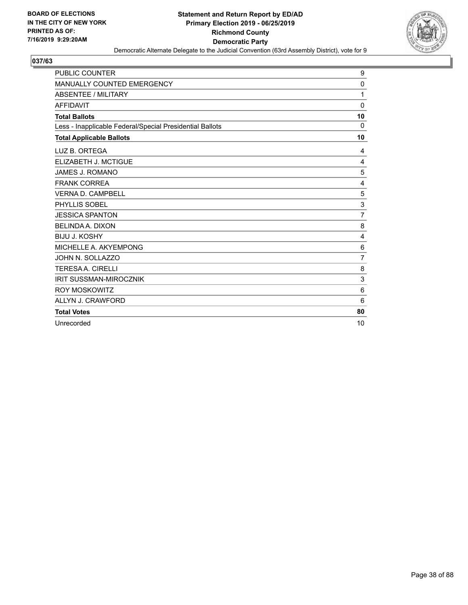

| <b>PUBLIC COUNTER</b>                                    | 9               |
|----------------------------------------------------------|-----------------|
| <b>MANUALLY COUNTED EMERGENCY</b>                        | 0               |
| <b>ABSENTEE / MILITARY</b>                               | 1               |
| <b>AFFIDAVIT</b>                                         | 0               |
| <b>Total Ballots</b>                                     | 10              |
| Less - Inapplicable Federal/Special Presidential Ballots | $\Omega$        |
| <b>Total Applicable Ballots</b>                          | 10              |
| LUZ B. ORTEGA                                            | 4               |
| ELIZABETH J. MCTIGUE                                     | 4               |
| JAMES J. ROMANO                                          | 5               |
| <b>FRANK CORREA</b>                                      | $\overline{4}$  |
| <b>VERNA D. CAMPBELL</b>                                 | 5               |
| PHYLLIS SOBEL                                            | 3               |
| <b>JESSICA SPANTON</b>                                   | $\overline{7}$  |
| <b>BELINDA A. DIXON</b>                                  | 8               |
| <b>BIJU J. KOSHY</b>                                     | 4               |
| MICHELLE A. AKYEMPONG                                    | 6               |
| JOHN N. SOLLAZZO                                         | $\overline{7}$  |
| <b>TERESAA. CIRELLI</b>                                  | 8               |
| <b>IRIT SUSSMAN-MIROCZNIK</b>                            | 3               |
| <b>ROY MOSKOWITZ</b>                                     | $6\phantom{1}6$ |
| ALLYN J. CRAWFORD                                        | 6               |
| <b>Total Votes</b>                                       | 80              |
| Unrecorded                                               | 10              |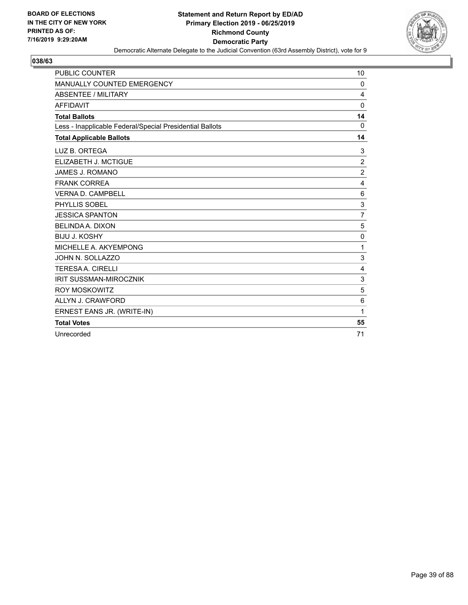

| <b>PUBLIC COUNTER</b>                                    | 10             |
|----------------------------------------------------------|----------------|
| MANUALLY COUNTED EMERGENCY                               | 0              |
| <b>ABSENTEE / MILITARY</b>                               | 4              |
| <b>AFFIDAVIT</b>                                         | $\Omega$       |
| <b>Total Ballots</b>                                     | 14             |
| Less - Inapplicable Federal/Special Presidential Ballots | 0              |
| <b>Total Applicable Ballots</b>                          | 14             |
| LUZ B. ORTEGA                                            | 3              |
| ELIZABETH J. MCTIGUE                                     | $\overline{2}$ |
| <b>JAMES J. ROMANO</b>                                   | $\overline{c}$ |
| <b>FRANK CORREA</b>                                      | 4              |
| <b>VERNA D. CAMPBELL</b>                                 | 6              |
| PHYLLIS SOBEL                                            | 3              |
| <b>JESSICA SPANTON</b>                                   | $\overline{7}$ |
| <b>BELINDA A. DIXON</b>                                  | 5              |
| <b>BIJU J. KOSHY</b>                                     | 0              |
| MICHELLE A. AKYEMPONG                                    | 1              |
| JOHN N. SOLLAZZO                                         | 3              |
| <b>TERESAA. CIRELLI</b>                                  | $\overline{4}$ |
| <b>IRIT SUSSMAN-MIROCZNIK</b>                            | 3              |
| <b>ROY MOSKOWITZ</b>                                     | 5              |
| ALLYN J. CRAWFORD                                        | 6              |
| ERNEST EANS JR. (WRITE-IN)                               | 1              |
| <b>Total Votes</b>                                       | 55             |
| Unrecorded                                               | 71             |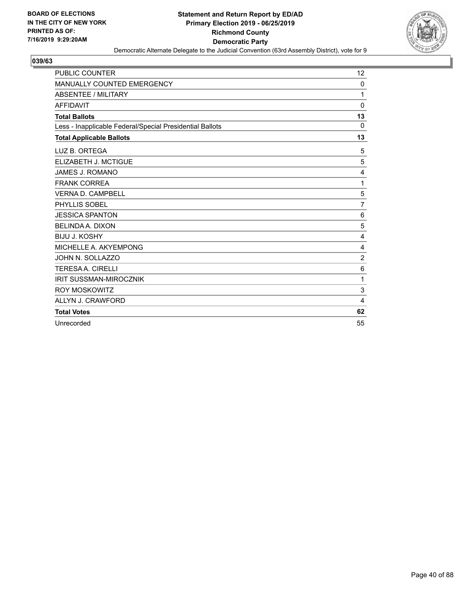

| <b>PUBLIC COUNTER</b>                                    | 12             |
|----------------------------------------------------------|----------------|
| MANUALLY COUNTED EMERGENCY                               | 0              |
| <b>ABSENTEE / MILITARY</b>                               | 1              |
| <b>AFFIDAVIT</b>                                         | 0              |
| <b>Total Ballots</b>                                     | 13             |
| Less - Inapplicable Federal/Special Presidential Ballots | $\Omega$       |
| <b>Total Applicable Ballots</b>                          | 13             |
| LUZ B. ORTEGA                                            | 5              |
| ELIZABETH J. MCTIGUE                                     | 5              |
| JAMES J. ROMANO                                          | 4              |
| <b>FRANK CORREA</b>                                      | 1              |
| <b>VERNA D. CAMPBELL</b>                                 | 5              |
| PHYLLIS SOBEL                                            | $\overline{7}$ |
| <b>JESSICA SPANTON</b>                                   | 6              |
| BELINDA A. DIXON                                         | 5              |
| <b>BIJU J. KOSHY</b>                                     | 4              |
| MICHELLE A. AKYEMPONG                                    | 4              |
| JOHN N. SOLLAZZO                                         | $\overline{2}$ |
| <b>TERESAA. CIRELLI</b>                                  | 6              |
| <b>IRIT SUSSMAN-MIROCZNIK</b>                            | 1              |
| <b>ROY MOSKOWITZ</b>                                     | 3              |
| ALLYN J. CRAWFORD                                        | 4              |
| <b>Total Votes</b>                                       | 62             |
| Unrecorded                                               | 55             |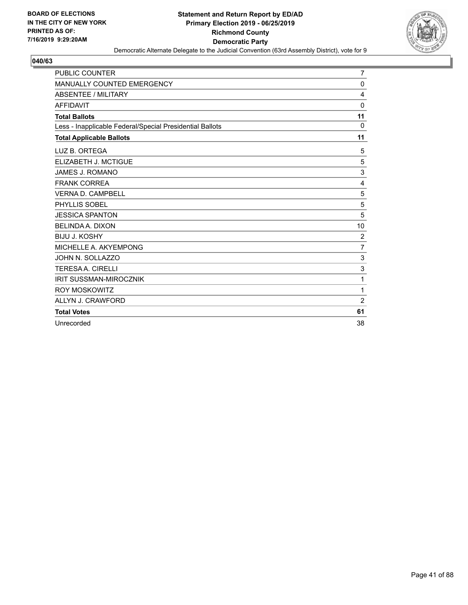

| <b>PUBLIC COUNTER</b>                                    | $\overline{7}$ |
|----------------------------------------------------------|----------------|
| <b>MANUALLY COUNTED EMERGENCY</b>                        | $\mathbf 0$    |
| <b>ABSENTEE / MILITARY</b>                               | $\overline{4}$ |
| <b>AFFIDAVIT</b>                                         | 0              |
| <b>Total Ballots</b>                                     | 11             |
| Less - Inapplicable Federal/Special Presidential Ballots | 0              |
| <b>Total Applicable Ballots</b>                          | 11             |
| LUZ B. ORTEGA                                            | 5              |
| ELIZABETH J. MCTIGUE                                     | 5              |
| <b>JAMES J. ROMANO</b>                                   | 3              |
| <b>FRANK CORREA</b>                                      | $\overline{4}$ |
| <b>VERNA D. CAMPBELL</b>                                 | 5              |
| PHYLLIS SOBEL                                            | 5              |
| <b>JESSICA SPANTON</b>                                   | 5              |
| <b>BELINDA A. DIXON</b>                                  | 10             |
| <b>BIJU J. KOSHY</b>                                     | 2              |
| MICHELLE A. AKYEMPONG                                    | $\overline{7}$ |
| JOHN N. SOLLAZZO                                         | 3              |
| <b>TERESAA, CIRELLI</b>                                  | $\mathsf 3$    |
| <b>IRIT SUSSMAN-MIROCZNIK</b>                            | 1              |
| <b>ROY MOSKOWITZ</b>                                     | 1              |
| ALLYN J. CRAWFORD                                        | $\overline{2}$ |
| <b>Total Votes</b>                                       | 61             |
| Unrecorded                                               | 38             |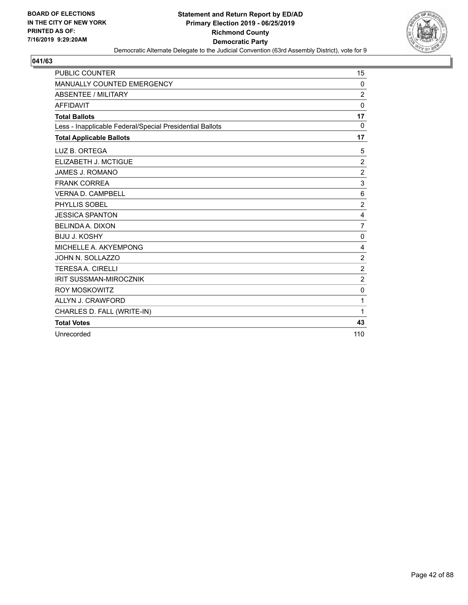

| <b>PUBLIC COUNTER</b>                                    | 15             |
|----------------------------------------------------------|----------------|
| MANUALLY COUNTED EMERGENCY                               | 0              |
| <b>ABSENTEE / MILITARY</b>                               | 2              |
| <b>AFFIDAVIT</b>                                         | $\Omega$       |
| <b>Total Ballots</b>                                     | 17             |
| Less - Inapplicable Federal/Special Presidential Ballots | 0              |
| <b>Total Applicable Ballots</b>                          | 17             |
| LUZ B. ORTEGA                                            | 5              |
| ELIZABETH J. MCTIGUE                                     | $\overline{2}$ |
| <b>JAMES J. ROMANO</b>                                   | $\overline{c}$ |
| <b>FRANK CORREA</b>                                      | 3              |
| <b>VERNA D. CAMPBELL</b>                                 | 6              |
| PHYLLIS SOBEL                                            | $\overline{c}$ |
| <b>JESSICA SPANTON</b>                                   | 4              |
| <b>BELINDA A. DIXON</b>                                  | $\overline{7}$ |
| <b>BIJU J. KOSHY</b>                                     | 0              |
| MICHELLE A. AKYEMPONG                                    | $\overline{4}$ |
| JOHN N. SOLLAZZO                                         | $\overline{c}$ |
| <b>TERESAA. CIRELLI</b>                                  | $\overline{2}$ |
| <b>IRIT SUSSMAN-MIROCZNIK</b>                            | $\overline{2}$ |
| <b>ROY MOSKOWITZ</b>                                     | $\mathbf 0$    |
| ALLYN J. CRAWFORD                                        | 1              |
| CHARLES D. FALL (WRITE-IN)                               | 1              |
| <b>Total Votes</b>                                       | 43             |
| Unrecorded                                               | 110            |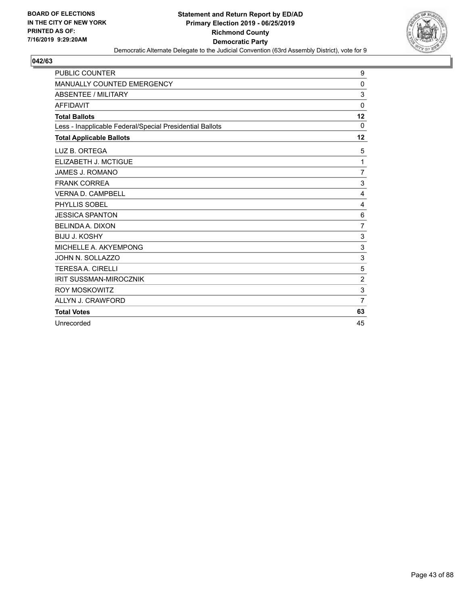

| <b>PUBLIC COUNTER</b>                                    | 9              |
|----------------------------------------------------------|----------------|
| <b>MANUALLY COUNTED EMERGENCY</b>                        | 0              |
| <b>ABSENTEE / MILITARY</b>                               | 3              |
| <b>AFFIDAVIT</b>                                         | 0              |
| <b>Total Ballots</b>                                     | 12             |
| Less - Inapplicable Federal/Special Presidential Ballots | $\Omega$       |
| <b>Total Applicable Ballots</b>                          | 12             |
| LUZ B. ORTEGA                                            | 5              |
| ELIZABETH J. MCTIGUE                                     | 1              |
| <b>JAMES J. ROMANO</b>                                   | $\overline{7}$ |
| <b>FRANK CORREA</b>                                      | 3              |
| <b>VERNA D. CAMPBELL</b>                                 | 4              |
| PHYLLIS SOBEL                                            | 4              |
| <b>JESSICA SPANTON</b>                                   | 6              |
| <b>BELINDA A. DIXON</b>                                  | $\overline{7}$ |
| <b>BIJU J. KOSHY</b>                                     | 3              |
| MICHELLE A. AKYEMPONG                                    | 3              |
| JOHN N. SOLLAZZO                                         | 3              |
| <b>TERESAA, CIRELLI</b>                                  | 5              |
| <b>IRIT SUSSMAN-MIROCZNIK</b>                            | $\overline{2}$ |
| <b>ROY MOSKOWITZ</b>                                     | 3              |
| ALLYN J. CRAWFORD                                        | $\overline{7}$ |
| <b>Total Votes</b>                                       | 63             |
| Unrecorded                                               | 45             |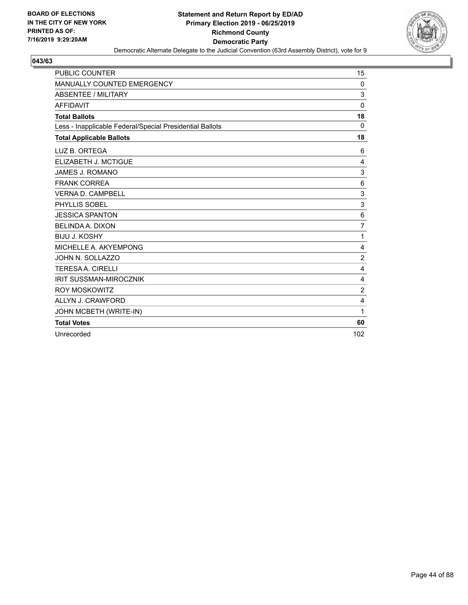

| <b>PUBLIC COUNTER</b>                                    | 15             |
|----------------------------------------------------------|----------------|
| MANUALLY COUNTED EMERGENCY                               | 0              |
| <b>ABSENTEE / MILITARY</b>                               | 3              |
| <b>AFFIDAVIT</b>                                         | $\Omega$       |
| <b>Total Ballots</b>                                     | 18             |
| Less - Inapplicable Federal/Special Presidential Ballots | 0              |
| <b>Total Applicable Ballots</b>                          | 18             |
| LUZ B. ORTEGA                                            | 6              |
| ELIZABETH J. MCTIGUE                                     | 4              |
| <b>JAMES J. ROMANO</b>                                   | 3              |
| <b>FRANK CORREA</b>                                      | 6              |
| <b>VERNA D. CAMPBELL</b>                                 | 3              |
| PHYLLIS SOBEL                                            | 3              |
| <b>JESSICA SPANTON</b>                                   | 6              |
| <b>BELINDA A. DIXON</b>                                  | $\overline{7}$ |
| <b>BIJU J. KOSHY</b>                                     | 1              |
| MICHELLE A. AKYEMPONG                                    | 4              |
| JOHN N. SOLLAZZO                                         | $\overline{2}$ |
| <b>TERESA A. CIRELLI</b>                                 | $\overline{4}$ |
| <b>IRIT SUSSMAN-MIROCZNIK</b>                            | 4              |
| <b>ROY MOSKOWITZ</b>                                     | $\overline{2}$ |
| ALLYN J. CRAWFORD                                        | 4              |
| JOHN MCBETH (WRITE-IN)                                   | 1              |
| <b>Total Votes</b>                                       | 60             |
| Unrecorded                                               | 102            |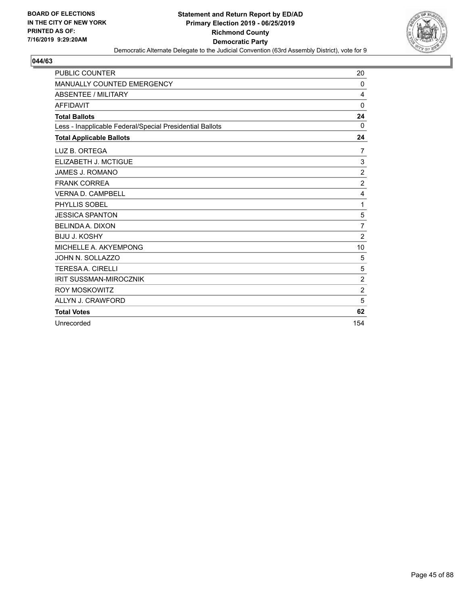

| <b>PUBLIC COUNTER</b>                                    | 20             |
|----------------------------------------------------------|----------------|
| <b>MANUALLY COUNTED EMERGENCY</b>                        | 0              |
| <b>ABSENTEE / MILITARY</b>                               | 4              |
| <b>AFFIDAVIT</b>                                         | $\mathbf 0$    |
| <b>Total Ballots</b>                                     | 24             |
| Less - Inapplicable Federal/Special Presidential Ballots | $\Omega$       |
| <b>Total Applicable Ballots</b>                          | 24             |
| LUZ B. ORTEGA                                            | 7              |
| ELIZABETH J. MCTIGUE                                     | 3              |
| <b>JAMES J. ROMANO</b>                                   | $\overline{c}$ |
| <b>FRANK CORREA</b>                                      | $\overline{2}$ |
| <b>VERNA D. CAMPBELL</b>                                 | $\overline{4}$ |
| PHYLLIS SOBEL                                            | 1              |
| <b>JESSICA SPANTON</b>                                   | 5              |
| <b>BELINDA A. DIXON</b>                                  | $\overline{7}$ |
| <b>BIJU J. KOSHY</b>                                     | $\overline{2}$ |
| MICHELLE A. AKYEMPONG                                    | 10             |
| JOHN N. SOLLAZZO                                         | 5              |
| <b>TERESA A. CIRELLI</b>                                 | 5              |
| <b>IRIT SUSSMAN-MIROCZNIK</b>                            | $\overline{c}$ |
| <b>ROY MOSKOWITZ</b>                                     | $\overline{c}$ |
| ALLYN J. CRAWFORD                                        | 5              |
| <b>Total Votes</b>                                       | 62             |
| Unrecorded                                               | 154            |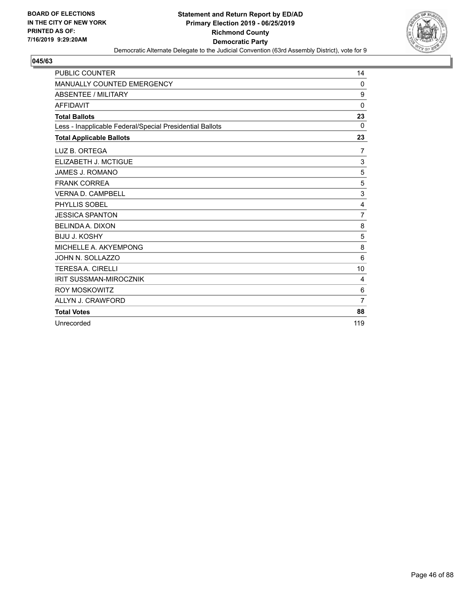

| <b>PUBLIC COUNTER</b>                                    | 14             |
|----------------------------------------------------------|----------------|
| MANUALLY COUNTED EMERGENCY                               | 0              |
| <b>ABSENTEE / MILITARY</b>                               | 9              |
| <b>AFFIDAVIT</b>                                         | $\mathbf 0$    |
| <b>Total Ballots</b>                                     | 23             |
| Less - Inapplicable Federal/Special Presidential Ballots | $\Omega$       |
| <b>Total Applicable Ballots</b>                          | 23             |
| LUZ B. ORTEGA                                            | 7              |
| ELIZABETH J. MCTIGUE                                     | 3              |
| <b>JAMES J. ROMANO</b>                                   | 5              |
| <b>FRANK CORREA</b>                                      | 5              |
| <b>VERNA D. CAMPBELL</b>                                 | 3              |
| PHYLLIS SOBEL                                            | $\overline{4}$ |
| <b>JESSICA SPANTON</b>                                   | $\overline{7}$ |
| <b>BELINDA A. DIXON</b>                                  | 8              |
| <b>BIJU J. KOSHY</b>                                     | 5              |
| MICHELLE A. AKYEMPONG                                    | 8              |
| JOHN N. SOLLAZZO                                         | 6              |
| <b>TERESAA, CIRELLI</b>                                  | 10             |
| <b>IRIT SUSSMAN-MIROCZNIK</b>                            | 4              |
| <b>ROY MOSKOWITZ</b>                                     | 6              |
| ALLYN J. CRAWFORD                                        | 7              |
| <b>Total Votes</b>                                       | 88             |
| Unrecorded                                               | 119            |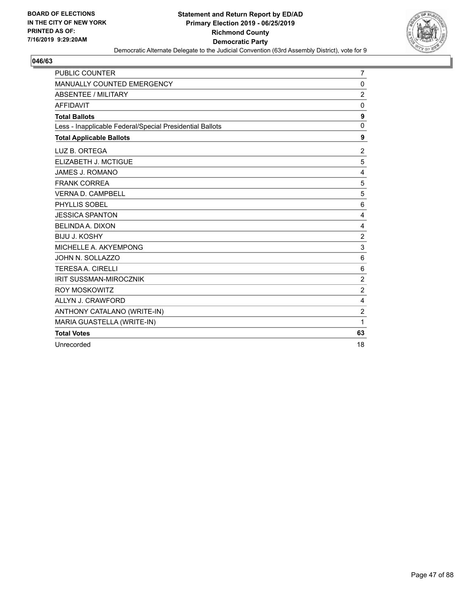

| <b>PUBLIC COUNTER</b>                                    | $\overline{7}$ |
|----------------------------------------------------------|----------------|
| MANUALLY COUNTED EMERGENCY                               | 0              |
| <b>ABSENTEE / MILITARY</b>                               | $\overline{2}$ |
| <b>AFFIDAVIT</b>                                         | $\mathbf 0$    |
| <b>Total Ballots</b>                                     | 9              |
| Less - Inapplicable Federal/Special Presidential Ballots | $\Omega$       |
| <b>Total Applicable Ballots</b>                          | 9              |
| LUZ B. ORTEGA                                            | $\overline{2}$ |
| ELIZABETH J. MCTIGUE                                     | 5              |
| <b>JAMES J. ROMANO</b>                                   | 4              |
| <b>FRANK CORREA</b>                                      | 5              |
| <b>VERNA D. CAMPBELL</b>                                 | 5              |
| PHYLLIS SOBEL                                            | 6              |
| <b>JESSICA SPANTON</b>                                   | 4              |
| <b>BELINDA A. DIXON</b>                                  | 4              |
| <b>BIJU J. KOSHY</b>                                     | $\overline{2}$ |
| MICHELLE A. AKYEMPONG                                    | 3              |
| JOHN N. SOLLAZZO                                         | 6              |
| <b>TERESA A. CIRELLI</b>                                 | 6              |
| <b>IRIT SUSSMAN-MIROCZNIK</b>                            | $\overline{c}$ |
| <b>ROY MOSKOWITZ</b>                                     | $\overline{2}$ |
| ALLYN J. CRAWFORD                                        | $\overline{4}$ |
| ANTHONY CATALANO (WRITE-IN)                              | $\overline{c}$ |
| MARIA GUASTELLA (WRITE-IN)                               | 1              |
| <b>Total Votes</b>                                       | 63             |
| Unrecorded                                               | 18             |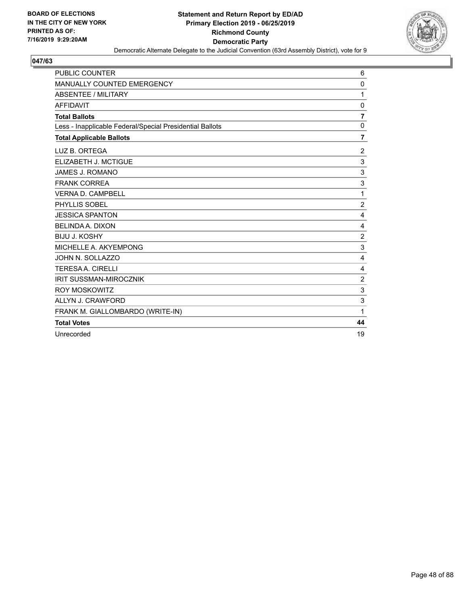

| <b>PUBLIC COUNTER</b>                                    | 6              |
|----------------------------------------------------------|----------------|
| MANUALLY COUNTED EMERGENCY                               | 0              |
| <b>ABSENTEE / MILITARY</b>                               | 1              |
| <b>AFFIDAVIT</b>                                         | 0              |
| <b>Total Ballots</b>                                     | $\overline{7}$ |
| Less - Inapplicable Federal/Special Presidential Ballots | $\mathbf 0$    |
| <b>Total Applicable Ballots</b>                          | 7              |
| LUZ B. ORTEGA                                            | 2              |
| ELIZABETH J. MCTIGUE                                     | 3              |
| <b>JAMES J. ROMANO</b>                                   | 3              |
| <b>FRANK CORREA</b>                                      | 3              |
| <b>VERNA D. CAMPBELL</b>                                 | 1              |
| PHYLLIS SOBEL                                            | $\overline{2}$ |
| <b>JESSICA SPANTON</b>                                   | 4              |
| <b>BELINDA A. DIXON</b>                                  | 4              |
| <b>BIJU J. KOSHY</b>                                     | $\overline{2}$ |
| MICHELLE A. AKYEMPONG                                    | 3              |
| JOHN N. SOLLAZZO                                         | 4              |
| <b>TERESAA. CIRELLI</b>                                  | 4              |
| <b>IRIT SUSSMAN-MIROCZNIK</b>                            | $\overline{c}$ |
| <b>ROY MOSKOWITZ</b>                                     | 3              |
| ALLYN J. CRAWFORD                                        | 3              |
| FRANK M. GIALLOMBARDO (WRITE-IN)                         | 1              |
| <b>Total Votes</b>                                       | 44             |
| Unrecorded                                               | 19             |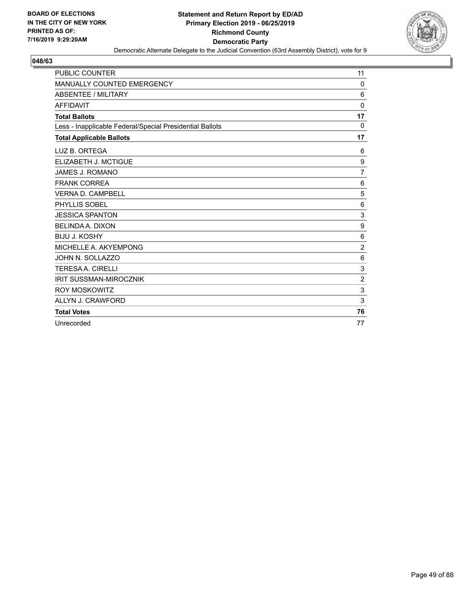

| <b>PUBLIC COUNTER</b>                                    | 11             |
|----------------------------------------------------------|----------------|
| MANUALLY COUNTED EMERGENCY                               | $\Omega$       |
| <b>ABSENTEE / MILITARY</b>                               | 6              |
| <b>AFFIDAVIT</b>                                         | $\Omega$       |
| <b>Total Ballots</b>                                     | 17             |
| Less - Inapplicable Federal/Special Presidential Ballots | $\Omega$       |
| <b>Total Applicable Ballots</b>                          | 17             |
| LUZ B. ORTEGA                                            | 6              |
| ELIZABETH J. MCTIGUE                                     | 9              |
| JAMES J. ROMANO                                          | $\overline{7}$ |
| <b>FRANK CORREA</b>                                      | 6              |
| <b>VERNA D. CAMPBELL</b>                                 | 5              |
| PHYLLIS SOBEL                                            | 6              |
| <b>JESSICA SPANTON</b>                                   | $\sqrt{3}$     |
| <b>BELINDA A. DIXON</b>                                  | 9              |
| <b>BIJU J. KOSHY</b>                                     | 6              |
| MICHELLE A. AKYEMPONG                                    | $\overline{2}$ |
| JOHN N. SOLLAZZO                                         | 6              |
| <b>TERESA A. CIRELLI</b>                                 | $\mathbf{3}$   |
| <b>IRIT SUSSMAN-MIROCZNIK</b>                            | $\overline{2}$ |
| <b>ROY MOSKOWITZ</b>                                     | 3              |
| ALLYN J. CRAWFORD                                        | 3              |
| <b>Total Votes</b>                                       | 76             |
| Unrecorded                                               | 77             |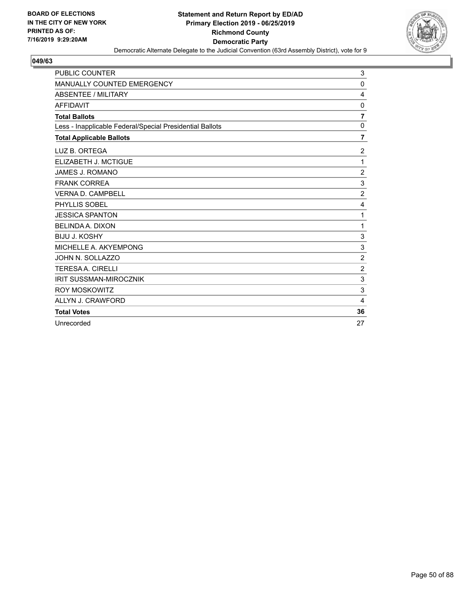

| <b>PUBLIC COUNTER</b>                                    | 3                         |
|----------------------------------------------------------|---------------------------|
| <b>MANUALLY COUNTED EMERGENCY</b>                        | $\Omega$                  |
| <b>ABSENTEE / MILITARY</b>                               | 4                         |
| <b>AFFIDAVIT</b>                                         | 0                         |
| <b>Total Ballots</b>                                     | $\overline{7}$            |
| Less - Inapplicable Federal/Special Presidential Ballots | $\mathbf 0$               |
| <b>Total Applicable Ballots</b>                          | 7                         |
| LUZ B. ORTEGA                                            | $\overline{c}$            |
| ELIZABETH J. MCTIGUE                                     | 1                         |
| <b>JAMES J. ROMANO</b>                                   | $\overline{2}$            |
| <b>FRANK CORREA</b>                                      | 3                         |
| <b>VERNA D. CAMPBELL</b>                                 | $\overline{2}$            |
| PHYLLIS SOBEL                                            | $\overline{4}$            |
| <b>JESSICA SPANTON</b>                                   | 1                         |
| <b>BELINDA A. DIXON</b>                                  | 1                         |
| <b>BIJU J. KOSHY</b>                                     | 3                         |
| MICHELLE A. AKYEMPONG                                    | $\ensuremath{\mathsf{3}}$ |
| JOHN N. SOLLAZZO                                         | $\overline{2}$            |
| <b>TERESAA. CIRELLI</b>                                  | $\overline{c}$            |
| <b>IRIT SUSSMAN-MIROCZNIK</b>                            | $\sqrt{3}$                |
| <b>ROY MOSKOWITZ</b>                                     | 3                         |
| ALLYN J. CRAWFORD                                        | 4                         |
| <b>Total Votes</b>                                       | 36                        |
| Unrecorded                                               | 27                        |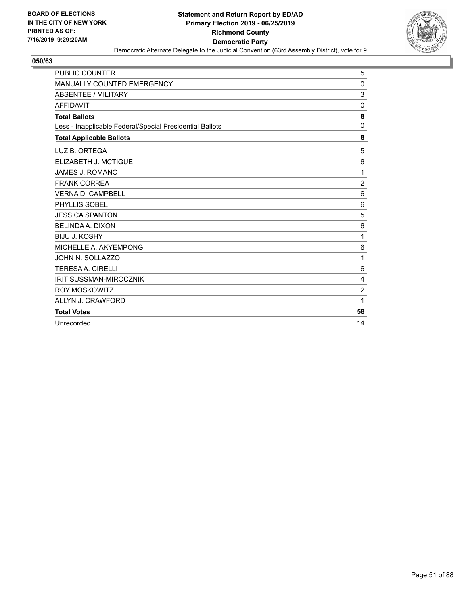

| <b>PUBLIC COUNTER</b>                                    | 5               |
|----------------------------------------------------------|-----------------|
| <b>MANUALLY COUNTED EMERGENCY</b>                        | 0               |
| <b>ABSENTEE / MILITARY</b>                               | 3               |
| <b>AFFIDAVIT</b>                                         | 0               |
| <b>Total Ballots</b>                                     | 8               |
| Less - Inapplicable Federal/Special Presidential Ballots | $\Omega$        |
| <b>Total Applicable Ballots</b>                          | 8               |
| LUZ B. ORTEGA                                            | 5               |
| ELIZABETH J. MCTIGUE                                     | 6               |
| JAMES J. ROMANO                                          | 1               |
| <b>FRANK CORREA</b>                                      | $\overline{2}$  |
| <b>VERNA D. CAMPBELL</b>                                 | $6\phantom{1}6$ |
| PHYLLIS SOBEL                                            | 6               |
| <b>JESSICA SPANTON</b>                                   | 5               |
| BELINDA A. DIXON                                         | 6               |
| <b>BIJU J. KOSHY</b>                                     | 1               |
| MICHELLE A. AKYEMPONG                                    | 6               |
| JOHN N. SOLLAZZO                                         | 1               |
| <b>TERESAA. CIRELLI</b>                                  | 6               |
| <b>IRIT SUSSMAN-MIROCZNIK</b>                            | 4               |
| <b>ROY MOSKOWITZ</b>                                     | $\overline{2}$  |
| ALLYN J. CRAWFORD                                        | 1               |
| <b>Total Votes</b>                                       | 58              |
| Unrecorded                                               | 14              |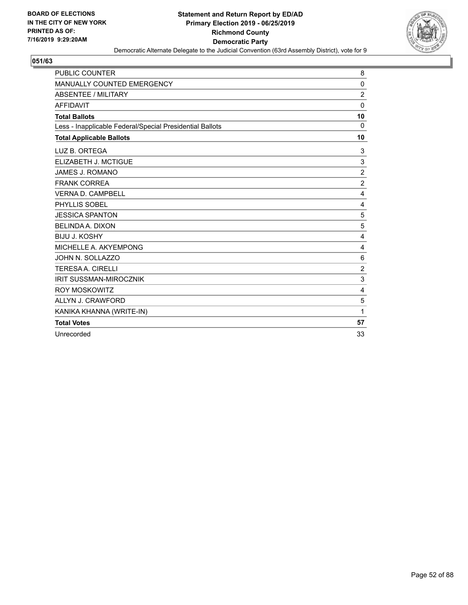

| <b>PUBLIC COUNTER</b>                                    | 8              |
|----------------------------------------------------------|----------------|
| MANUALLY COUNTED EMERGENCY                               | 0              |
| <b>ABSENTEE / MILITARY</b>                               | $\overline{2}$ |
| <b>AFFIDAVIT</b>                                         | $\mathbf 0$    |
| <b>Total Ballots</b>                                     | 10             |
| Less - Inapplicable Federal/Special Presidential Ballots | $\Omega$       |
| <b>Total Applicable Ballots</b>                          | 10             |
| LUZ B. ORTEGA                                            | 3              |
| ELIZABETH J. MCTIGUE                                     | 3              |
| <b>JAMES J. ROMANO</b>                                   | $\overline{c}$ |
| <b>FRANK CORREA</b>                                      | $\overline{2}$ |
| <b>VERNA D. CAMPBELL</b>                                 | $\overline{4}$ |
| PHYLLIS SOBEL                                            | 4              |
| <b>JESSICA SPANTON</b>                                   | 5              |
| <b>BELINDA A. DIXON</b>                                  | 5              |
| <b>BIJU J. KOSHY</b>                                     | $\overline{4}$ |
| MICHELLE A. AKYEMPONG                                    | $\overline{4}$ |
| JOHN N. SOLLAZZO                                         | 6              |
| <b>TERESA A. CIRELLI</b>                                 | $\overline{c}$ |
| <b>IRIT SUSSMAN-MIROCZNIK</b>                            | 3              |
| <b>ROY MOSKOWITZ</b>                                     | 4              |
| ALLYN J. CRAWFORD                                        | 5              |
| KANIKA KHANNA (WRITE-IN)                                 | 1              |
| <b>Total Votes</b>                                       | 57             |
| Unrecorded                                               | 33             |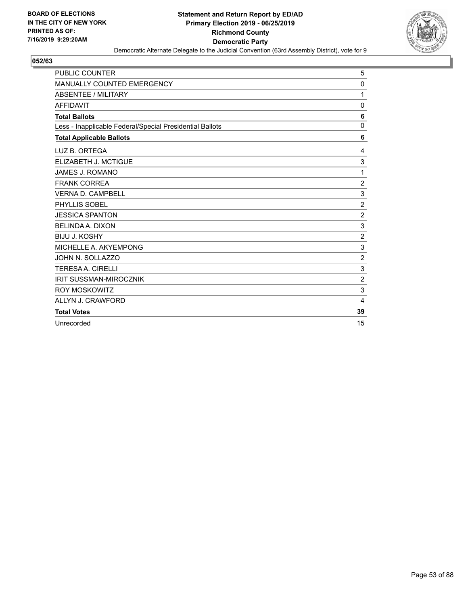

| <b>PUBLIC COUNTER</b>                                    | 5              |
|----------------------------------------------------------|----------------|
| MANUALLY COUNTED EMERGENCY                               | 0              |
| <b>ABSENTEE / MILITARY</b>                               | 1              |
| <b>AFFIDAVIT</b>                                         | 0              |
| <b>Total Ballots</b>                                     | 6              |
| Less - Inapplicable Federal/Special Presidential Ballots | 0              |
| <b>Total Applicable Ballots</b>                          | 6              |
| LUZ B. ORTEGA                                            | 4              |
| ELIZABETH J. MCTIGUE                                     | 3              |
| JAMES J. ROMANO                                          | 1              |
| <b>FRANK CORREA</b>                                      | $\overline{c}$ |
| <b>VERNA D. CAMPBELL</b>                                 | 3              |
| PHYLLIS SOBEL                                            | $\overline{2}$ |
| <b>JESSICA SPANTON</b>                                   | $\overline{c}$ |
| <b>BELINDA A. DIXON</b>                                  | $\mathbf{3}$   |
| <b>BIJU J. KOSHY</b>                                     | $\overline{c}$ |
| MICHELLE A. AKYEMPONG                                    | 3              |
| JOHN N. SOLLAZZO                                         | $\overline{c}$ |
| <b>TERESAA. CIRELLI</b>                                  | 3              |
| <b>IRIT SUSSMAN-MIROCZNIK</b>                            | $\overline{2}$ |
| <b>ROY MOSKOWITZ</b>                                     | $\mathbf{3}$   |
| ALLYN J. CRAWFORD                                        | 4              |
| <b>Total Votes</b>                                       | 39             |
| Unrecorded                                               | 15             |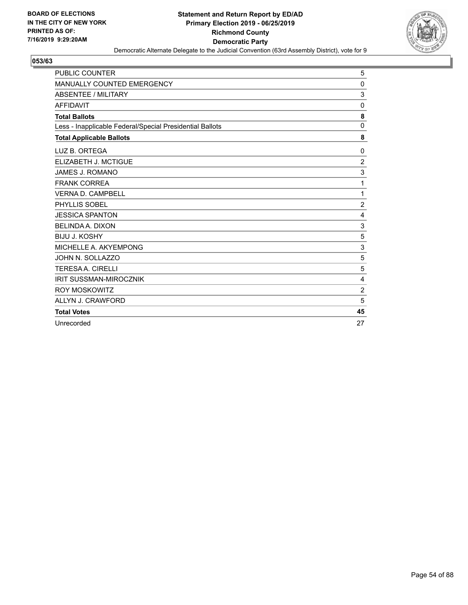

| PUBLIC COUNTER                                           | 5                         |
|----------------------------------------------------------|---------------------------|
| <b>MANUALLY COUNTED EMERGENCY</b>                        | 0                         |
| <b>ABSENTEE / MILITARY</b>                               | 3                         |
| <b>AFFIDAVIT</b>                                         | 0                         |
| <b>Total Ballots</b>                                     | 8                         |
| Less - Inapplicable Federal/Special Presidential Ballots | $\mathbf 0$               |
| <b>Total Applicable Ballots</b>                          | 8                         |
| LUZ B. ORTEGA                                            | 0                         |
| ELIZABETH J. MCTIGUE                                     | $\overline{2}$            |
| JAMES J. ROMANO                                          | 3                         |
| <b>FRANK CORREA</b>                                      | 1                         |
| <b>VERNA D. CAMPBELL</b>                                 | 1                         |
| PHYLLIS SOBEL                                            | $\overline{2}$            |
| <b>JESSICA SPANTON</b>                                   | 4                         |
| <b>BELINDA A. DIXON</b>                                  | $\mathbf{3}$              |
| <b>BIJU J. KOSHY</b>                                     | 5                         |
| MICHELLE A. AKYEMPONG                                    | $\ensuremath{\mathsf{3}}$ |
| JOHN N. SOLLAZZO                                         | 5                         |
| <b>TERESAA. CIRELLI</b>                                  | 5                         |
| <b>IRIT SUSSMAN-MIROCZNIK</b>                            | $\overline{4}$            |
| <b>ROY MOSKOWITZ</b>                                     | $\overline{2}$            |
| ALLYN J. CRAWFORD                                        | 5                         |
| <b>Total Votes</b>                                       | 45                        |
| Unrecorded                                               | 27                        |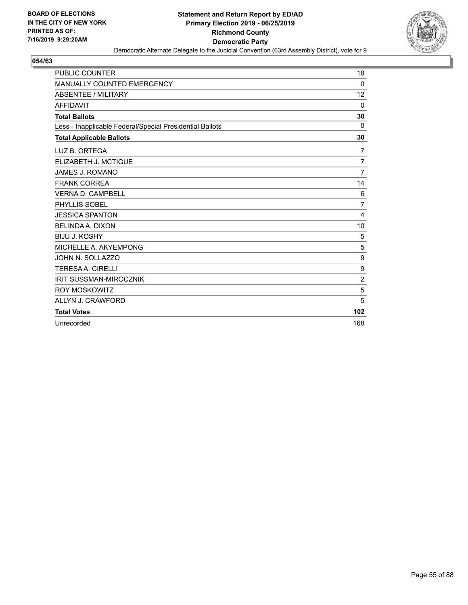

| <b>PUBLIC COUNTER</b>                                    | 18             |
|----------------------------------------------------------|----------------|
| MANUALLY COUNTED EMERGENCY                               | $\Omega$       |
| <b>ABSENTEE / MILITARY</b>                               | 12             |
| <b>AFFIDAVIT</b>                                         | $\mathbf 0$    |
| <b>Total Ballots</b>                                     | 30             |
| Less - Inapplicable Federal/Special Presidential Ballots | $\Omega$       |
| <b>Total Applicable Ballots</b>                          | 30             |
| LUZ B. ORTEGA                                            | 7              |
| ELIZABETH J. MCTIGUE                                     | $\overline{7}$ |
| <b>JAMES J. ROMANO</b>                                   | $\overline{7}$ |
| <b>FRANK CORREA</b>                                      | 14             |
| <b>VERNA D. CAMPBELL</b>                                 | 6              |
| PHYLLIS SOBEL                                            | $\overline{7}$ |
| <b>JESSICA SPANTON</b>                                   | 4              |
| BELINDA A. DIXON                                         | 10             |
| <b>BIJU J. KOSHY</b>                                     | 5              |
| MICHELLE A. AKYEMPONG                                    | 5              |
| JOHN N. SOLLAZZO                                         | 9              |
| <b>TERESA A. CIRELLI</b>                                 | 9              |
| <b>IRIT SUSSMAN-MIROCZNIK</b>                            | $\overline{2}$ |
| ROY MOSKOWITZ                                            | 5              |
| ALLYN J. CRAWFORD                                        | 5              |
| <b>Total Votes</b>                                       | 102            |
| Unrecorded                                               | 168            |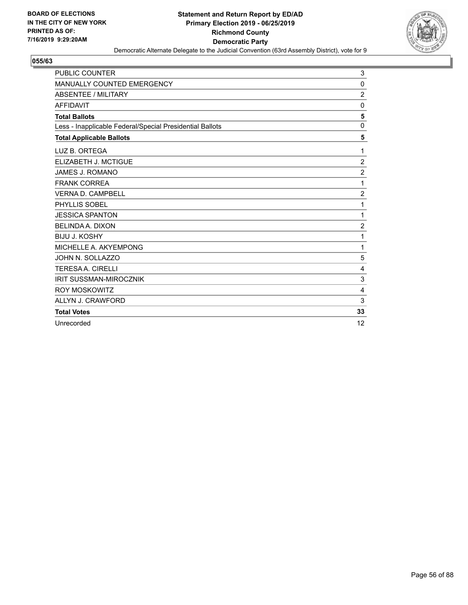

| <b>PUBLIC COUNTER</b>                                    | 3              |
|----------------------------------------------------------|----------------|
| MANUALLY COUNTED EMERGENCY                               | 0              |
| <b>ABSENTEE / MILITARY</b>                               | $\overline{c}$ |
| <b>AFFIDAVIT</b>                                         | 0              |
| <b>Total Ballots</b>                                     | 5              |
| Less - Inapplicable Federal/Special Presidential Ballots | 0              |
| <b>Total Applicable Ballots</b>                          | 5              |
| LUZ B. ORTEGA                                            | 1              |
| ELIZABETH J. MCTIGUE                                     | $\overline{c}$ |
| JAMES J. ROMANO                                          | $\overline{c}$ |
| <b>FRANK CORREA</b>                                      | 1              |
| <b>VERNA D. CAMPBELL</b>                                 | $\overline{2}$ |
| PHYLLIS SOBEL                                            | 1              |
| <b>JESSICA SPANTON</b>                                   | 1              |
| <b>BELINDA A. DIXON</b>                                  | $\overline{c}$ |
| <b>BIJU J. KOSHY</b>                                     | 1              |
| MICHELLE A. AKYEMPONG                                    | 1              |
| JOHN N. SOLLAZZO                                         | 5              |
| <b>TERESAA. CIRELLI</b>                                  | 4              |
| <b>IRIT SUSSMAN-MIROCZNIK</b>                            | 3              |
| <b>ROY MOSKOWITZ</b>                                     | $\overline{4}$ |
| ALLYN J. CRAWFORD                                        | 3              |
| <b>Total Votes</b>                                       | 33             |
| Unrecorded                                               | 12             |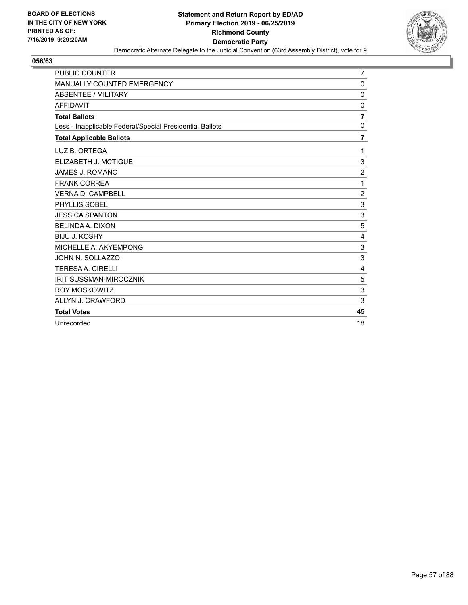

| <b>PUBLIC COUNTER</b>                                    | 7              |
|----------------------------------------------------------|----------------|
| <b>MANUALLY COUNTED EMERGENCY</b>                        | 0              |
| <b>ABSENTEE / MILITARY</b>                               | $\mathbf 0$    |
| <b>AFFIDAVIT</b>                                         | $\mathbf 0$    |
| <b>Total Ballots</b>                                     | $\overline{7}$ |
| Less - Inapplicable Federal/Special Presidential Ballots | $\mathbf{0}$   |
| <b>Total Applicable Ballots</b>                          | 7              |
| LUZ B. ORTEGA                                            | 1              |
| ELIZABETH J. MCTIGUE                                     | 3              |
| <b>JAMES J. ROMANO</b>                                   | $\overline{c}$ |
| <b>FRANK CORREA</b>                                      | 1              |
| <b>VERNA D. CAMPBELL</b>                                 | $\overline{2}$ |
| PHYLLIS SOBEL                                            | 3              |
| <b>JESSICA SPANTON</b>                                   | $\sqrt{3}$     |
| <b>BELINDA A. DIXON</b>                                  | 5              |
| <b>BIJU J. KOSHY</b>                                     | 4              |
| MICHELLE A. AKYEMPONG                                    | $\sqrt{3}$     |
| JOHN N. SOLLAZZO                                         | 3              |
| <b>TERESA A. CIRELLI</b>                                 | $\overline{4}$ |
| <b>IRIT SUSSMAN-MIROCZNIK</b>                            | 5              |
| <b>ROY MOSKOWITZ</b>                                     | 3              |
| ALLYN J. CRAWFORD                                        | 3              |
| <b>Total Votes</b>                                       | 45             |
| Unrecorded                                               | 18             |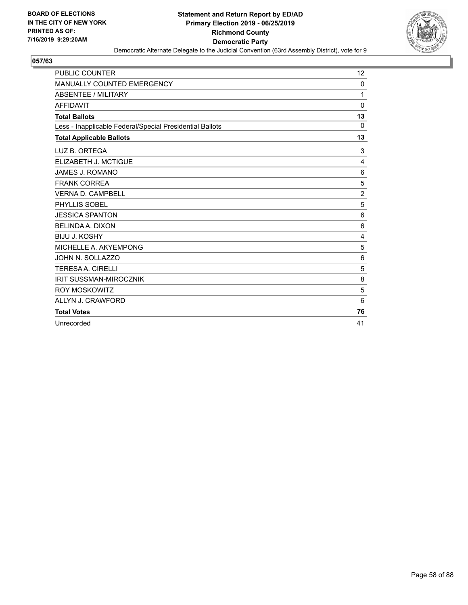

| <b>PUBLIC COUNTER</b>                                    | 12             |
|----------------------------------------------------------|----------------|
| MANUALLY COUNTED EMERGENCY                               | 0              |
| <b>ABSENTEE / MILITARY</b>                               | 1              |
| <b>AFFIDAVIT</b>                                         | 0              |
| <b>Total Ballots</b>                                     | 13             |
| Less - Inapplicable Federal/Special Presidential Ballots | $\Omega$       |
| <b>Total Applicable Ballots</b>                          | 13             |
| LUZ B. ORTEGA                                            | 3              |
| ELIZABETH J. MCTIGUE                                     | 4              |
| JAMES J. ROMANO                                          | 6              |
| <b>FRANK CORREA</b>                                      | 5              |
| <b>VERNA D. CAMPBELL</b>                                 | $\overline{2}$ |
| PHYLLIS SOBEL                                            | 5              |
| <b>JESSICA SPANTON</b>                                   | 6              |
| <b>BELINDA A. DIXON</b>                                  | 6              |
| <b>BIJU J. KOSHY</b>                                     | 4              |
| MICHELLE A. AKYEMPONG                                    | 5              |
| JOHN N. SOLLAZZO                                         | 6              |
| <b>TERESAA. CIRELLI</b>                                  | 5              |
| <b>IRIT SUSSMAN-MIROCZNIK</b>                            | 8              |
| <b>ROY MOSKOWITZ</b>                                     | 5              |
| ALLYN J. CRAWFORD                                        | 6              |
| <b>Total Votes</b>                                       | 76             |
| Unrecorded                                               | 41             |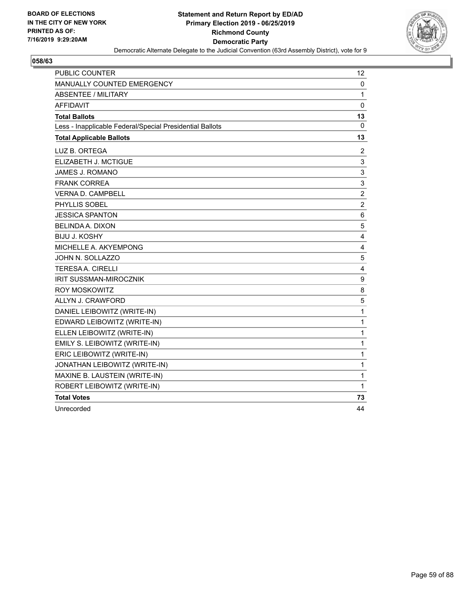

| <b>PUBLIC COUNTER</b>                                    | 12                        |
|----------------------------------------------------------|---------------------------|
| <b>MANUALLY COUNTED EMERGENCY</b>                        | 0                         |
| <b>ABSENTEE / MILITARY</b>                               | 1                         |
| AFFIDAVIT                                                | $\mathbf 0$               |
| <b>Total Ballots</b>                                     | 13                        |
| Less - Inapplicable Federal/Special Presidential Ballots | 0                         |
| <b>Total Applicable Ballots</b>                          | 13                        |
| LUZ B. ORTEGA                                            | 2                         |
| ELIZABETH J. MCTIGUE                                     | 3                         |
| JAMES J. ROMANO                                          | 3                         |
| <b>FRANK CORREA</b>                                      | $\ensuremath{\mathsf{3}}$ |
| <b>VERNA D. CAMPBELL</b>                                 | $\overline{c}$            |
| <b>PHYLLIS SOBEL</b>                                     | $\boldsymbol{2}$          |
| <b>JESSICA SPANTON</b>                                   | 6                         |
| <b>BELINDA A. DIXON</b>                                  | 5                         |
| <b>BIJU J. KOSHY</b>                                     | 4                         |
| MICHELLE A. AKYEMPONG                                    | 4                         |
| JOHN N. SOLLAZZO                                         | 5                         |
| <b>TERESAA, CIRELLI</b>                                  | $\overline{4}$            |
| IRIT SUSSMAN-MIROCZNIK                                   | 9                         |
| <b>ROY MOSKOWITZ</b>                                     | 8                         |
| ALLYN J. CRAWFORD                                        | 5                         |
| DANIEL LEIBOWITZ (WRITE-IN)                              | 1                         |
| EDWARD LEIBOWITZ (WRITE-IN)                              | 1                         |
| ELLEN LEIBOWITZ (WRITE-IN)                               | 1                         |
| EMILY S. LEIBOWITZ (WRITE-IN)                            | 1                         |
| ERIC LEIBOWITZ (WRITE-IN)                                | 1                         |
| JONATHAN LEIBOWITZ (WRITE-IN)                            | 1                         |
| MAXINE B. LAUSTEIN (WRITE-IN)                            | 1                         |
| ROBERT LEIBOWITZ (WRITE-IN)                              | 1                         |
| <b>Total Votes</b>                                       | 73                        |
| Unrecorded                                               | 44                        |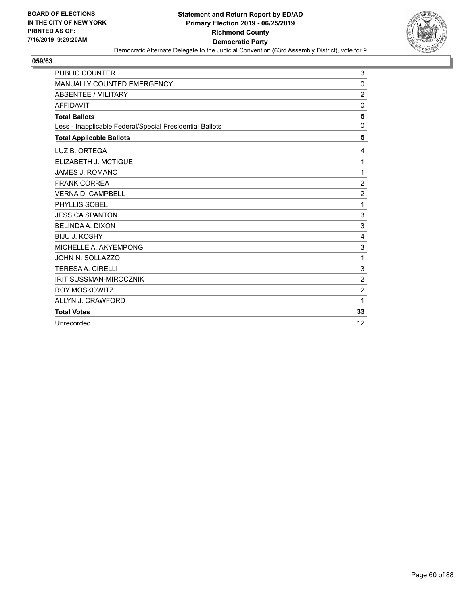

| <b>PUBLIC COUNTER</b>                                    | 3              |
|----------------------------------------------------------|----------------|
| MANUALLY COUNTED EMERGENCY                               | 0              |
| <b>ABSENTEE / MILITARY</b>                               | $\overline{c}$ |
| <b>AFFIDAVIT</b>                                         | 0              |
| <b>Total Ballots</b>                                     | 5              |
| Less - Inapplicable Federal/Special Presidential Ballots | 0              |
| <b>Total Applicable Ballots</b>                          | 5              |
| LUZ B. ORTEGA                                            | 4              |
| ELIZABETH J. MCTIGUE                                     | 1              |
| JAMES J. ROMANO                                          | 1              |
| <b>FRANK CORREA</b>                                      | $\overline{c}$ |
| <b>VERNA D. CAMPBELL</b>                                 | $\overline{2}$ |
| PHYLLIS SOBEL                                            | 1              |
| <b>JESSICA SPANTON</b>                                   | $\sqrt{3}$     |
| <b>BELINDA A. DIXON</b>                                  | 3              |
| <b>BIJU J. KOSHY</b>                                     | 4              |
| MICHELLE A. AKYEMPONG                                    | 3              |
| JOHN N. SOLLAZZO                                         | 1              |
| <b>TERESAA. CIRELLI</b>                                  | 3              |
| <b>IRIT SUSSMAN-MIROCZNIK</b>                            | $\overline{2}$ |
| <b>ROY MOSKOWITZ</b>                                     | $\overline{2}$ |
| ALLYN J. CRAWFORD                                        | 1              |
| <b>Total Votes</b>                                       | 33             |
| Unrecorded                                               | 12             |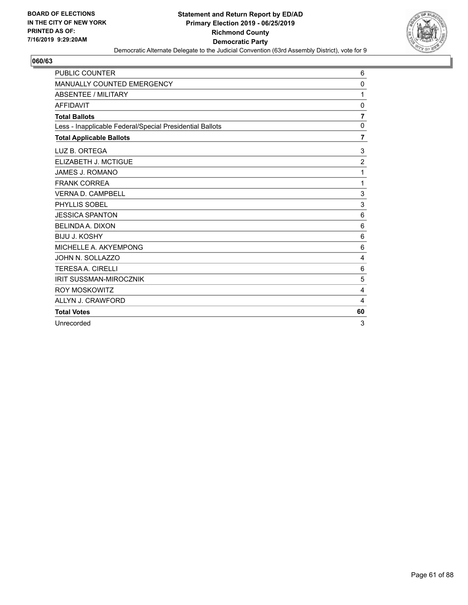

| <b>PUBLIC COUNTER</b>                                    | 6               |
|----------------------------------------------------------|-----------------|
| <b>MANUALLY COUNTED EMERGENCY</b>                        | 0               |
| <b>ABSENTEE / MILITARY</b>                               | 1               |
| <b>AFFIDAVIT</b>                                         | 0               |
| <b>Total Ballots</b>                                     | $\overline{7}$  |
| Less - Inapplicable Federal/Special Presidential Ballots | $\Omega$        |
| <b>Total Applicable Ballots</b>                          | 7               |
| LUZ B. ORTEGA                                            | 3               |
| ELIZABETH J. MCTIGUE                                     | $\overline{c}$  |
| JAMES J. ROMANO                                          | 1               |
| <b>FRANK CORREA</b>                                      | 1               |
| <b>VERNA D. CAMPBELL</b>                                 | 3               |
| PHYLLIS SOBEL                                            | $\mathbf{3}$    |
| <b>JESSICA SPANTON</b>                                   | 6               |
| <b>BELINDA A. DIXON</b>                                  | 6               |
| <b>BIJU J. KOSHY</b>                                     | 6               |
| MICHELLE A. AKYEMPONG                                    | $6\phantom{1}6$ |
| JOHN N. SOLLAZZO                                         | 4               |
| <b>TERESAA. CIRELLI</b>                                  | 6               |
| <b>IRIT SUSSMAN-MIROCZNIK</b>                            | 5               |
| <b>ROY MOSKOWITZ</b>                                     | $\overline{4}$  |
| ALLYN J. CRAWFORD                                        | 4               |
| <b>Total Votes</b>                                       | 60              |
| Unrecorded                                               | 3               |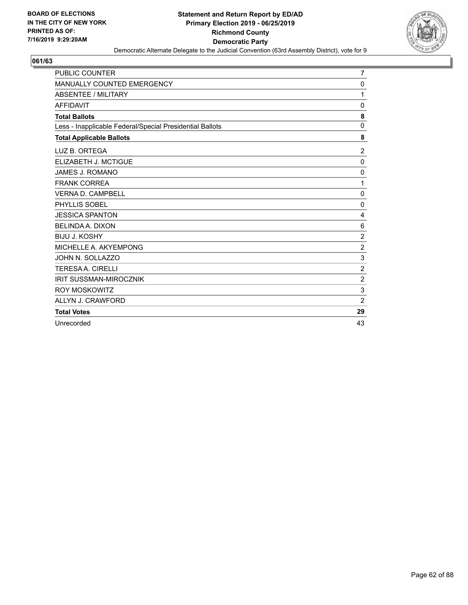

| PUBLIC COUNTER                                           | 7              |
|----------------------------------------------------------|----------------|
| <b>MANUALLY COUNTED EMERGENCY</b>                        | 0              |
| <b>ABSENTEE / MILITARY</b>                               | 1              |
| <b>AFFIDAVIT</b>                                         | 0              |
| <b>Total Ballots</b>                                     | 8              |
| Less - Inapplicable Federal/Special Presidential Ballots | $\mathbf 0$    |
| <b>Total Applicable Ballots</b>                          | 8              |
| LUZ B. ORTEGA                                            | $\overline{c}$ |
| ELIZABETH J. MCTIGUE                                     | $\mathbf 0$    |
| <b>JAMES J. ROMANO</b>                                   | $\mathbf 0$    |
| <b>FRANK CORREA</b>                                      | 1              |
| <b>VERNA D. CAMPBELL</b>                                 | 0              |
| PHYLLIS SOBEL                                            | 0              |
| <b>JESSICA SPANTON</b>                                   | 4              |
| <b>BELINDA A. DIXON</b>                                  | 6              |
| <b>BIJU J. KOSHY</b>                                     | $\overline{2}$ |
| MICHELLE A. AKYEMPONG                                    | $\sqrt{2}$     |
| JOHN N. SOLLAZZO                                         | $\sqrt{3}$     |
| <b>TERESAA. CIRELLI</b>                                  | $\overline{c}$ |
| <b>IRIT SUSSMAN-MIROCZNIK</b>                            | $\overline{2}$ |
| <b>ROY MOSKOWITZ</b>                                     | $\mathbf{3}$   |
| ALLYN J. CRAWFORD                                        | $\overline{2}$ |
| <b>Total Votes</b>                                       | 29             |
| Unrecorded                                               | 43             |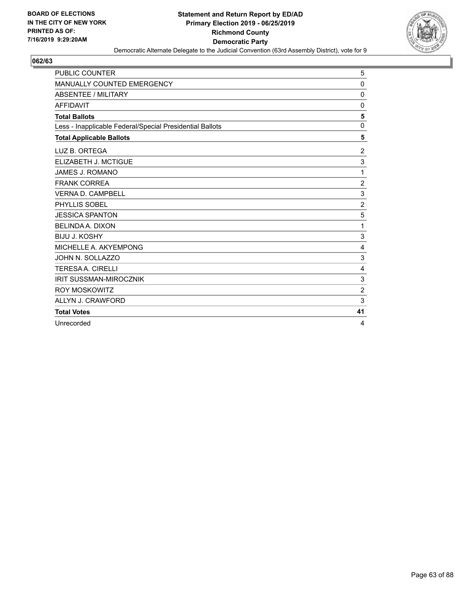

| <b>PUBLIC COUNTER</b>                                    | 5              |
|----------------------------------------------------------|----------------|
| MANUALLY COUNTED EMERGENCY                               | 0              |
| <b>ABSENTEE / MILITARY</b>                               | 0              |
| <b>AFFIDAVIT</b>                                         | $\mathbf{0}$   |
| <b>Total Ballots</b>                                     | 5              |
| Less - Inapplicable Federal/Special Presidential Ballots | $\Omega$       |
| <b>Total Applicable Ballots</b>                          | 5              |
| LUZ B. ORTEGA                                            | $\overline{c}$ |
| ELIZABETH J. MCTIGUE                                     | 3              |
| <b>JAMES J. ROMANO</b>                                   | 1              |
| <b>FRANK CORREA</b>                                      | $\overline{c}$ |
| <b>VERNA D. CAMPBELL</b>                                 | $\sqrt{3}$     |
| PHYLLIS SOBEL                                            | $\overline{c}$ |
| <b>JESSICA SPANTON</b>                                   | 5              |
| <b>BELINDA A. DIXON</b>                                  | 1              |
| <b>BIJU J. KOSHY</b>                                     | 3              |
| MICHELLE A. AKYEMPONG                                    | 4              |
| JOHN N. SOLLAZZO                                         | 3              |
| <b>TERESA A. CIRELLI</b>                                 | $\overline{4}$ |
| <b>IRIT SUSSMAN-MIROCZNIK</b>                            | 3              |
| <b>ROY MOSKOWITZ</b>                                     | $\overline{2}$ |
| ALLYN J. CRAWFORD                                        | 3              |
| <b>Total Votes</b>                                       | 41             |
| Unrecorded                                               | 4              |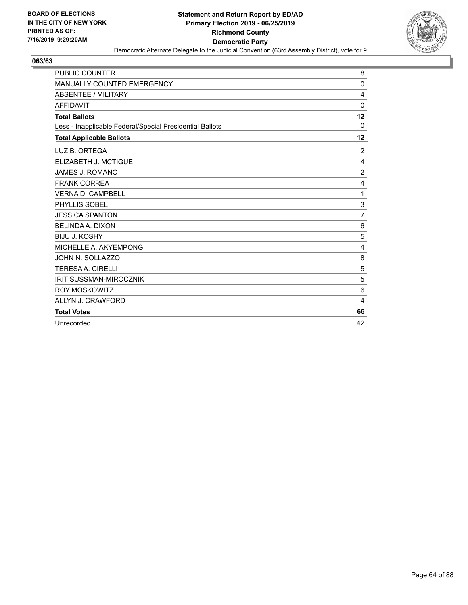

| <b>PUBLIC COUNTER</b>                                    | 8              |
|----------------------------------------------------------|----------------|
| MANUALLY COUNTED EMERGENCY                               | 0              |
| <b>ABSENTEE / MILITARY</b>                               | 4              |
| <b>AFFIDAVIT</b>                                         | 0              |
| <b>Total Ballots</b>                                     | 12             |
| Less - Inapplicable Federal/Special Presidential Ballots | 0              |
| <b>Total Applicable Ballots</b>                          | 12             |
| LUZ B. ORTEGA                                            | $\overline{2}$ |
| ELIZABETH J. MCTIGUE                                     | 4              |
| JAMES J. ROMANO                                          | $\overline{2}$ |
| <b>FRANK CORREA</b>                                      | 4              |
| <b>VERNA D. CAMPBELL</b>                                 | 1              |
| PHYLLIS SOBEL                                            | 3              |
| <b>JESSICA SPANTON</b>                                   | $\overline{7}$ |
| <b>BELINDA A. DIXON</b>                                  | 6              |
| <b>BIJU J. KOSHY</b>                                     | 5              |
| MICHELLE A. AKYEMPONG                                    | 4              |
| JOHN N. SOLLAZZO                                         | 8              |
| <b>TERESAA. CIRELLI</b>                                  | 5              |
| <b>IRIT SUSSMAN-MIROCZNIK</b>                            | 5              |
| <b>ROY MOSKOWITZ</b>                                     | 6              |
| ALLYN J. CRAWFORD                                        | 4              |
| <b>Total Votes</b>                                       | 66             |
| Unrecorded                                               | 42             |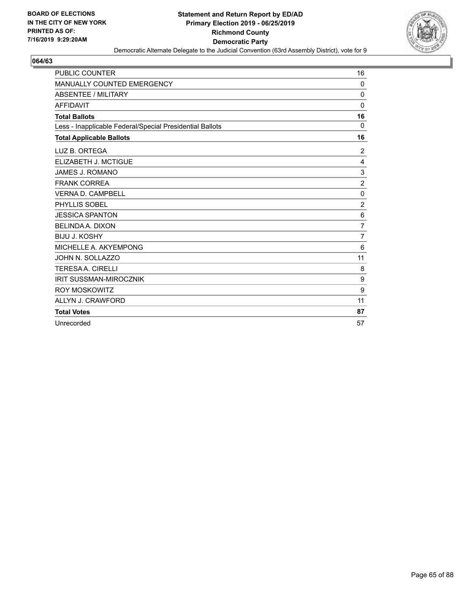

| <b>PUBLIC COUNTER</b>                                    | 16               |
|----------------------------------------------------------|------------------|
| <b>MANUALLY COUNTED EMERGENCY</b>                        | 0                |
| <b>ABSENTEE / MILITARY</b>                               | $\mathbf 0$      |
| <b>AFFIDAVIT</b>                                         | 0                |
| <b>Total Ballots</b>                                     | 16               |
| Less - Inapplicable Federal/Special Presidential Ballots | $\Omega$         |
| <b>Total Applicable Ballots</b>                          | 16               |
| LUZ B. ORTEGA                                            | 2                |
| ELIZABETH J. MCTIGUE                                     | 4                |
| JAMES J. ROMANO                                          | 3                |
| <b>FRANK CORREA</b>                                      | $\overline{2}$   |
| <b>VERNA D. CAMPBELL</b>                                 | $\mathbf 0$      |
| PHYLLIS SOBEL                                            | $\overline{c}$   |
| <b>JESSICA SPANTON</b>                                   | 6                |
| BELINDA A. DIXON                                         | $\overline{7}$   |
| <b>BIJU J. KOSHY</b>                                     | $\overline{7}$   |
| MICHELLE A. AKYEMPONG                                    | 6                |
| JOHN N. SOLLAZZO                                         | 11               |
| <b>TERESAA. CIRELLI</b>                                  | 8                |
| <b>IRIT SUSSMAN-MIROCZNIK</b>                            | $\boldsymbol{9}$ |
| <b>ROY MOSKOWITZ</b>                                     | 9                |
| ALLYN J. CRAWFORD                                        | 11               |
| <b>Total Votes</b>                                       | 87               |
| Unrecorded                                               | 57               |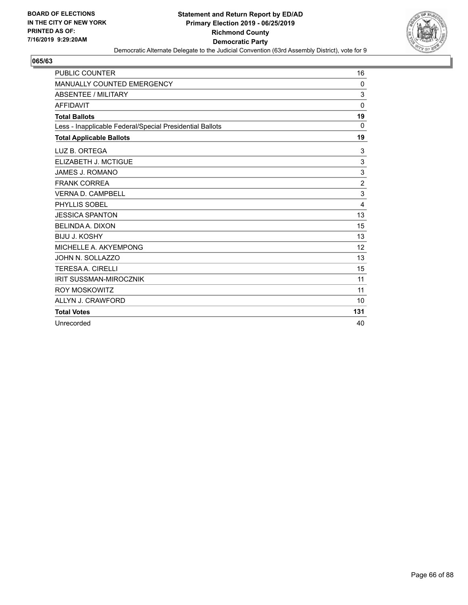

| <b>PUBLIC COUNTER</b>                                    | 16             |
|----------------------------------------------------------|----------------|
| <b>MANUALLY COUNTED EMERGENCY</b>                        | 0              |
| <b>ABSENTEE / MILITARY</b>                               | 3              |
| <b>AFFIDAVIT</b>                                         | $\mathbf 0$    |
| <b>Total Ballots</b>                                     | 19             |
| Less - Inapplicable Federal/Special Presidential Ballots | $\Omega$       |
| <b>Total Applicable Ballots</b>                          | 19             |
| LUZ B. ORTEGA                                            | 3              |
| ELIZABETH J. MCTIGUE                                     | 3              |
| JAMES J. ROMANO                                          | 3              |
| <b>FRANK CORREA</b>                                      | $\overline{2}$ |
| <b>VERNA D. CAMPBELL</b>                                 | 3              |
| PHYLLIS SOBEL                                            | $\overline{4}$ |
| <b>JESSICA SPANTON</b>                                   | 13             |
| <b>BELINDA A. DIXON</b>                                  | 15             |
| <b>BIJU J. KOSHY</b>                                     | 13             |
| MICHELLE A. AKYEMPONG                                    | 12             |
| JOHN N. SOLLAZZO                                         | 13             |
| <b>TERESA A. CIRELLI</b>                                 | 15             |
| <b>IRIT SUSSMAN-MIROCZNIK</b>                            | 11             |
| <b>ROY MOSKOWITZ</b>                                     | 11             |
| ALLYN J. CRAWFORD                                        | 10             |
| <b>Total Votes</b>                                       | 131            |
| Unrecorded                                               | 40             |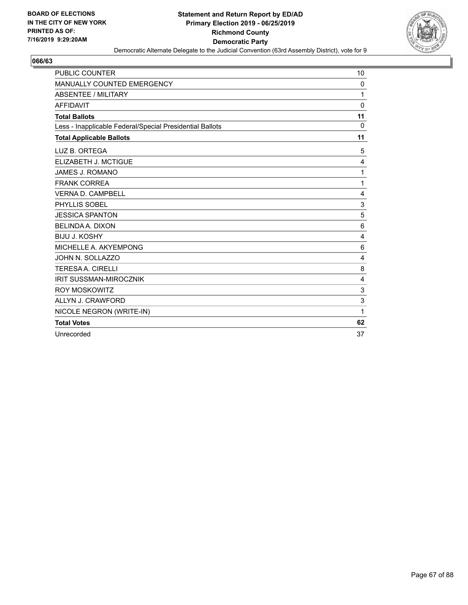

| <b>PUBLIC COUNTER</b>                                    | 10          |
|----------------------------------------------------------|-------------|
| MANUALLY COUNTED EMERGENCY                               | 0           |
| <b>ABSENTEE / MILITARY</b>                               | 1           |
| <b>AFFIDAVIT</b>                                         | $\Omega$    |
| <b>Total Ballots</b>                                     | 11          |
| Less - Inapplicable Federal/Special Presidential Ballots | $\mathbf 0$ |
| <b>Total Applicable Ballots</b>                          | 11          |
| LUZ B. ORTEGA                                            | 5           |
| ELIZABETH J. MCTIGUE                                     | 4           |
| <b>JAMES J. ROMANO</b>                                   | 1           |
| <b>FRANK CORREA</b>                                      | 1           |
| <b>VERNA D. CAMPBELL</b>                                 | 4           |
| PHYLLIS SOBEL                                            | 3           |
| <b>JESSICA SPANTON</b>                                   | 5           |
| <b>BELINDA A. DIXON</b>                                  | 6           |
| <b>BIJU J. KOSHY</b>                                     | 4           |
| MICHELLE A. AKYEMPONG                                    | 6           |
| JOHN N. SOLLAZZO                                         | 4           |
| <b>TERESAA. CIRELLI</b>                                  | 8           |
| <b>IRIT SUSSMAN-MIROCZNIK</b>                            | 4           |
| <b>ROY MOSKOWITZ</b>                                     | 3           |
| ALLYN J. CRAWFORD                                        | 3           |
| NICOLE NEGRON (WRITE-IN)                                 | 1           |
| <b>Total Votes</b>                                       | 62          |
| Unrecorded                                               | 37          |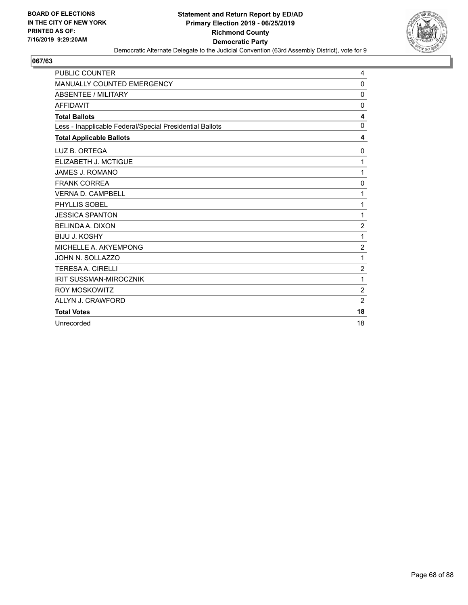

| <b>PUBLIC COUNTER</b>                                    | 4              |
|----------------------------------------------------------|----------------|
| <b>MANUALLY COUNTED EMERGENCY</b>                        | $\Omega$       |
| ABSENTEE / MILITARY                                      | 0              |
| <b>AFFIDAVIT</b>                                         | 0              |
| <b>Total Ballots</b>                                     | 4              |
| Less - Inapplicable Federal/Special Presidential Ballots | $\Omega$       |
| <b>Total Applicable Ballots</b>                          | 4              |
| LUZ B. ORTEGA                                            | 0              |
| ELIZABETH J. MCTIGUE                                     | 1              |
| <b>JAMES J. ROMANO</b>                                   | 1              |
| <b>FRANK CORREA</b>                                      | 0              |
| <b>VERNA D. CAMPBELL</b>                                 | 1              |
| PHYLLIS SOBEL                                            | 1              |
| <b>JESSICA SPANTON</b>                                   | 1              |
| <b>BELINDA A. DIXON</b>                                  | $\overline{2}$ |
| <b>BIJU J. KOSHY</b>                                     | 1              |
| MICHELLE A. AKYEMPONG                                    | $\overline{c}$ |
| JOHN N. SOLLAZZO                                         | 1              |
| <b>TERESAA. CIRELLI</b>                                  | $\overline{2}$ |
| <b>IRIT SUSSMAN-MIROCZNIK</b>                            | 1              |
| <b>ROY MOSKOWITZ</b>                                     | $\overline{2}$ |
| ALLYN J. CRAWFORD                                        | $\overline{2}$ |
| <b>Total Votes</b>                                       | 18             |
| Unrecorded                                               | 18             |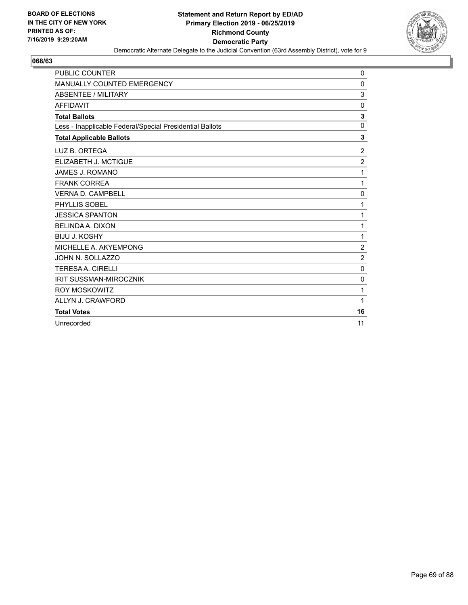

| <b>PUBLIC COUNTER</b>                                    | 0                |
|----------------------------------------------------------|------------------|
| <b>MANUALLY COUNTED EMERGENCY</b>                        | 0                |
| ABSENTEE / MILITARY                                      | 3                |
| <b>AFFIDAVIT</b>                                         | 0                |
| <b>Total Ballots</b>                                     | 3                |
| Less - Inapplicable Federal/Special Presidential Ballots | $\mathbf 0$      |
| <b>Total Applicable Ballots</b>                          | 3                |
| LUZ B. ORTEGA                                            | $\overline{2}$   |
| ELIZABETH J. MCTIGUE                                     | $\overline{2}$   |
| <b>JAMES J. ROMANO</b>                                   | 1                |
| <b>FRANK CORREA</b>                                      | 1                |
| <b>VERNA D. CAMPBELL</b>                                 | 0                |
| PHYLLIS SOBEL                                            | 1                |
| <b>JESSICA SPANTON</b>                                   | 1                |
| <b>BELINDA A. DIXON</b>                                  | 1                |
| <b>BIJU J. KOSHY</b>                                     | 1                |
| MICHELLE A. AKYEMPONG                                    | $\boldsymbol{2}$ |
| JOHN N. SOLLAZZO                                         | $\overline{2}$   |
| <b>TERESAA, CIRELLI</b>                                  | $\mathbf 0$      |
| <b>IRIT SUSSMAN-MIROCZNIK</b>                            | 0                |
| <b>ROY MOSKOWITZ</b>                                     | 1                |
| ALLYN J. CRAWFORD                                        | 1                |
| <b>Total Votes</b>                                       | 16               |
| Unrecorded                                               | 11               |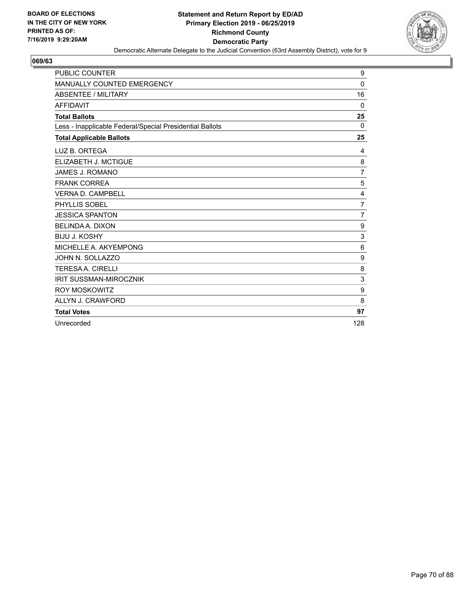

| <b>PUBLIC COUNTER</b>                                    | 9              |
|----------------------------------------------------------|----------------|
| <b>MANUALLY COUNTED EMERGENCY</b>                        | $\Omega$       |
| ABSENTEE / MILITARY                                      | 16             |
| <b>AFFIDAVIT</b>                                         | 0              |
| <b>Total Ballots</b>                                     | 25             |
| Less - Inapplicable Federal/Special Presidential Ballots | $\Omega$       |
| <b>Total Applicable Ballots</b>                          | 25             |
| LUZ B. ORTEGA                                            | 4              |
| ELIZABETH J. MCTIGUE                                     | 8              |
| JAMES J. ROMANO                                          | 7              |
| <b>FRANK CORREA</b>                                      | 5              |
| <b>VERNA D. CAMPBELL</b>                                 | 4              |
| PHYLLIS SOBEL                                            | $\overline{7}$ |
| <b>JESSICA SPANTON</b>                                   | $\overline{7}$ |
| <b>BELINDA A. DIXON</b>                                  | 9              |
| <b>BIJU J. KOSHY</b>                                     | 3              |
| MICHELLE A. AKYEMPONG                                    | 6              |
| JOHN N. SOLLAZZO                                         | 9              |
| <b>TERESAA, CIRELLI</b>                                  | 8              |
| <b>IRIT SUSSMAN-MIROCZNIK</b>                            | 3              |
| <b>ROY MOSKOWITZ</b>                                     | 9              |
| ALLYN J. CRAWFORD                                        | 8              |
| <b>Total Votes</b>                                       | 97             |
| Unrecorded                                               | 128            |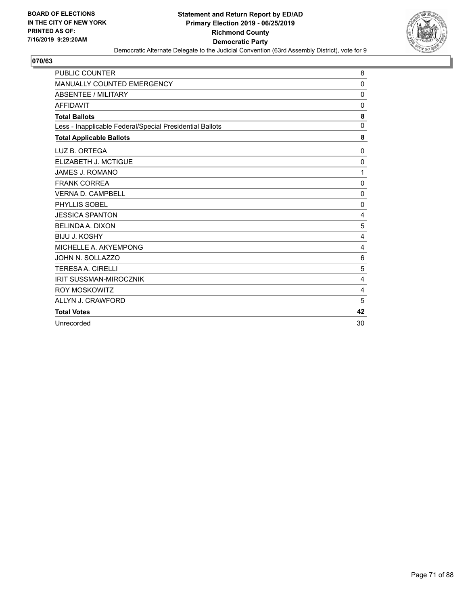

| <b>PUBLIC COUNTER</b>                                    | 8              |
|----------------------------------------------------------|----------------|
| MANUALLY COUNTED EMERGENCY                               | 0              |
| ABSENTEE / MILITARY                                      | 0              |
| <b>AFFIDAVIT</b>                                         | 0              |
| <b>Total Ballots</b>                                     | 8              |
| Less - Inapplicable Federal/Special Presidential Ballots | $\mathbf 0$    |
| <b>Total Applicable Ballots</b>                          | 8              |
| LUZ B. ORTEGA                                            | 0              |
| ELIZABETH J. MCTIGUE                                     | $\mathbf 0$    |
| JAMES J. ROMANO                                          | 1              |
| <b>FRANK CORREA</b>                                      | 0              |
| <b>VERNA D. CAMPBELL</b>                                 | 0              |
| PHYLLIS SOBEL                                            | 0              |
| <b>JESSICA SPANTON</b>                                   | 4              |
| <b>BELINDA A. DIXON</b>                                  | 5              |
| <b>BIJU J. KOSHY</b>                                     | 4              |
| MICHELLE A. AKYEMPONG                                    | 4              |
| JOHN N. SOLLAZZO                                         | 6              |
| <b>TERESAA. CIRELLI</b>                                  | 5              |
| <b>IRIT SUSSMAN-MIROCZNIK</b>                            | 4              |
| <b>ROY MOSKOWITZ</b>                                     | $\overline{4}$ |
| ALLYN J. CRAWFORD                                        | 5              |
| <b>Total Votes</b>                                       | 42             |
| Unrecorded                                               | 30             |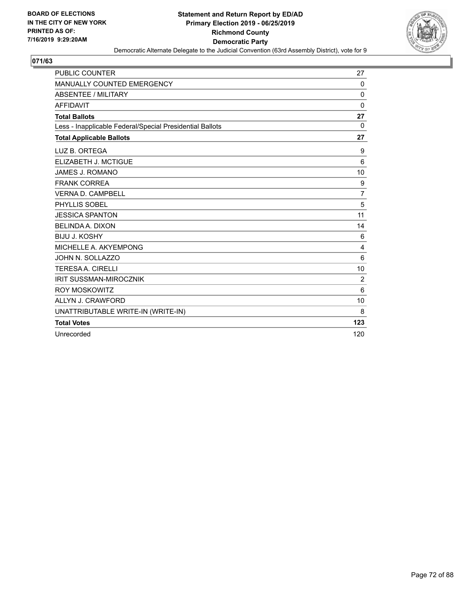

| <b>PUBLIC COUNTER</b>                                    | 27             |
|----------------------------------------------------------|----------------|
| MANUALLY COUNTED EMERGENCY                               | $\Omega$       |
| <b>ABSENTEE / MILITARY</b>                               | $\Omega$       |
| <b>AFFIDAVIT</b>                                         | $\Omega$       |
| <b>Total Ballots</b>                                     | 27             |
| Less - Inapplicable Federal/Special Presidential Ballots | 0              |
| <b>Total Applicable Ballots</b>                          | 27             |
| LUZ B. ORTEGA                                            | 9              |
| ELIZABETH J. MCTIGUE                                     | 6              |
| JAMES J. ROMANO                                          | 10             |
| <b>FRANK CORREA</b>                                      | 9              |
| <b>VERNA D. CAMPBELL</b>                                 | $\overline{7}$ |
| PHYLLIS SOBEL                                            | 5              |
| <b>JESSICA SPANTON</b>                                   | 11             |
| <b>BELINDA A. DIXON</b>                                  | 14             |
| <b>BIJU J. KOSHY</b>                                     | 6              |
| MICHELLE A. AKYEMPONG                                    | 4              |
| JOHN N. SOLLAZZO                                         | 6              |
| <b>TERESA A. CIRELLI</b>                                 | 10             |
| <b>IRIT SUSSMAN-MIROCZNIK</b>                            | $\overline{2}$ |
| <b>ROY MOSKOWITZ</b>                                     | 6              |
| ALLYN J. CRAWFORD                                        | 10             |
| UNATTRIBUTABLE WRITE-IN (WRITE-IN)                       | 8              |
| <b>Total Votes</b>                                       | 123            |
| Unrecorded                                               | 120            |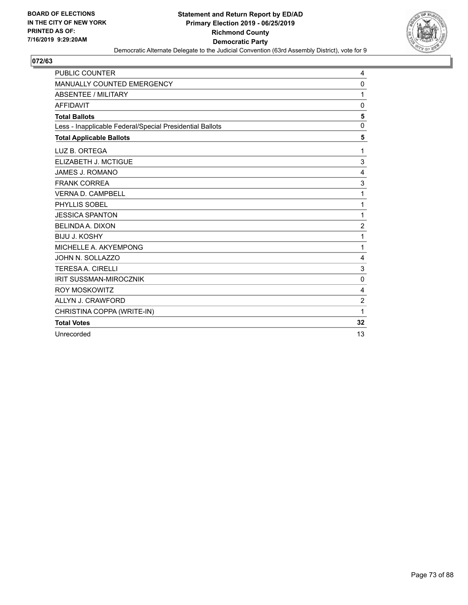

| <b>PUBLIC COUNTER</b>                                    | 4              |
|----------------------------------------------------------|----------------|
| MANUALLY COUNTED EMERGENCY                               | 0              |
| <b>ABSENTEE / MILITARY</b>                               | 1              |
| <b>AFFIDAVIT</b>                                         | $\mathbf{0}$   |
| <b>Total Ballots</b>                                     | 5              |
| Less - Inapplicable Federal/Special Presidential Ballots | 0              |
| <b>Total Applicable Ballots</b>                          | 5              |
| LUZ B. ORTEGA                                            | 1              |
| ELIZABETH J. MCTIGUE                                     | 3              |
| <b>JAMES J. ROMANO</b>                                   | 4              |
| <b>FRANK CORREA</b>                                      | 3              |
| <b>VERNA D. CAMPBELL</b>                                 | 1              |
| PHYLLIS SOBEL                                            | 1              |
| <b>JESSICA SPANTON</b>                                   | 1              |
| <b>BELINDA A. DIXON</b>                                  | $\overline{c}$ |
| <b>BIJU J. KOSHY</b>                                     | 1              |
| MICHELLE A. AKYEMPONG                                    | 1              |
| JOHN N. SOLLAZZO                                         | 4              |
| <b>TERESA A. CIRELLI</b>                                 | $\mathbf{3}$   |
| <b>IRIT SUSSMAN-MIROCZNIK</b>                            | $\Omega$       |
| <b>ROY MOSKOWITZ</b>                                     | $\overline{4}$ |
| ALLYN J. CRAWFORD                                        | $\overline{c}$ |
| CHRISTINA COPPA (WRITE-IN)                               | 1              |
| <b>Total Votes</b>                                       | 32             |
| Unrecorded                                               | 13             |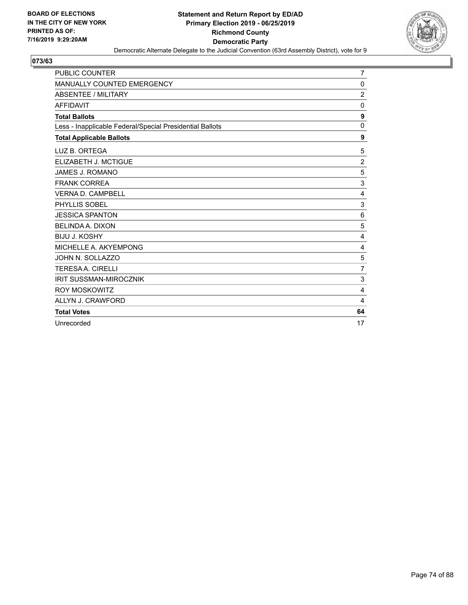

| <b>PUBLIC COUNTER</b>                                    | $\overline{7}$ |
|----------------------------------------------------------|----------------|
| <b>MANUALLY COUNTED EMERGENCY</b>                        | 0              |
| ABSENTEE / MILITARY                                      | $\overline{2}$ |
| <b>AFFIDAVIT</b>                                         | $\mathbf 0$    |
| <b>Total Ballots</b>                                     | 9              |
| Less - Inapplicable Federal/Special Presidential Ballots | $\mathbf{0}$   |
| <b>Total Applicable Ballots</b>                          | 9              |
| LUZ B. ORTEGA                                            | 5              |
| ELIZABETH J. MCTIGUE                                     | $\overline{2}$ |
| JAMES J. ROMANO                                          | 5              |
| <b>FRANK CORREA</b>                                      | 3              |
| <b>VERNA D. CAMPBELL</b>                                 | 4              |
| PHYLLIS SOBEL                                            | 3              |
| <b>JESSICA SPANTON</b>                                   | 6              |
| <b>BELINDA A. DIXON</b>                                  | 5              |
| <b>BIJU J. KOSHY</b>                                     | 4              |
| MICHELLE A. AKYEMPONG                                    | 4              |
| JOHN N. SOLLAZZO                                         | 5              |
| <b>TERESAA. CIRELLI</b>                                  | $\overline{7}$ |
| <b>IRIT SUSSMAN-MIROCZNIK</b>                            | 3              |
| <b>ROY MOSKOWITZ</b>                                     | $\overline{4}$ |
| ALLYN J. CRAWFORD                                        | 4              |
| <b>Total Votes</b>                                       | 64             |
| Unrecorded                                               | 17             |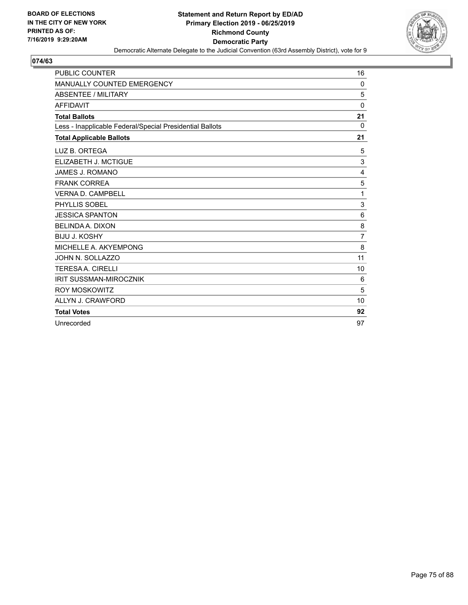

| <b>PUBLIC COUNTER</b>                                    | 16             |
|----------------------------------------------------------|----------------|
| <b>MANUALLY COUNTED EMERGENCY</b>                        | 0              |
| ABSENTEE / MILITARY                                      | 5              |
| <b>AFFIDAVIT</b>                                         | $\mathbf 0$    |
| <b>Total Ballots</b>                                     | 21             |
| Less - Inapplicable Federal/Special Presidential Ballots | 0              |
| <b>Total Applicable Ballots</b>                          | 21             |
| LUZ B. ORTEGA                                            | 5              |
| ELIZABETH J. MCTIGUE                                     | 3              |
| JAMES J. ROMANO                                          | 4              |
| <b>FRANK CORREA</b>                                      | 5              |
| <b>VERNA D. CAMPBELL</b>                                 | 1              |
| PHYLLIS SOBEL                                            | 3              |
| <b>JESSICA SPANTON</b>                                   | 6              |
| <b>BELINDA A. DIXON</b>                                  | 8              |
| <b>BIJU J. KOSHY</b>                                     | $\overline{7}$ |
| MICHELLE A. AKYEMPONG                                    | 8              |
| JOHN N. SOLLAZZO                                         | 11             |
| <b>TERESAA, CIRELLI</b>                                  | 10             |
| <b>IRIT SUSSMAN-MIROCZNIK</b>                            | 6              |
| <b>ROY MOSKOWITZ</b>                                     | 5              |
| ALLYN J. CRAWFORD                                        | 10             |
| <b>Total Votes</b>                                       | 92             |
| Unrecorded                                               | 97             |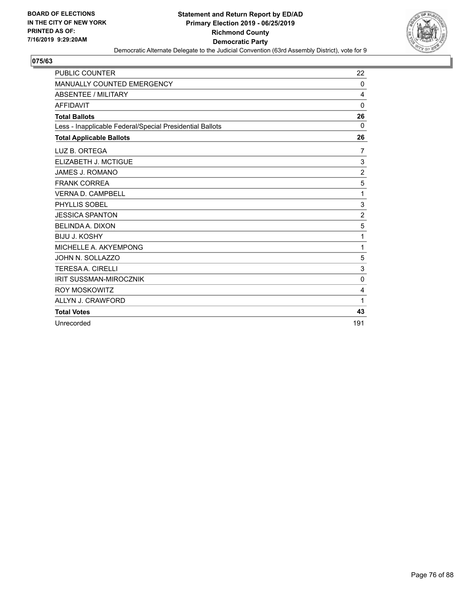

| <b>PUBLIC COUNTER</b>                                    | 22             |
|----------------------------------------------------------|----------------|
| <b>MANUALLY COUNTED EMERGENCY</b>                        | 0              |
| ABSENTEE / MILITARY                                      | 4              |
| <b>AFFIDAVIT</b>                                         | $\mathbf 0$    |
| <b>Total Ballots</b>                                     | 26             |
| Less - Inapplicable Federal/Special Presidential Ballots | 0              |
| <b>Total Applicable Ballots</b>                          | 26             |
| LUZ B. ORTEGA                                            | 7              |
| ELIZABETH J. MCTIGUE                                     | 3              |
| JAMES J. ROMANO                                          | $\overline{c}$ |
| <b>FRANK CORREA</b>                                      | 5              |
| <b>VERNA D. CAMPBELL</b>                                 | 1              |
| <b>PHYLLIS SOBEL</b>                                     | 3              |
| <b>JESSICA SPANTON</b>                                   | $\overline{c}$ |
| <b>BELINDA A. DIXON</b>                                  | 5              |
| <b>BIJU J. KOSHY</b>                                     | 1              |
| MICHELLE A. AKYEMPONG                                    | 1              |
| JOHN N. SOLLAZZO                                         | 5              |
| <b>TERESAA, CIRELLI</b>                                  | 3              |
| <b>IRIT SUSSMAN-MIROCZNIK</b>                            | $\mathbf{0}$   |
| ROY MOSKOWITZ                                            | 4              |
| ALLYN J. CRAWFORD                                        | 1              |
| <b>Total Votes</b>                                       | 43             |
| Unrecorded                                               | 191            |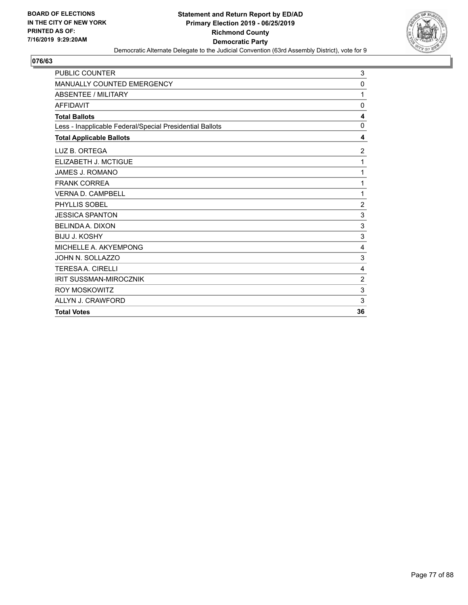

| <b>PUBLIC COUNTER</b>                                    | 3              |
|----------------------------------------------------------|----------------|
| MANUALLY COUNTED EMERGENCY                               | 0              |
| <b>ABSENTEE / MILITARY</b>                               | 1              |
| <b>AFFIDAVIT</b>                                         | 0              |
| <b>Total Ballots</b>                                     | 4              |
| Less - Inapplicable Federal/Special Presidential Ballots | 0              |
| <b>Total Applicable Ballots</b>                          | 4              |
| LUZ B. ORTEGA                                            | $\overline{c}$ |
| ELIZABETH J. MCTIGUE                                     | 1              |
| <b>JAMES J. ROMANO</b>                                   | 1              |
| <b>FRANK CORREA</b>                                      | 1              |
| <b>VERNA D. CAMPBELL</b>                                 | 1              |
| PHYLLIS SOBEL                                            | $\overline{2}$ |
| <b>JESSICA SPANTON</b>                                   | 3              |
| <b>BELINDA A. DIXON</b>                                  | $\sqrt{3}$     |
| <b>BIJU J. KOSHY</b>                                     | 3              |
| MICHELLE A. AKYEMPONG                                    | $\overline{4}$ |
| JOHN N. SOLLAZZO                                         | $\sqrt{3}$     |
| <b>TERESAA, CIRELLI</b>                                  | $\overline{4}$ |
| <b>IRIT SUSSMAN-MIROCZNIK</b>                            | $\overline{2}$ |
| <b>ROY MOSKOWITZ</b>                                     | 3              |
| ALLYN J. CRAWFORD                                        | 3              |
| <b>Total Votes</b>                                       | 36             |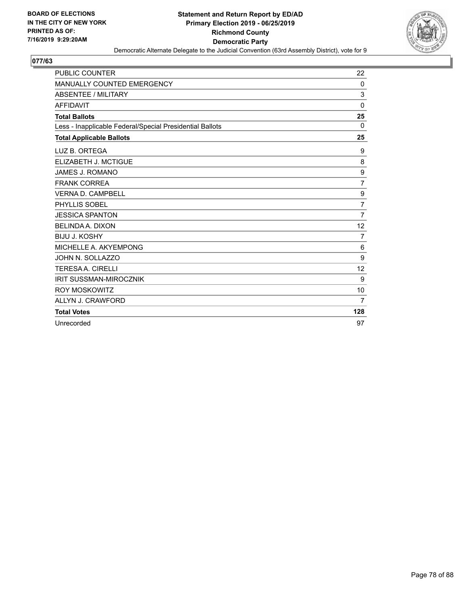

| <b>PUBLIC COUNTER</b>                                    | 22             |
|----------------------------------------------------------|----------------|
| MANUALLY COUNTED EMERGENCY                               | 0              |
| <b>ABSENTEE / MILITARY</b>                               | $\sqrt{3}$     |
| <b>AFFIDAVIT</b>                                         | $\Omega$       |
| <b>Total Ballots</b>                                     | 25             |
| Less - Inapplicable Federal/Special Presidential Ballots | $\Omega$       |
| <b>Total Applicable Ballots</b>                          | 25             |
| LUZ B. ORTEGA                                            | 9              |
| ELIZABETH J. MCTIGUE                                     | 8              |
| JAMES J. ROMANO                                          | 9              |
| <b>FRANK CORREA</b>                                      | $\overline{7}$ |
| <b>VERNA D. CAMPBELL</b>                                 | 9              |
| PHYLLIS SOBEL                                            | $\overline{7}$ |
| <b>JESSICA SPANTON</b>                                   | $\overline{7}$ |
| <b>BELINDA A. DIXON</b>                                  | 12             |
| <b>BIJU J. KOSHY</b>                                     | 7              |
| MICHELLE A. AKYEMPONG                                    | 6              |
| JOHN N. SOLLAZZO                                         | 9              |
| <b>TERESA A. CIRELLI</b>                                 | 12             |
| <b>IRIT SUSSMAN-MIROCZNIK</b>                            | 9              |
| <b>ROY MOSKOWITZ</b>                                     | 10             |
| ALLYN J. CRAWFORD                                        | 7              |
| <b>Total Votes</b>                                       | 128            |
| Unrecorded                                               | 97             |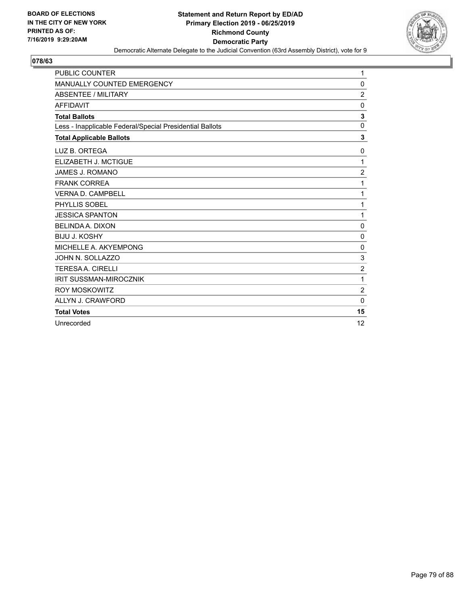

| PUBLIC COUNTER                                           | 1              |
|----------------------------------------------------------|----------------|
| <b>MANUALLY COUNTED EMERGENCY</b>                        | 0              |
| ABSENTEE / MILITARY                                      | $\overline{c}$ |
| <b>AFFIDAVIT</b>                                         | 0              |
| <b>Total Ballots</b>                                     | 3              |
| Less - Inapplicable Federal/Special Presidential Ballots | $\mathbf 0$    |
| <b>Total Applicable Ballots</b>                          | 3              |
| LUZ B. ORTEGA                                            | 0              |
| ELIZABETH J. MCTIGUE                                     | 1              |
| JAMES J. ROMANO                                          | $\overline{2}$ |
| <b>FRANK CORREA</b>                                      | 1              |
| <b>VERNA D. CAMPBELL</b>                                 | 1              |
| PHYLLIS SOBEL                                            | 1              |
| <b>JESSICA SPANTON</b>                                   | 1              |
| <b>BELINDA A. DIXON</b>                                  | 0              |
| <b>BIJU J. KOSHY</b>                                     | 0              |
| MICHELLE A. AKYEMPONG                                    | 0              |
| JOHN N. SOLLAZZO                                         | 3              |
| <b>TERESAA. CIRELLI</b>                                  | $\overline{c}$ |
| <b>IRIT SUSSMAN-MIROCZNIK</b>                            | 1              |
| <b>ROY MOSKOWITZ</b>                                     | $\overline{2}$ |
| ALLYN J. CRAWFORD                                        | $\mathbf 0$    |
| <b>Total Votes</b>                                       | 15             |
| Unrecorded                                               | 12             |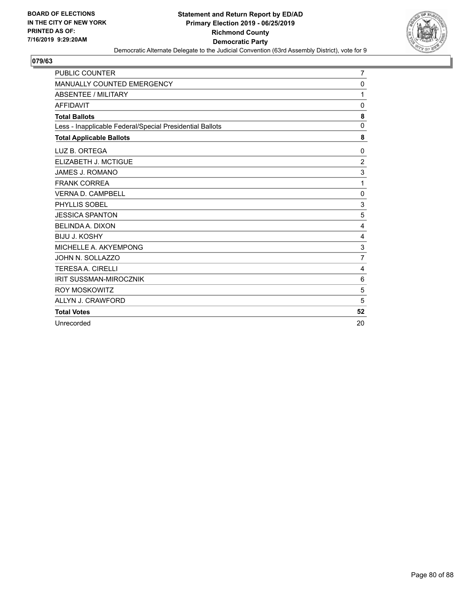

| <b>PUBLIC COUNTER</b>                                    | 7              |
|----------------------------------------------------------|----------------|
| <b>MANUALLY COUNTED EMERGENCY</b>                        | 0              |
| ABSENTEE / MILITARY                                      | 1              |
| <b>AFFIDAVIT</b>                                         | 0              |
| <b>Total Ballots</b>                                     | 8              |
| Less - Inapplicable Federal/Special Presidential Ballots | $\Omega$       |
| <b>Total Applicable Ballots</b>                          | 8              |
| LUZ B. ORTEGA                                            | 0              |
| ELIZABETH J. MCTIGUE                                     | $\overline{2}$ |
| JAMES J. ROMANO                                          | 3              |
| <b>FRANK CORREA</b>                                      | 1              |
| <b>VERNA D. CAMPBELL</b>                                 | 0              |
| PHYLLIS SOBEL                                            | $\sqrt{3}$     |
| <b>JESSICA SPANTON</b>                                   | 5              |
| <b>BELINDA A. DIXON</b>                                  | 4              |
| <b>BIJU J. KOSHY</b>                                     | 4              |
| MICHELLE A. AKYEMPONG                                    | 3              |
| JOHN N. SOLLAZZO                                         | $\overline{7}$ |
| <b>TERESAA. CIRELLI</b>                                  | 4              |
| <b>IRIT SUSSMAN-MIROCZNIK</b>                            | 6              |
| <b>ROY MOSKOWITZ</b>                                     | 5              |
| ALLYN J. CRAWFORD                                        | 5              |
| <b>Total Votes</b>                                       | 52             |
| Unrecorded                                               | 20             |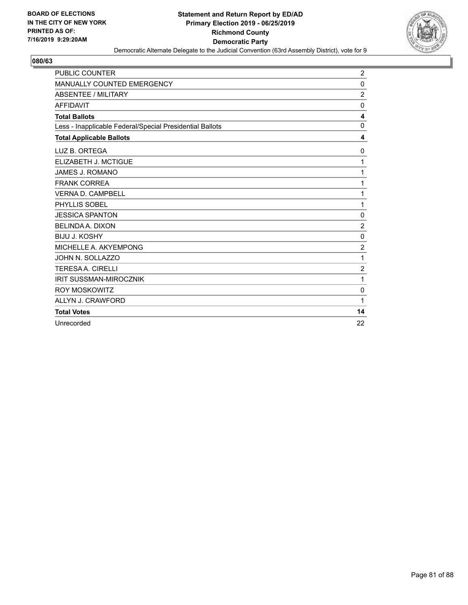

| <b>PUBLIC COUNTER</b>                                    | $\overline{2}$ |
|----------------------------------------------------------|----------------|
| MANUALLY COUNTED EMERGENCY                               | 0              |
| ABSENTEE / MILITARY                                      | $\overline{c}$ |
| <b>AFFIDAVIT</b>                                         | 0              |
| <b>Total Ballots</b>                                     | 4              |
| Less - Inapplicable Federal/Special Presidential Ballots | $\mathbf 0$    |
| <b>Total Applicable Ballots</b>                          | 4              |
| LUZ B. ORTEGA                                            | 0              |
| ELIZABETH J. MCTIGUE                                     | 1              |
| JAMES J. ROMANO                                          | 1              |
| <b>FRANK CORREA</b>                                      | 1              |
| <b>VERNA D. CAMPBELL</b>                                 | 1              |
| PHYLLIS SOBEL                                            | 1              |
| <b>JESSICA SPANTON</b>                                   | 0              |
| <b>BELINDA A. DIXON</b>                                  | $\overline{2}$ |
| <b>BIJU J. KOSHY</b>                                     | 0              |
| MICHELLE A. AKYEMPONG                                    | $\overline{2}$ |
| JOHN N. SOLLAZZO                                         | 1              |
| <b>TERESAA. CIRELLI</b>                                  | $\overline{c}$ |
| <b>IRIT SUSSMAN-MIROCZNIK</b>                            | 1              |
| <b>ROY MOSKOWITZ</b>                                     | $\mathbf 0$    |
| ALLYN J. CRAWFORD                                        | 1              |
| <b>Total Votes</b>                                       | 14             |
| Unrecorded                                               | 22             |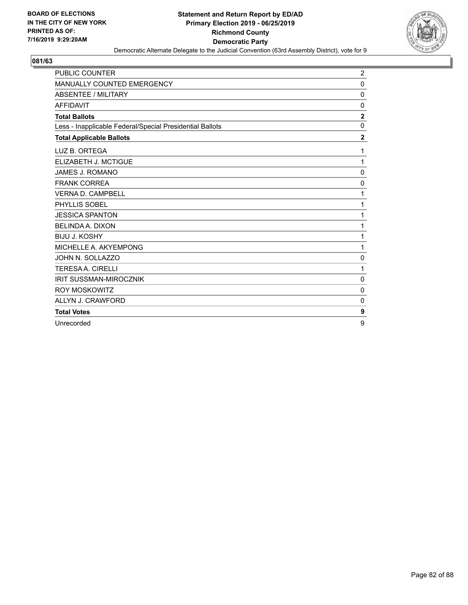

| <b>PUBLIC COUNTER</b>                                    | 2                       |
|----------------------------------------------------------|-------------------------|
| <b>MANUALLY COUNTED EMERGENCY</b>                        | 0                       |
| ABSENTEE / MILITARY                                      | $\mathbf 0$             |
| <b>AFFIDAVIT</b>                                         | 0                       |
| <b>Total Ballots</b>                                     | $\overline{\mathbf{2}}$ |
| Less - Inapplicable Federal/Special Presidential Ballots | $\Omega$                |
| <b>Total Applicable Ballots</b>                          | $\overline{2}$          |
| LUZ B. ORTEGA                                            | 1                       |
| ELIZABETH J. MCTIGUE                                     | 1                       |
| <b>JAMES J. ROMANO</b>                                   | 0                       |
| <b>FRANK CORREA</b>                                      | $\Omega$                |
| <b>VERNA D. CAMPBELL</b>                                 | 1                       |
| PHYLLIS SOBEL                                            | 1                       |
| <b>JESSICA SPANTON</b>                                   | 1                       |
| <b>BELINDA A. DIXON</b>                                  | 1                       |
| <b>BIJU J. KOSHY</b>                                     | 1                       |
| MICHELLE A. AKYEMPONG                                    | 1                       |
| JOHN N. SOLLAZZO                                         | 0                       |
| <b>TERESAA. CIRELLI</b>                                  | 1                       |
| <b>IRIT SUSSMAN-MIROCZNIK</b>                            | $\mathbf 0$             |
| <b>ROY MOSKOWITZ</b>                                     | $\mathbf 0$             |
| ALLYN J. CRAWFORD                                        | 0                       |
| <b>Total Votes</b>                                       | 9                       |
| Unrecorded                                               | 9                       |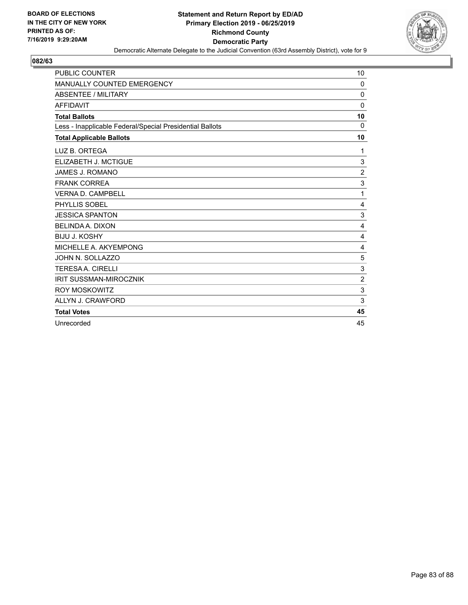

| <b>PUBLIC COUNTER</b>                                    | 10             |
|----------------------------------------------------------|----------------|
| <b>MANUALLY COUNTED EMERGENCY</b>                        | $\Omega$       |
| <b>ABSENTEE / MILITARY</b>                               | 0              |
| <b>AFFIDAVIT</b>                                         | 0              |
| <b>Total Ballots</b>                                     | 10             |
| Less - Inapplicable Federal/Special Presidential Ballots | $\Omega$       |
| <b>Total Applicable Ballots</b>                          | 10             |
| LUZ B. ORTEGA                                            | 1              |
| ELIZABETH J. MCTIGUE                                     | 3              |
| <b>JAMES J. ROMANO</b>                                   | $\overline{c}$ |
| <b>FRANK CORREA</b>                                      | 3              |
| <b>VERNA D. CAMPBELL</b>                                 | 1              |
| PHYLLIS SOBEL                                            | 4              |
| <b>JESSICA SPANTON</b>                                   | 3              |
| <b>BELINDA A. DIXON</b>                                  | 4              |
| <b>BIJU J. KOSHY</b>                                     | 4              |
| MICHELLE A. AKYEMPONG                                    | 4              |
| JOHN N. SOLLAZZO                                         | 5              |
| <b>TERESAA, CIRELLI</b>                                  | 3              |
| <b>IRIT SUSSMAN-MIROCZNIK</b>                            | $\overline{2}$ |
| <b>ROY MOSKOWITZ</b>                                     | 3              |
| ALLYN J. CRAWFORD                                        | 3              |
| <b>Total Votes</b>                                       | 45             |
| Unrecorded                                               | 45             |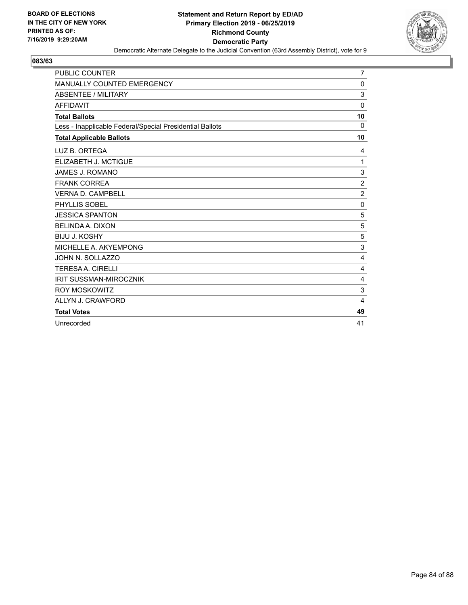

| <b>PUBLIC COUNTER</b>                                    | $\overline{7}$ |
|----------------------------------------------------------|----------------|
| <b>MANUALLY COUNTED EMERGENCY</b>                        | 0              |
| ABSENTEE / MILITARY                                      | 3              |
| <b>AFFIDAVIT</b>                                         | $\mathbf 0$    |
| <b>Total Ballots</b>                                     | 10             |
| Less - Inapplicable Federal/Special Presidential Ballots | $\Omega$       |
| <b>Total Applicable Ballots</b>                          | 10             |
| LUZ B. ORTEGA                                            | 4              |
| ELIZABETH J. MCTIGUE                                     | 1              |
| <b>JAMES J. ROMANO</b>                                   | 3              |
| <b>FRANK CORREA</b>                                      | $\overline{2}$ |
| <b>VERNA D. CAMPBELL</b>                                 | $\overline{2}$ |
| PHYLLIS SOBEL                                            | $\mathbf 0$    |
| <b>JESSICA SPANTON</b>                                   | 5              |
| <b>BELINDA A. DIXON</b>                                  | 5              |
| <b>BIJU J. KOSHY</b>                                     | 5              |
| MICHELLE A. AKYEMPONG                                    | 3              |
| JOHN N. SOLLAZZO                                         | 4              |
| <b>TERESA A. CIRELLI</b>                                 | 4              |
| <b>IRIT SUSSMAN-MIROCZNIK</b>                            | 4              |
| <b>ROY MOSKOWITZ</b>                                     | 3              |
| ALLYN J. CRAWFORD                                        | 4              |
| <b>Total Votes</b>                                       | 49             |
| Unrecorded                                               | 41             |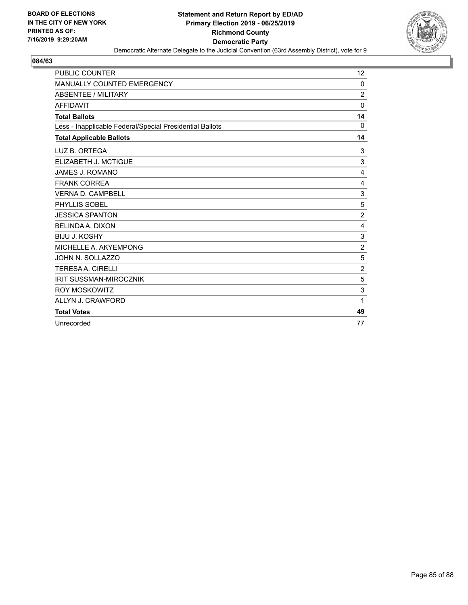

| <b>PUBLIC COUNTER</b>                                    | 12             |
|----------------------------------------------------------|----------------|
| <b>MANUALLY COUNTED EMERGENCY</b>                        | 0              |
| ABSENTEE / MILITARY                                      | $\overline{2}$ |
| <b>AFFIDAVIT</b>                                         | 0              |
| <b>Total Ballots</b>                                     | 14             |
| Less - Inapplicable Federal/Special Presidential Ballots | 0              |
| <b>Total Applicable Ballots</b>                          | 14             |
| LUZ B. ORTEGA                                            | 3              |
| ELIZABETH J. MCTIGUE                                     | 3              |
| <b>JAMES J. ROMANO</b>                                   | $\overline{4}$ |
| <b>FRANK CORREA</b>                                      | 4              |
| <b>VERNA D. CAMPBELL</b>                                 | 3              |
| PHYLLIS SOBEL                                            | 5              |
| <b>JESSICA SPANTON</b>                                   | $\overline{2}$ |
| <b>BELINDA A. DIXON</b>                                  | 4              |
| <b>BIJU J. KOSHY</b>                                     | 3              |
| MICHELLE A. AKYEMPONG                                    | $\overline{c}$ |
| JOHN N. SOLLAZZO                                         | 5              |
| <b>TERESAA, CIRELLI</b>                                  | $\overline{2}$ |
| <b>IRIT SUSSMAN-MIROCZNIK</b>                            | 5              |
| <b>ROY MOSKOWITZ</b>                                     | $\sqrt{3}$     |
| ALLYN J. CRAWFORD                                        | 1              |
| <b>Total Votes</b>                                       | 49             |
| Unrecorded                                               | 77             |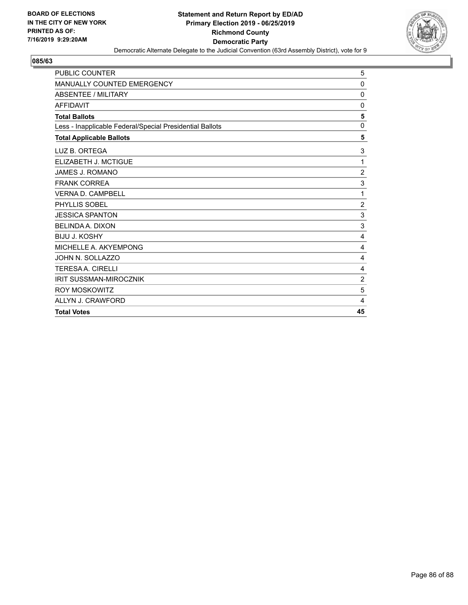

| <b>PUBLIC COUNTER</b>                                    | 5              |
|----------------------------------------------------------|----------------|
| <b>MANUALLY COUNTED EMERGENCY</b>                        | 0              |
| <b>ABSENTEE / MILITARY</b>                               | 0              |
| <b>AFFIDAVIT</b>                                         | 0              |
| <b>Total Ballots</b>                                     | 5              |
| Less - Inapplicable Federal/Special Presidential Ballots | 0              |
| <b>Total Applicable Ballots</b>                          | 5              |
| LUZ B. ORTEGA                                            | 3              |
| ELIZABETH J. MCTIGUE                                     | 1              |
| <b>JAMES J. ROMANO</b>                                   | $\overline{c}$ |
| <b>FRANK CORREA</b>                                      | 3              |
| <b>VERNA D. CAMPBELL</b>                                 | 1              |
| PHYLLIS SOBEL                                            | $\overline{2}$ |
| <b>JESSICA SPANTON</b>                                   | 3              |
| <b>BELINDA A. DIXON</b>                                  | 3              |
| <b>BIJU J. KOSHY</b>                                     | 4              |
| MICHELLE A. AKYEMPONG                                    | 4              |
| JOHN N. SOLLAZZO                                         | 4              |
| <b>TERESAA, CIRELLI</b>                                  | 4              |
| <b>IRIT SUSSMAN-MIROCZNIK</b>                            | $\overline{2}$ |
| <b>ROY MOSKOWITZ</b>                                     | 5              |
| ALLYN J. CRAWFORD                                        | 4              |
| <b>Total Votes</b>                                       | 45             |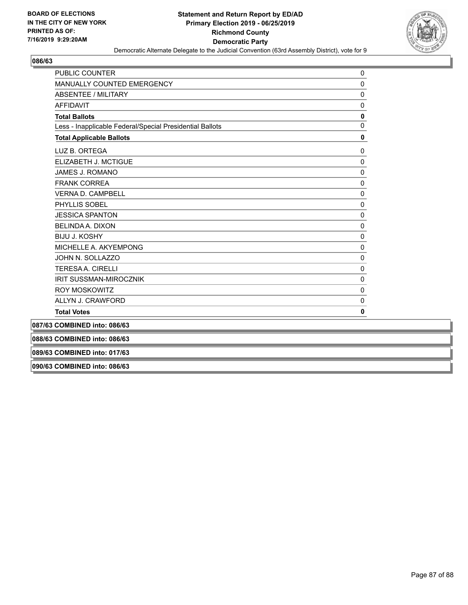

| <b>PUBLIC COUNTER</b>                                    | $\Omega$     |
|----------------------------------------------------------|--------------|
| MANUALLY COUNTED EMERGENCY                               | 0            |
| <b>ABSENTEE / MILITARY</b>                               | $\mathbf 0$  |
| <b>AFFIDAVIT</b>                                         | $\mathbf{0}$ |
| <b>Total Ballots</b>                                     | 0            |
| Less - Inapplicable Federal/Special Presidential Ballots | $\mathbf{0}$ |
| <b>Total Applicable Ballots</b>                          | 0            |
| LUZ B. ORTEGA                                            | 0            |
| ELIZABETH J. MCTIGUE                                     | $\mathbf{0}$ |
| JAMES J. ROMANO                                          | $\mathbf 0$  |
| <b>FRANK CORREA</b>                                      | $\mathbf 0$  |
| <b>VERNA D. CAMPBELL</b>                                 | $\mathbf 0$  |
| PHYLLIS SOBEL                                            | $\pmb{0}$    |
| <b>JESSICA SPANTON</b>                                   | $\Omega$     |
| <b>BELINDA A. DIXON</b>                                  | $\mathbf 0$  |
| <b>BIJU J. KOSHY</b>                                     | $\pmb{0}$    |
| MICHELLE A. AKYEMPONG                                    | $\mathbf 0$  |
| JOHN N. SOLLAZZO                                         | $\mathbf 0$  |
| <b>TERESAA. CIRELLI</b>                                  | $\mathbf 0$  |
| <b>IRIT SUSSMAN-MIROCZNIK</b>                            | $\mathbf{0}$ |
| <b>ROY MOSKOWITZ</b>                                     | 0            |
| ALLYN J. CRAWFORD                                        | $\Omega$     |
| <b>Total Votes</b>                                       | 0            |
| 087/63 COMBINED into: 086/63                             |              |
| 088/63 COMBINED into: 086/63                             |              |
| 089/63 COMBINED into: 017/63                             |              |
| 090/63 COMBINED into: 086/63                             |              |